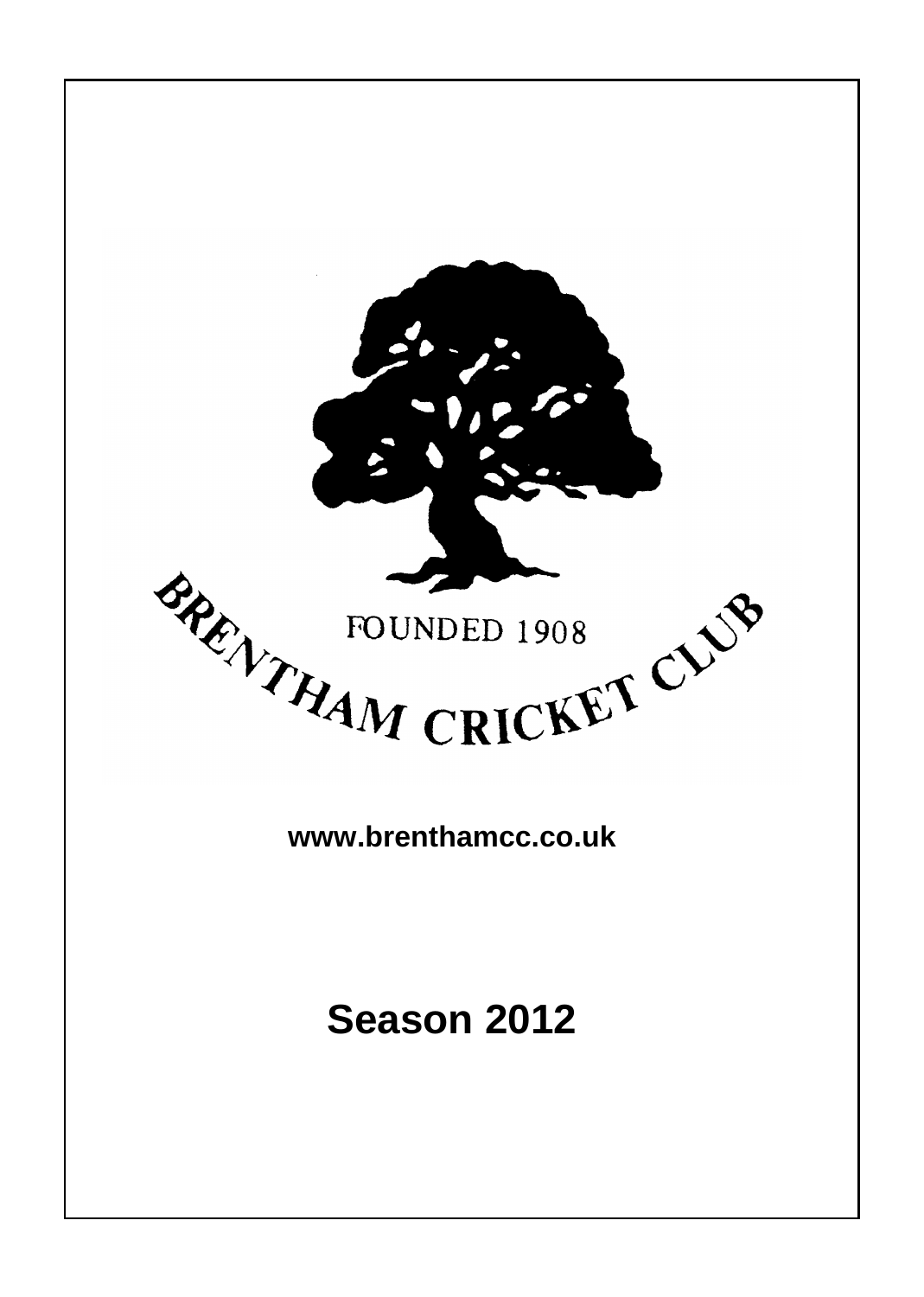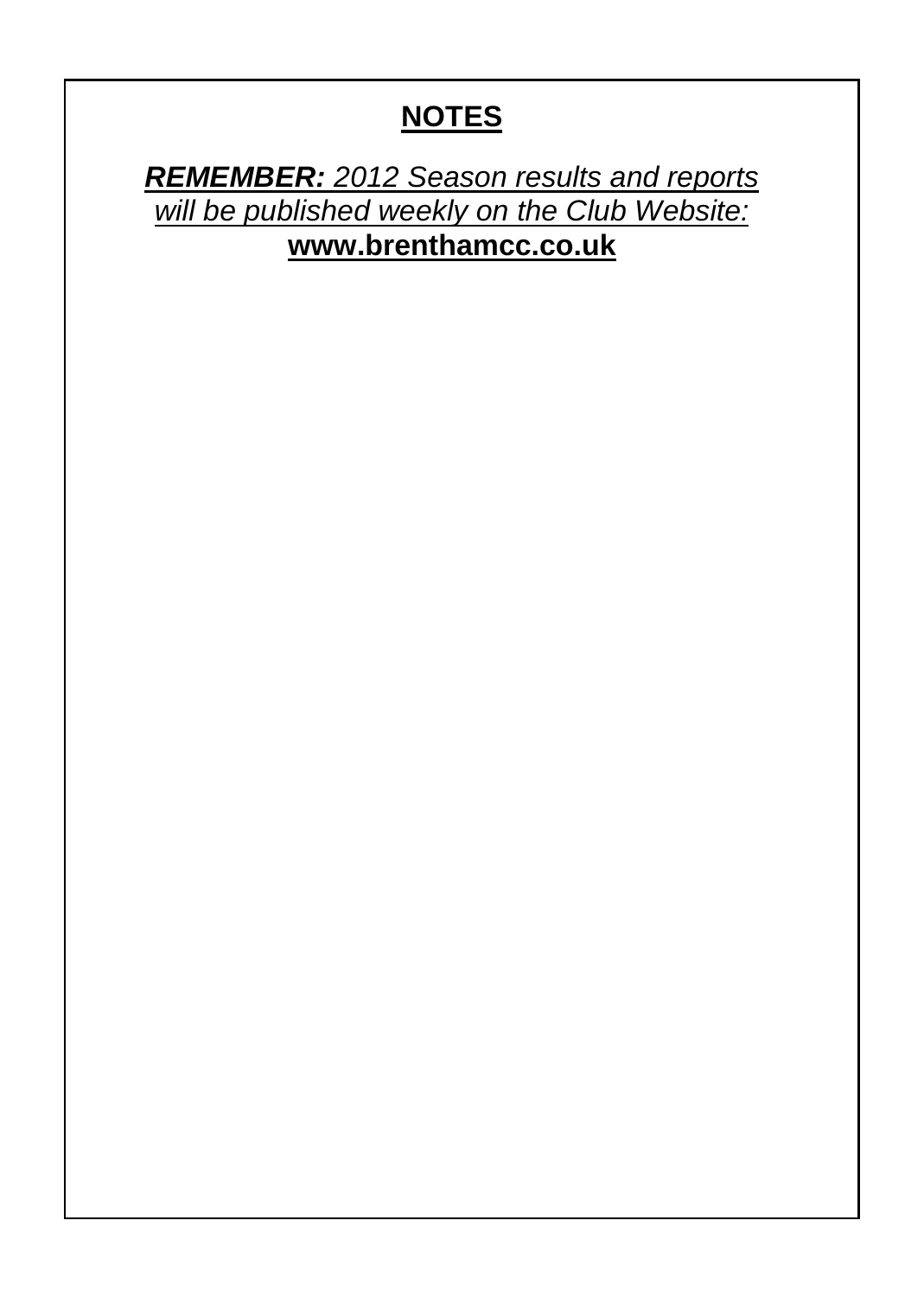# **NOTES**

*REMEMBER: 2012 Season results and reports will be published weekly on the Club Website:* **www.brenthamcc.co.uk**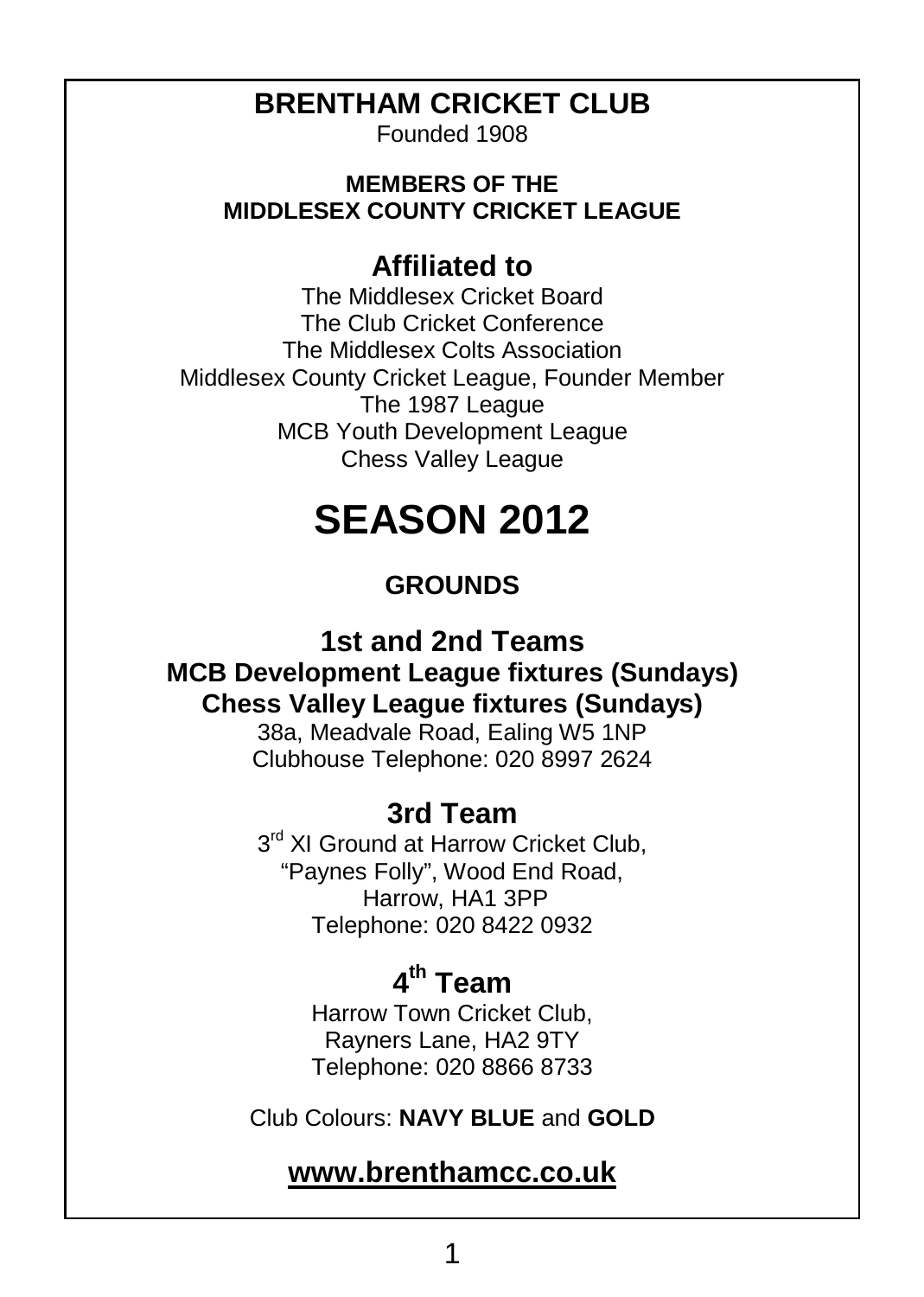### **BRENTHAM CRICKET CLUB**

Founded 1908

#### **MEMBERS OF THE MIDDLESEX COUNTY CRICKET LEAGUE**

#### **Affiliated to**

The Middlesex Cricket Board The Club Cricket Conference The Middlesex Colts Association Middlesex County Cricket League, Founder Member The 1987 League MCB Youth Development League Chess Valley League

# **SEASON 2012**

#### **GROUNDS**

#### **1st and 2nd Teams MCB Development League fixtures (Sundays) Chess Valley League fixtures (Sundays)**

38a, Meadvale Road, Ealing W5 1NP Clubhouse Telephone: 020 8997 2624

#### **3rd Team**

3<sup>rd</sup> XI Ground at Harrow Cricket Club, "Paynes Folly", Wood End Road, Harrow, HA1 3PP Telephone: 020 8422 0932

# **4 th Team**

Harrow Town Cricket Club, Rayners Lane, HA2 9TY Telephone: 020 8866 8733

Club Colours: **NAVY BLUE** and **GOLD**

#### **www.brenthamcc.co.uk**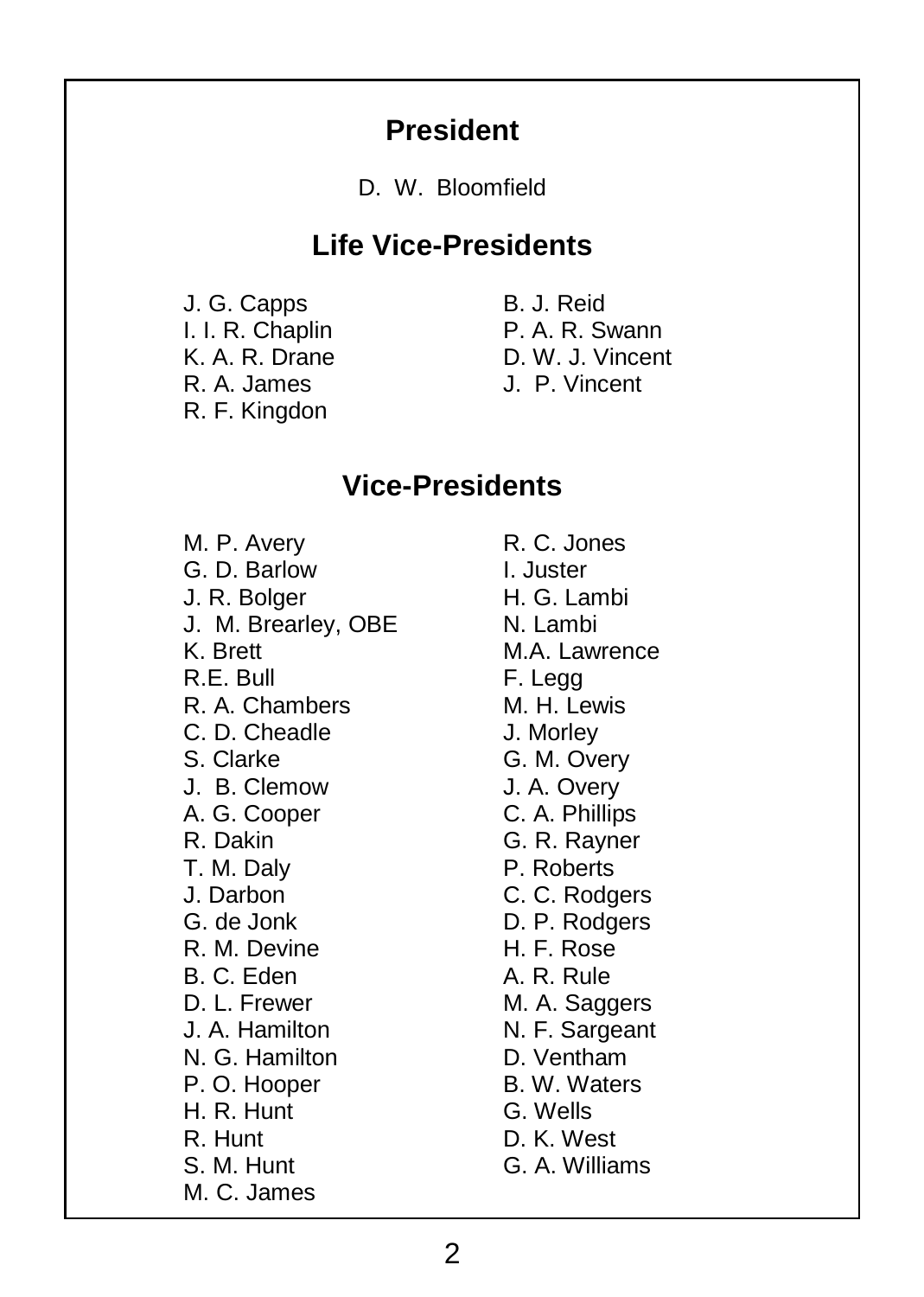#### **President**

D. W. Bloomfield

#### **Life Vice-Presidents**

J. G. Capps I. I. R. Chaplin K. A. R. Drane R. A. James R. F. Kingdon

B. J. Reid P. A. R. Swann D. W. J. Vincent J. P. Vincent

#### **Vice-Presidents**

M. P. Avery G. D. Barlow J. R. Bolger J. M. Brearley, OBE K. Brett R.E. Bull R. A. Chambers C. D. Cheadle S. Clarke J. B. Clemow A. G. Cooper R. Dakin T. M. Daly J. Darbon G. de Jonk R. M. Devine B. C. Eden D. L. Frewer J. A. Hamilton N. G. Hamilton P. O. Hooper H. R. Hunt R. Hunt S. M. Hunt M. C. James

R. C. Jones I. Juster H. G. Lambi N. Lambi M.A. Lawrence F. Legg M. H. Lewis J. Morley G. M. Overy J. A. Overy C. A. Phillips G. R. Rayner P. Roberts C. C. Rodgers D. P. Rodgers H. F. Rose A. R. Rule M. A. Saggers N. F. Sargeant D. Ventham B. W. Waters G. Wells D. K. West G. A. Williams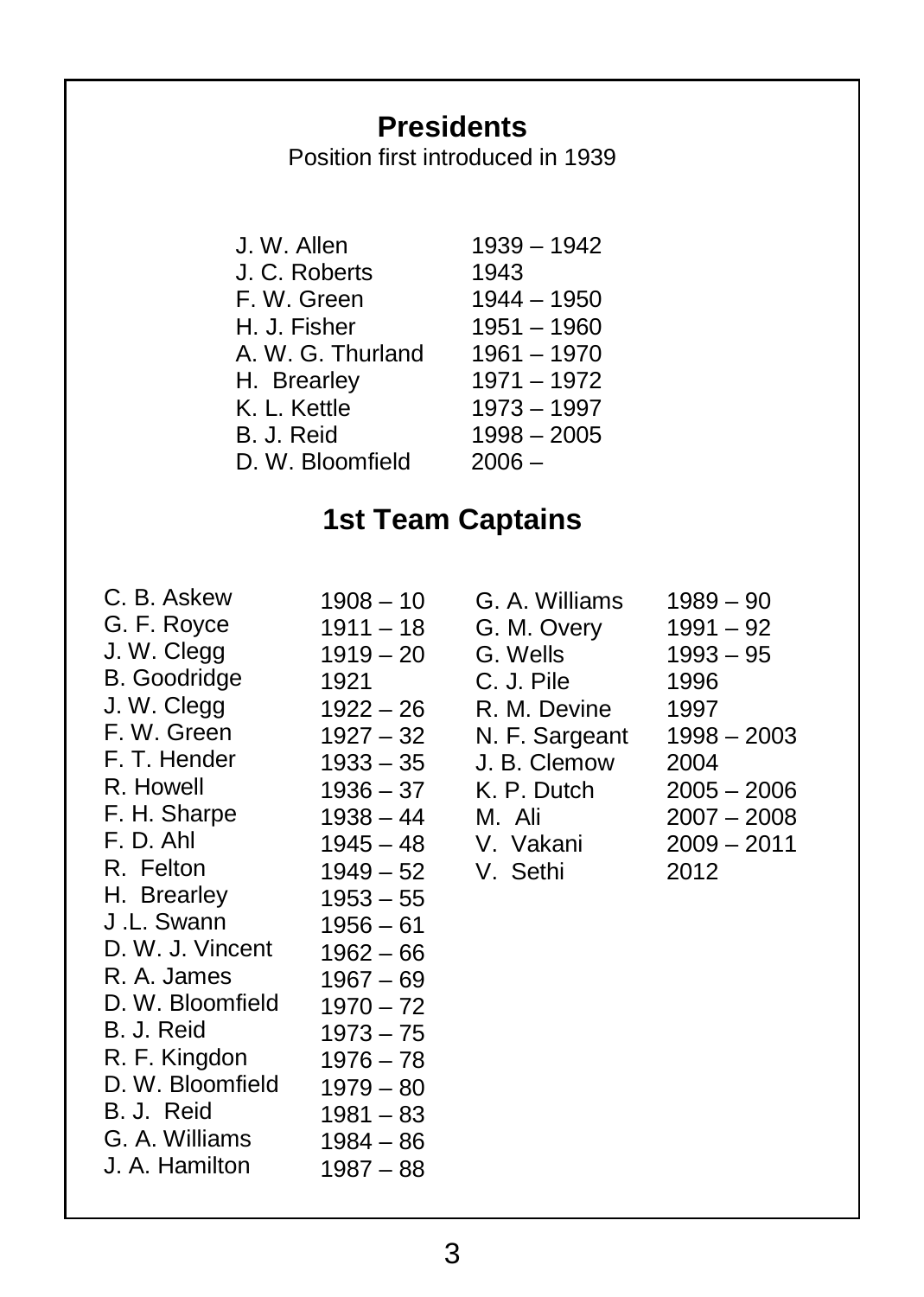# **Presidents**

Position first introduced in 1939

| J. W. Allen       | 1939 - 1942   |
|-------------------|---------------|
| J. C. Roberts     | 1943          |
| F. W. Green       | $1944 - 1950$ |
| H. J. Fisher      | $1951 - 1960$ |
| A. W. G. Thurland | $1961 - 1970$ |
| H. Brearley       | $1971 - 1972$ |
| K. L. Kettle      | $1973 - 1997$ |
| B. J. Reid        | $1998 - 2005$ |
| D. W. Bloomfield  | $2006 -$      |

# **1st Team Captains**

| C. B. Askew         | 1908 – 10   |
|---------------------|-------------|
| G. F. Royce         | $1911 - 18$ |
| J. W. Clegg         | $1919 - 20$ |
| <b>B.</b> Goodridge | 1921        |
| J. W. Clegg         | $1922 - 26$ |
| F. W. Green         | $1927 - 32$ |
| F. T. Hender        | $1933 - 35$ |
| R. Howell           | $1936 - 37$ |
| F. H. Sharpe        | $1938 - 44$ |
| F. D. Ahl           | $1945 - 48$ |
| R. Felton           | $1949 - 52$ |
| H. Brearley         | $1953 - 55$ |
| J .L. Swann         | $1956 - 61$ |
| D. W. J. Vincent    | $1962 - 66$ |
| R. A. James         | $1967 - 69$ |
| D. W. Bloomfield    | $1970 - 72$ |
| B. J. Reid          | $1973 - 75$ |
| R. F. Kingdon       | $1976 - 78$ |
| D. W. Bloomfield    | $1979 - 80$ |
| B. J. Reid          | $1981 - 83$ |
| G. A. Williams      | $1984 - 86$ |
| J. A. Hamilton      | $1987 - 88$ |

| G. A. Williams | $1989 - 90$   |
|----------------|---------------|
| G. M. Overy    | $1991 - 92$   |
| G. Wells       | $1993 - 95$   |
| C. J. Pile     | 1996          |
| R. M. Devine   | 1997          |
| N. F. Sargeant | $1998 - 2003$ |
| J. B. Clemow   | 2004          |
| K. P. Dutch    | $2005 - 2006$ |
| M. Ali         | $2007 - 2008$ |
| V. Vakani      | $2009 - 2011$ |
| V. Sethi       | 2012          |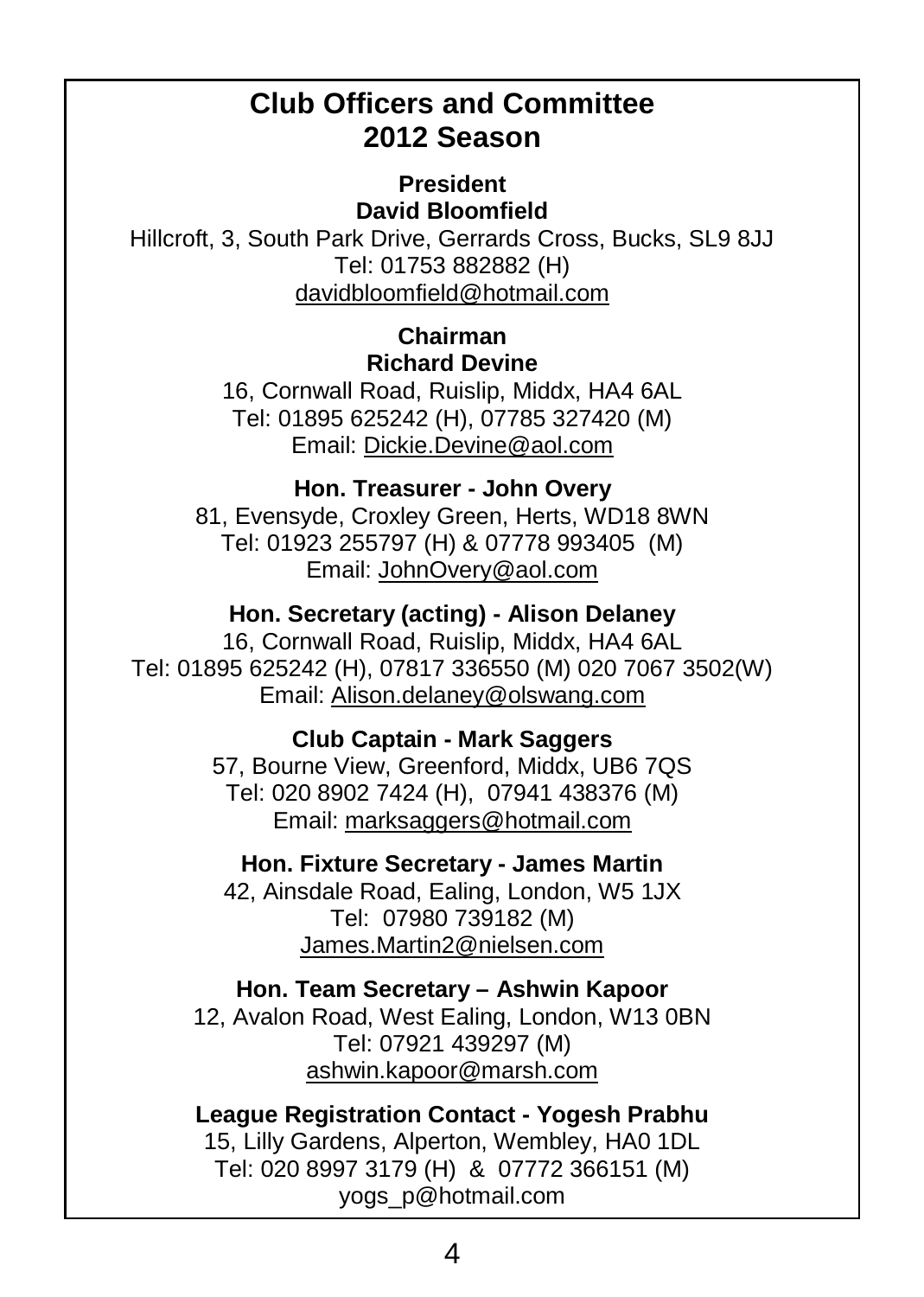### **Club Officers and Committee 2012 Season**

**President David Bloomfield**

Hillcroft, 3, South Park Drive, Gerrards Cross, Bucks, SL9 8JJ Tel: 01753 882882 (H) davidbloomfield@hotmail.com

#### **Chairman Richard Devine**

16, Cornwall Road, Ruislip, Middx, HA4 6AL Tel: 01895 625242 (H), 07785 327420 (M) Email: Dickie.Devine@aol.com

#### **Hon. Treasurer - John Overy**

81, Evensyde, Croxley Green, Herts, WD18 8WN Tel: 01923 255797 (H) & 07778 993405 (M) Email: JohnOvery@aol.com

#### **Hon. Secretary (acting) - Alison Delaney**

16, Cornwall Road, Ruislip, Middx, HA4 6AL Tel: 01895 625242 (H), 07817 336550 (M) 020 7067 3502(W) Email: Alison.delaney@olswang.com

#### **Club Captain - Mark Saggers**

57, Bourne View, Greenford, Middx, UB6 7QS Tel: 020 8902 7424 (H), 07941 438376 (M) Email: marksaggers@hotmail.com

#### **Hon. Fixture Secretary - James Martin**

42, Ainsdale Road, Ealing, London, W5 1JX Tel: 07980 739182 (M) James.Martin2@nielsen.com

#### **Hon. Team Secretary – Ashwin Kapoor**

12, Avalon Road, West Ealing, London, W13 0BN Tel: 07921 439297 (M) ashwin.kapoor@marsh.com

## **League Registration Contact - Yogesh Prabhu** 15, Lilly Gardens, Alperton, Wembley, HA0 1DL

Tel: 020 8997 3179 (H) & 07772 366151 (M) yogs\_p@hotmail.com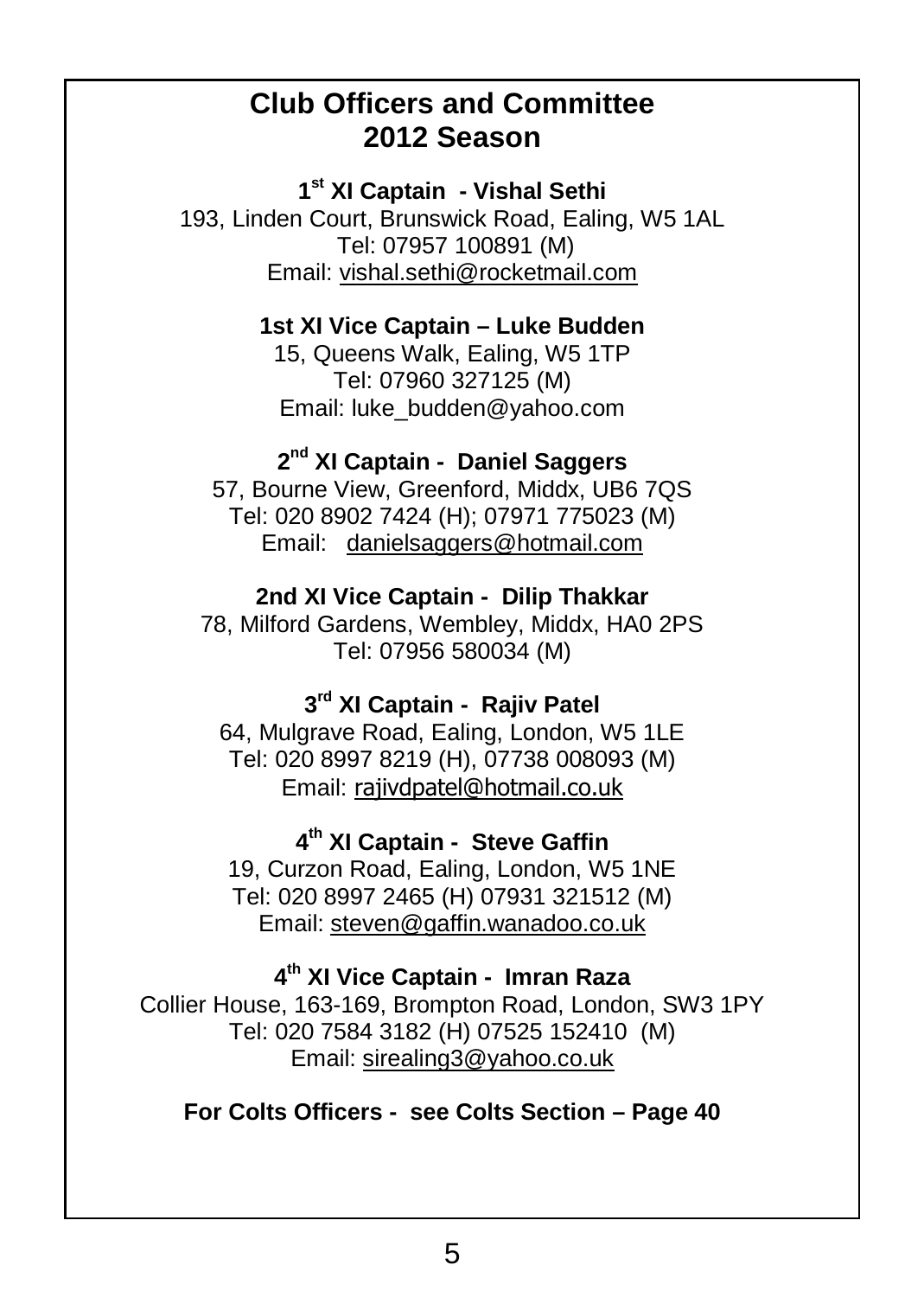#### **Club Officers and Committee 2012 Season**

**1 st XI Captain - Vishal Sethi**

193, Linden Court, Brunswick Road, Ealing, W5 1AL Tel: 07957 100891 (M) Email: vishal.sethi@rocketmail.com

#### **1st XI Vice Captain – Luke Budden**

15, Queens Walk, Ealing, W5 1TP Tel: 07960 327125 (M) Email: luke\_budden@yahoo.com

#### **2 nd XI Captain - Daniel Saggers**

57, Bourne View, Greenford, Middx, UB6 7QS Tel: 020 8902 7424 (H); 07971 775023 (M) Email: danielsaggers@hotmail.com

#### **2nd XI Vice Captain - Dilip Thakkar**

78, Milford Gardens, Wembley, Middx, HA0 2PS Tel: 07956 580034 (M)

#### **3 rd XI Captain - Rajiv Patel**

64, Mulgrave Road, Ealing, London, W5 1LE Tel: 020 8997 8219 (H), 07738 008093 (M) Email: rajivdpatel@hotmail.co.uk

#### **4 th XI Captain - Steve Gaffin**

19, Curzon Road, Ealing, London, W5 1NE Tel: 020 8997 2465 (H) 07931 321512 (M) Email: steven@gaffin.wanadoo.co.uk

#### **4 th XI Vice Captain - Imran Raza**

Collier House, 163-169, Brompton Road, London, SW3 1PY Tel: 020 7584 3182 (H) 07525 152410 (M) Email: sirealing3@yahoo.co.uk

#### **For Colts Officers - see Colts Section – Page 40**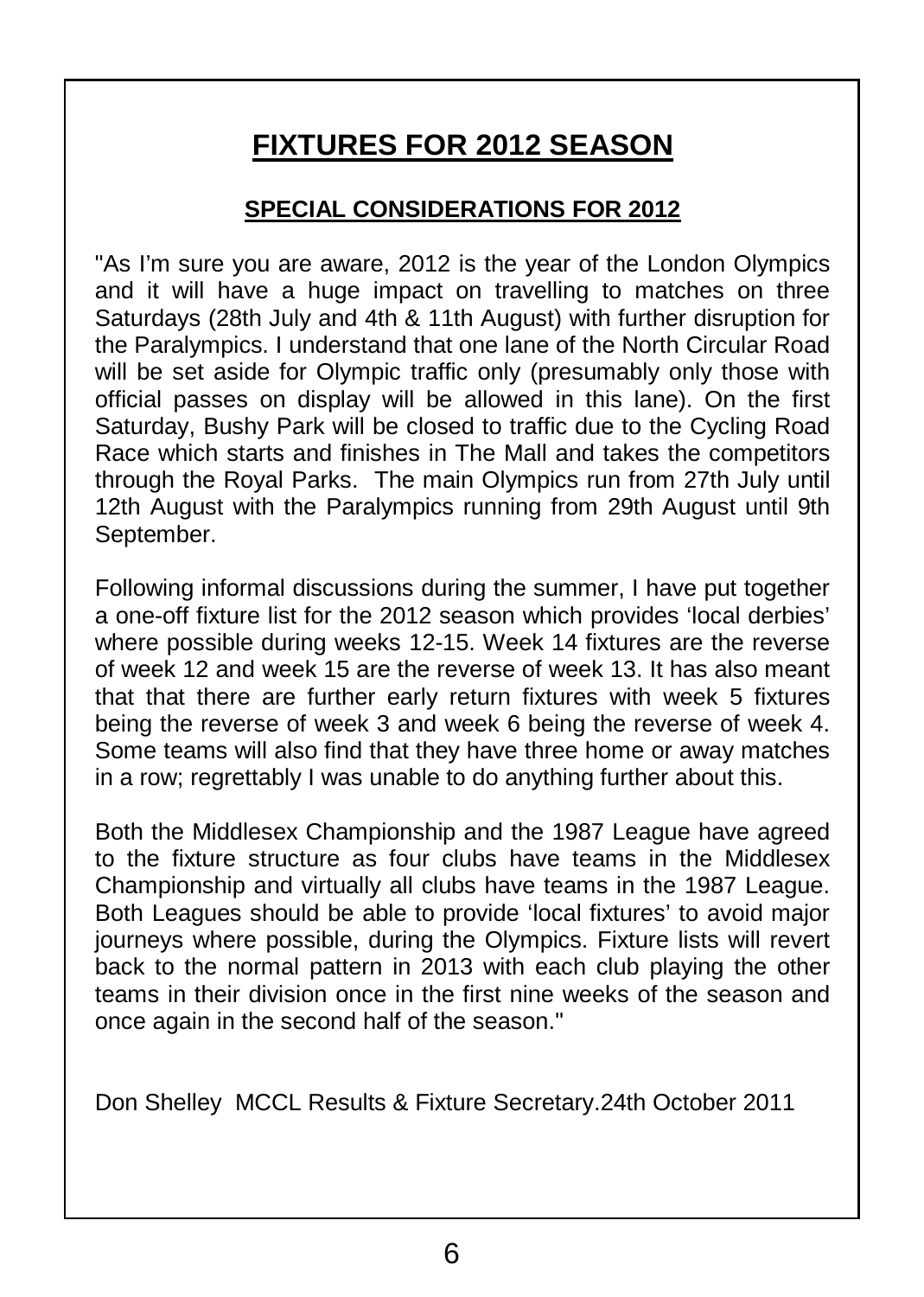# **FIXTURES FOR 2012 SEASON**

#### **SPECIAL CONSIDERATIONS FOR 2012**

"As I'm sure you are aware, 2012 is the year of the London Olympics and it will have a huge impact on travelling to matches on three Saturdays (28th July and 4th & 11th August) with further disruption for the Paralympics. I understand that one lane of the North Circular Road will be set aside for Olympic traffic only (presumably only those with official passes on display will be allowed in this lane). On the first Saturday, Bushy Park will be closed to traffic due to the Cycling Road Race which starts and finishes in The Mall and takes the competitors through the Royal Parks. The main Olympics run from 27th July until 12th August with the Paralympics running from 29th August until 9th September.

Following informal discussions during the summer, I have put together a one-off fixture list for the 2012 season which provides 'local derbies' where possible during weeks 12-15. Week 14 fixtures are the reverse of week 12 and week 15 are the reverse of week 13. It has also meant that that there are further early return fixtures with week 5 fixtures being the reverse of week 3 and week 6 being the reverse of week 4. Some teams will also find that they have three home or away matches in a row; regrettably I was unable to do anything further about this.

Both the Middlesex Championship and the 1987 League have agreed to the fixture structure as four clubs have teams in the Middlesex Championship and virtually all clubs have teams in the 1987 League. Both Leagues should be able to provide 'local fixtures' to avoid major journeys where possible, during the Olympics. Fixture lists will revert back to the normal pattern in 2013 with each club playing the other teams in their division once in the first nine weeks of the season and once again in the second half of the season."

Don Shelley MCCL Results & Fixture Secretary.24th October 2011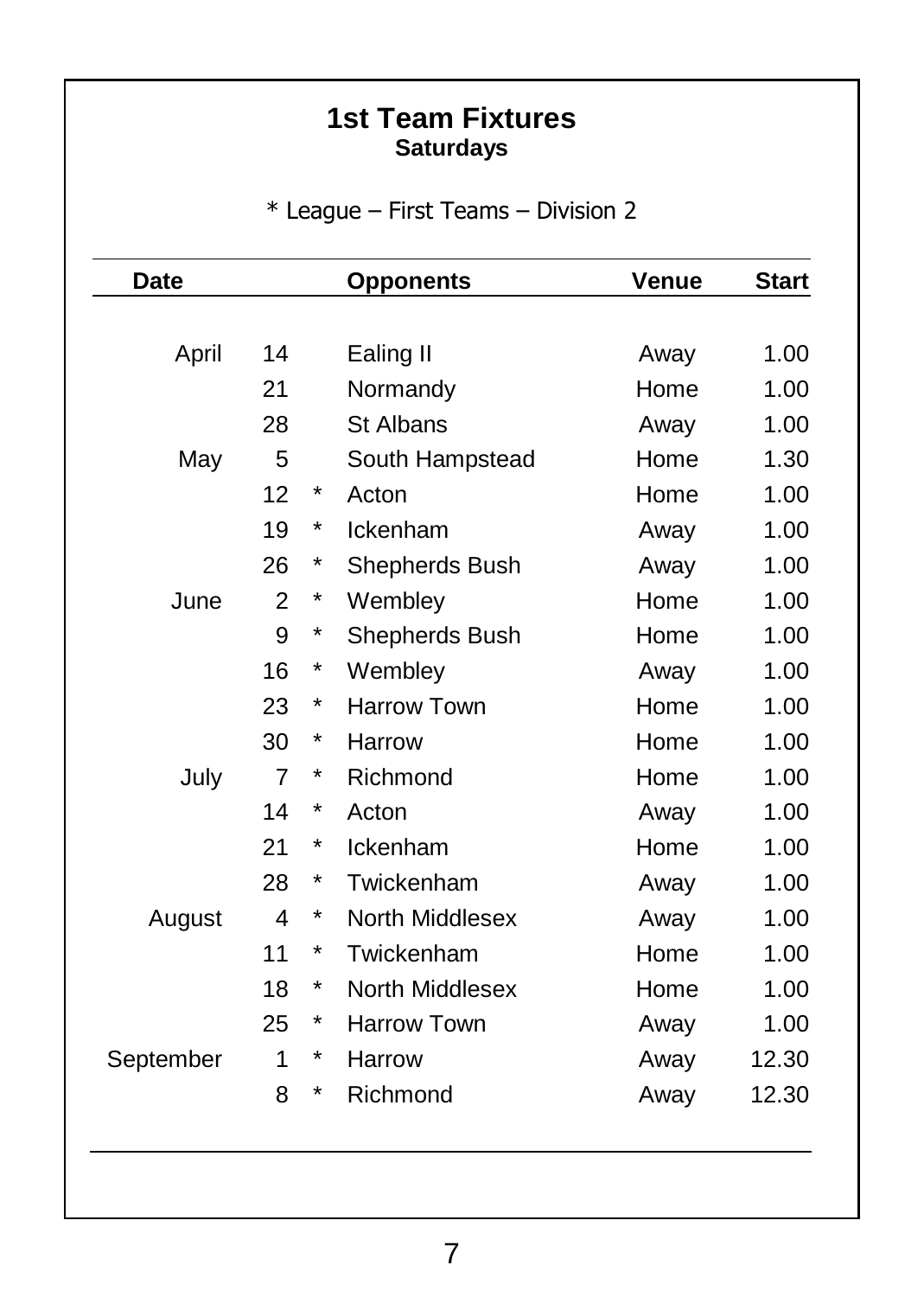#### **1st Team Fixtures Saturdays**

\* League – First Teams – Division 2

| Date      | <b>Opponents</b> |   |                    | Venue | <b>Start</b> |
|-----------|------------------|---|--------------------|-------|--------------|
|           |                  |   |                    |       |              |
| April     | 14               |   | Ealing II          | Away  | 1.00         |
|           | 21               |   | Normandy           | Home  | 1.00         |
|           | 28               |   | St Albans          | Away  | 1.00         |
| May       | 5                |   | South Hampstead    | Home  | 1.30         |
|           | 12               | * | Acton              | Home  | 1.00         |
|           | 19               | * | Ickenham           | Away  | 1.00         |
|           | 26               | * | Shepherds Bush     | Away  | 1.00         |
| June      | 2                | * | Wembley            | Home  | 1.00         |
|           | 9                | * | Shepherds Bush     | Home  | 1.00         |
|           | 16               | * | Wembley            | Away  | 1.00         |
|           | 23               | * | <b>Harrow Town</b> | Home  | 1.00         |
|           | 30               | * | Harrow             | Home  | 1.00         |
| July      | $\overline{7}$   | * | Richmond           | Home  | 1.00         |
|           | 14               | * | Acton              | Away  | 1.00         |
|           | 21               | * | Ickenham           | Home  | 1.00         |
|           | 28               | * | Twickenham         | Away  | 1.00         |
| August    | 4                | * | North Middlesex    | Away  | 1.00         |
|           | 11               | * | Twickenham         | Home  | 1.00         |
|           | 18               | * | North Middlesex    | Home  | 1.00         |
|           | 25               | * | Harrow Town        | Away  | 1.00         |
| September | 1                | * | Harrow             | Away  | 12.30        |
|           | 8                | * | Richmond           | Away  | 12.30        |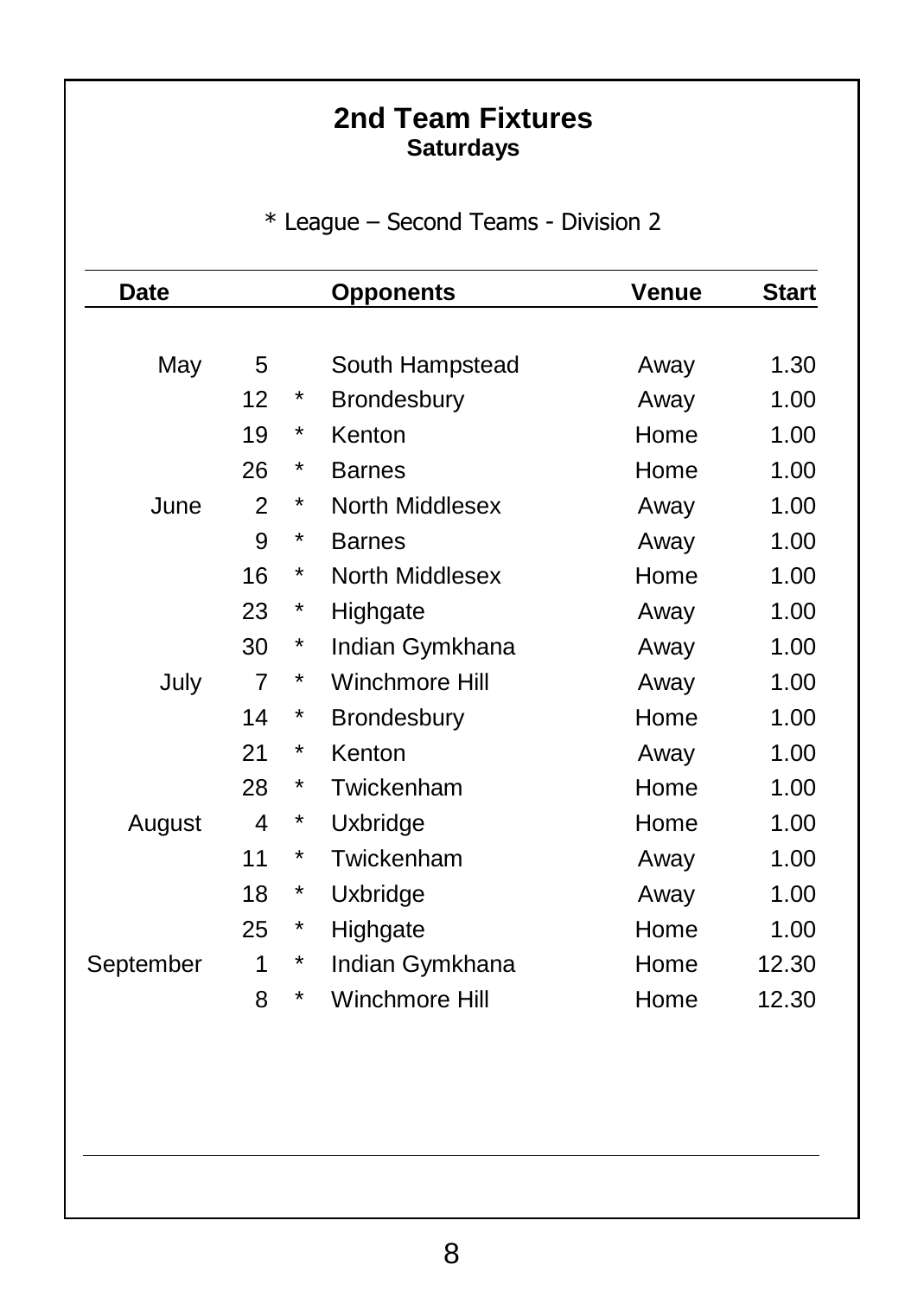#### **2nd Team Fixtures Saturdays**

\* League – Second Teams - Division 2

| Date      |                |            | <b>Opponents</b>   | Venue | <b>Start</b> |
|-----------|----------------|------------|--------------------|-------|--------------|
|           |                |            |                    |       |              |
| May       | 5              |            | South Hampstead    | Away  | 1.30         |
|           | 12             | *          | Brondesbury        | Away  | 1.00         |
|           | 19             | *          | Kenton             | Home  | 1.00         |
|           | 26             | *          | <b>Barnes</b>      | Home  | 1.00         |
| June      | $\mathfrak{p}$ | *          | North Middlesex    | Away  | 1.00         |
|           | 9              | *          | <b>Barnes</b>      | Away  | 1.00         |
|           | 16             | *          | North Middlesex    | Home  | 1.00         |
|           | 23             | $^{\ast}$  | Highgate           | Away  | 1.00         |
|           | 30             | $^\star$   | Indian Gymkhana    | Away  | 1.00         |
| July      | $\overline{7}$ | *          | Winchmore Hill     | Away  | 1.00         |
|           | 14             | *          | <b>Brondesbury</b> | Home  | 1.00         |
|           | 21             | *          | Kenton             | Away  | 1.00         |
|           | 28             | *          | Twickenham         | Home  | 1.00         |
| August    | 4              | $^{\ast}$  | Uxbridge           | Home  | 1.00         |
|           | 11             | *          | Twickenham         | Away  | 1.00         |
|           | 18             | $^{\ast}$  | Uxbridge           | Away  | 1.00         |
|           | 25             | $^{\star}$ | Highgate           | Home  | 1.00         |
| September | 1              | $^{\ast}$  | Indian Gymkhana    | Home  | 12.30        |
|           | 8              | *          | Winchmore Hill     | Home  | 12.30        |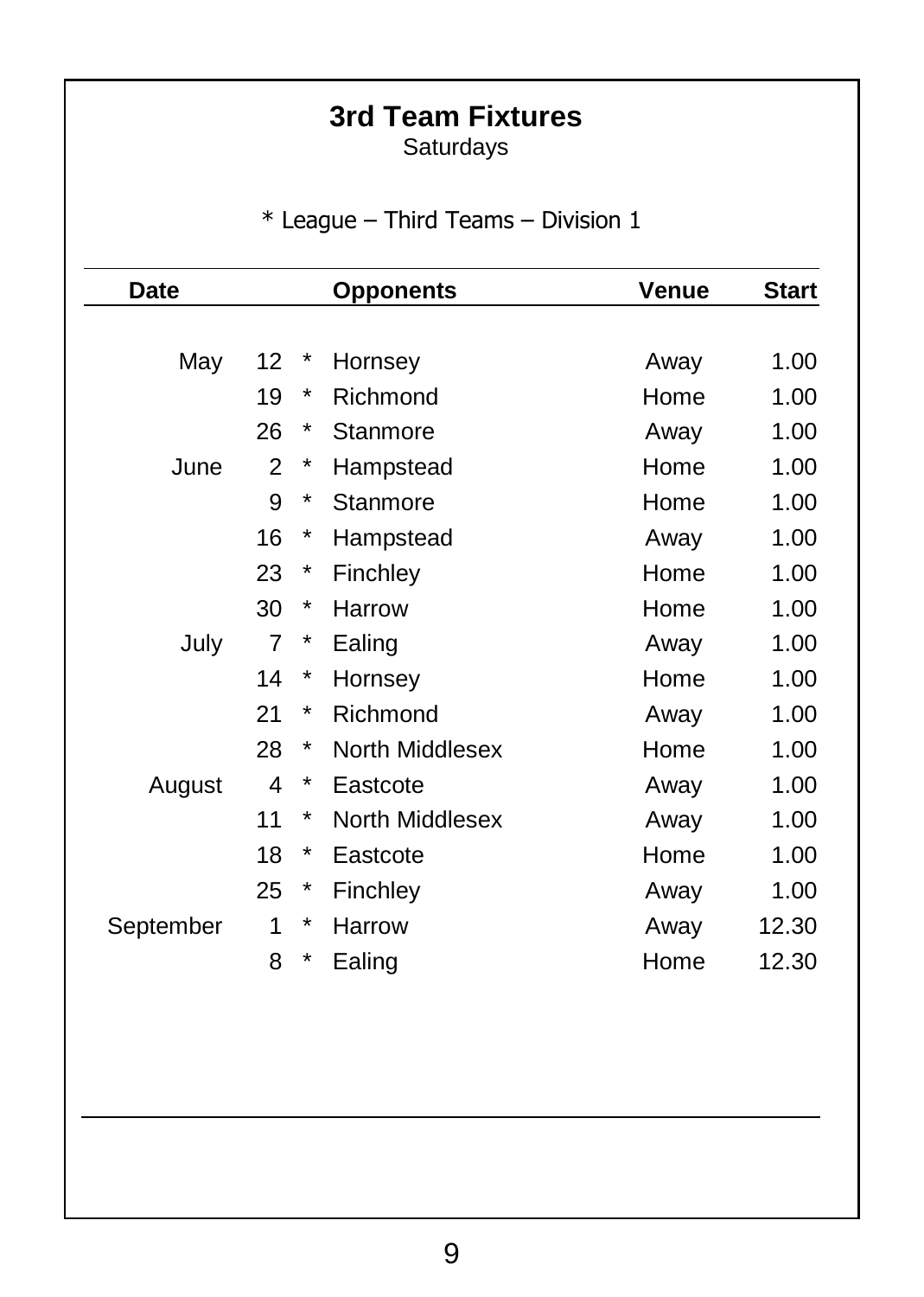# **3rd Team Fixtures**

Saturdays

\* League – Third Teams – Division 1

| Date      | <b>Opponents</b> |            |                 | Venue | <b>Start</b> |
|-----------|------------------|------------|-----------------|-------|--------------|
|           |                  |            |                 |       |              |
| May       | 12               | $\ast$     | Hornsey         | Away  | 1.00         |
|           | 19               | $^{\star}$ | Richmond        | Home  | 1.00         |
|           | 26               | *          | Stanmore        | Away  | 1.00         |
| June      | 2                | $^{\ast}$  | Hampstead       | Home  | 1.00         |
|           | 9                | *          | Stanmore        | Home  | 1.00         |
|           | 16               | *          | Hampstead       | Away  | 1.00         |
|           | 23               | $\ast$     | Finchley        | Home  | 1.00         |
|           | 30               | *          | Harrow          | Home  | 1.00         |
| July      | 7                | *          | Ealing          | Away  | 1.00         |
|           | 14               | *          | Hornsey         | Home  | 1.00         |
|           | 21               | *          | Richmond        | Away  | 1.00         |
|           | 28               | *          | North Middlesex | Home  | 1.00         |
| August    | 4                | $\ast$     | Eastcote        | Away  | 1.00         |
|           | 11               | $^{\star}$ | North Middlesex | Away  | 1.00         |
|           | 18               | $^{\star}$ | Eastcote        | Home  | 1.00         |
|           | 25               | *          | Finchley        | Away  | 1.00         |
| September | 1                | *          | Harrow          | Away  | 12.30        |
|           | 8                | *          | Ealing          | Home  | 12.30        |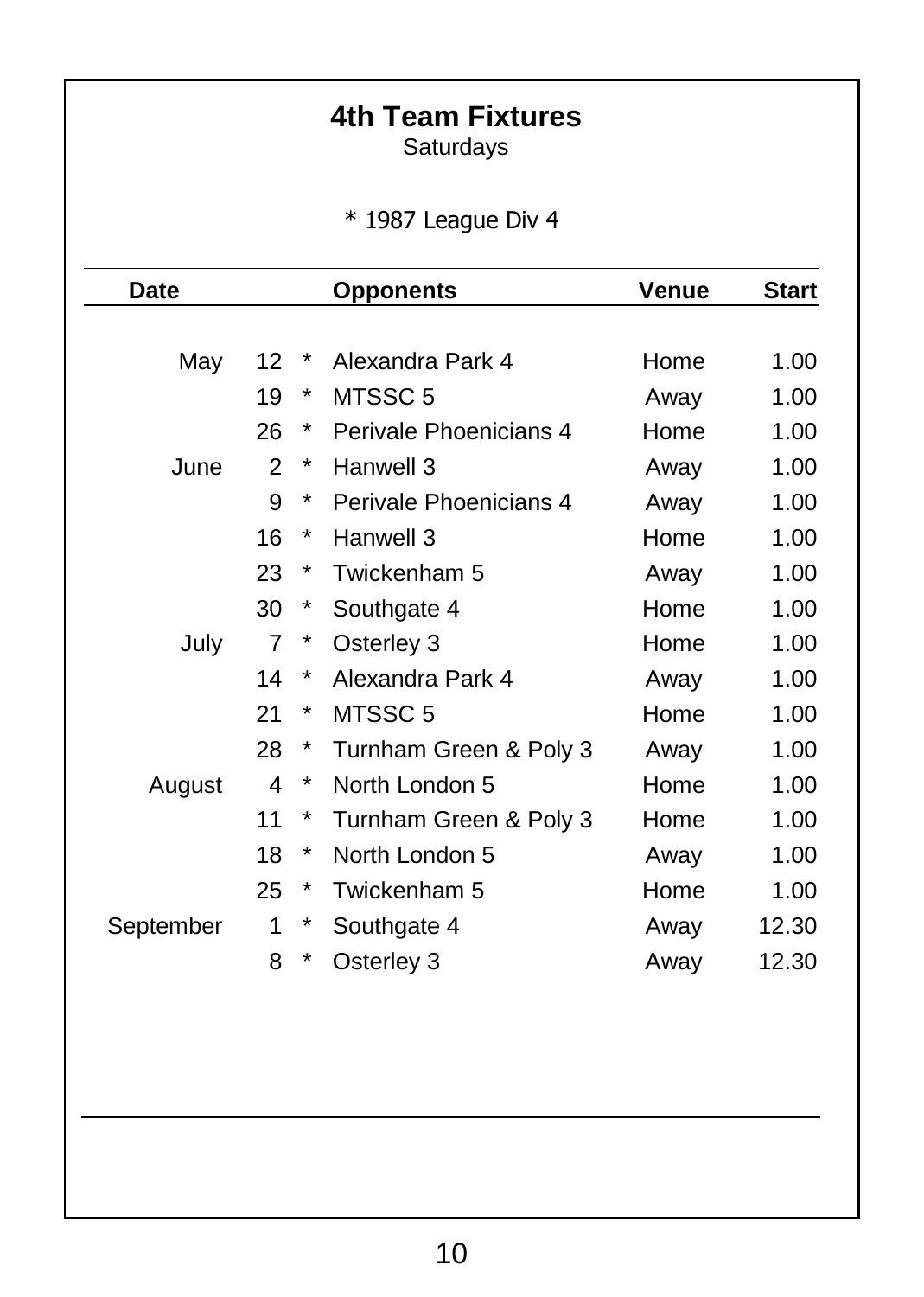# **4th Team Fixtures**

Saturdays

\* 1987 League Div 4

| Date      | <b>Opponents</b> |            |                        | Venue | <b>Start</b> |
|-----------|------------------|------------|------------------------|-------|--------------|
|           |                  |            |                        |       |              |
| May       | 12               | *          | Alexandra Park 4       | Home  | 1.00         |
|           | 19               | *          | MTSSC 5                | Away  | 1.00         |
|           | 26               | *          | Perivale Phoenicians 4 | Home  | 1.00         |
| June      | 2                | $\ast$     | Hanwell 3              | Away  | 1.00         |
|           | 9                | *          | Perivale Phoenicians 4 | Away  | 1.00         |
|           | 16               | *          | Hanwell 3              | Home  | 1.00         |
|           | 23               | $\ast$     | Twickenham 5           | Away  | 1.00         |
|           | 30               | *          | Southgate 4            | Home  | 1.00         |
| July      | 7                | $\ast$     | Osterley 3             | Home  | 1.00         |
|           | 14               | *          | Alexandra Park 4       | Away  | 1.00         |
|           | 21               | *          | MTSSC 5                | Home  | 1.00         |
|           | 28               | $\ast$     | Turnham Green & Poly 3 | Away  | 1.00         |
| August    | 4                | *          | North London 5         | Home  | 1.00         |
|           | 11               | $^{\star}$ | Turnham Green & Poly 3 | Home  | 1.00         |
|           | 18               | *          | North London 5         | Away  | 1.00         |
|           | 25               | *          | Twickenham 5           | Home  | 1.00         |
| September | 1                | $\ast$     | Southgate 4            | Away  | 12.30        |
|           | 8                | *          | Osterley 3             | Away  | 12.30        |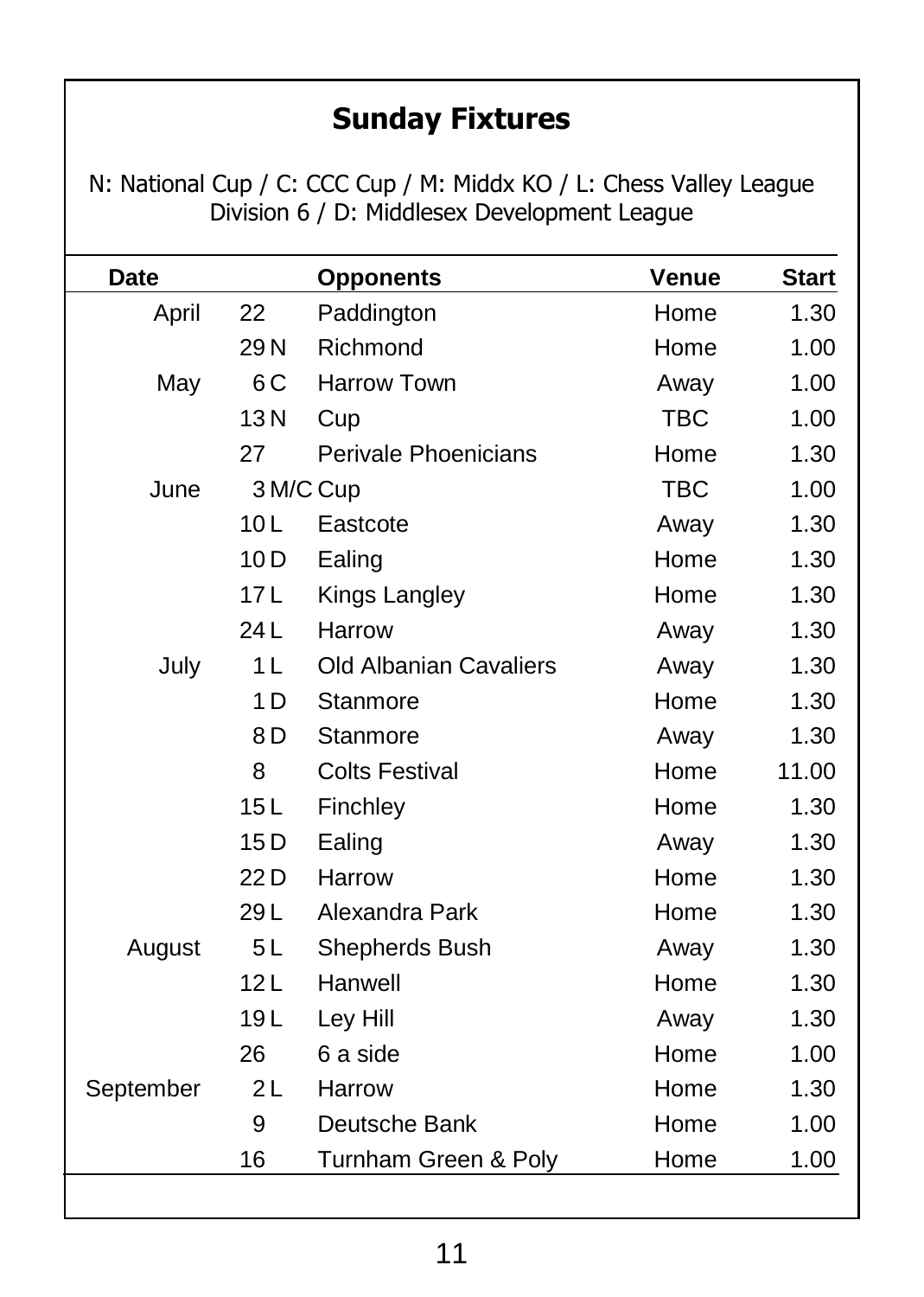# **Sunday Fixtures**

N: National Cup / C: CCC Cup / M: Middx KO / L: Chess Valley League Division 6 / D: Middlesex Development League

| Date      |                 | <b>Opponents</b>       | Venue      | <b>Start</b> |
|-----------|-----------------|------------------------|------------|--------------|
| April     | 22              | Paddington             | Home       | 1.30         |
|           | 29N             | Richmond               | Home       | 1.00         |
| May       | 6 C             | <b>Harrow Town</b>     | Away       | 1.00         |
|           | 13N             | Cup                    | <b>TBC</b> | 1.00         |
|           | 27              | Perivale Phoenicians   | Home       | 1.30         |
| June      |                 | 3 M/C Cup              | <b>TBC</b> | 1.00         |
|           | 10 <sub>L</sub> | Eastcote               | Away       | 1.30         |
|           | 10D             | Ealing                 | Home       | 1.30         |
|           | 17L             | Kings Langley          | Home       | 1.30         |
|           | 24L             | Harrow                 | Away       | 1.30         |
| July      | 1 L             | Old Albanian Cavaliers | Away       | 1.30         |
|           | 1 <sub>D</sub>  | Stanmore               | Home       | 1.30         |
|           | 8 D             | Stanmore               | Away       | 1.30         |
|           | 8               | <b>Colts Festival</b>  | Home       | 11.00        |
|           | 15L             | Finchley               | Home       | 1.30         |
|           | 15D             | Ealing                 | Away       | 1.30         |
|           | 22 D            | Harrow                 | Home       | 1.30         |
|           | 29 L            | Alexandra Park         | Home       | 1.30         |
| August    | 5L              | Shepherds Bush         | Away       | 1.30         |
|           | 12L             | Hanwell                | Home       | 1.30         |
|           | 19L             | Ley Hill               | Away       | 1.30         |
|           | 26              | 6 a side               | Home       | 1.00         |
| September | 2L              | Harrow                 | Home       | 1.30         |
|           | 9               | Deutsche Bank          | Home       | 1.00         |
|           | 16              | Turnham Green & Poly   | Home       | 1.00         |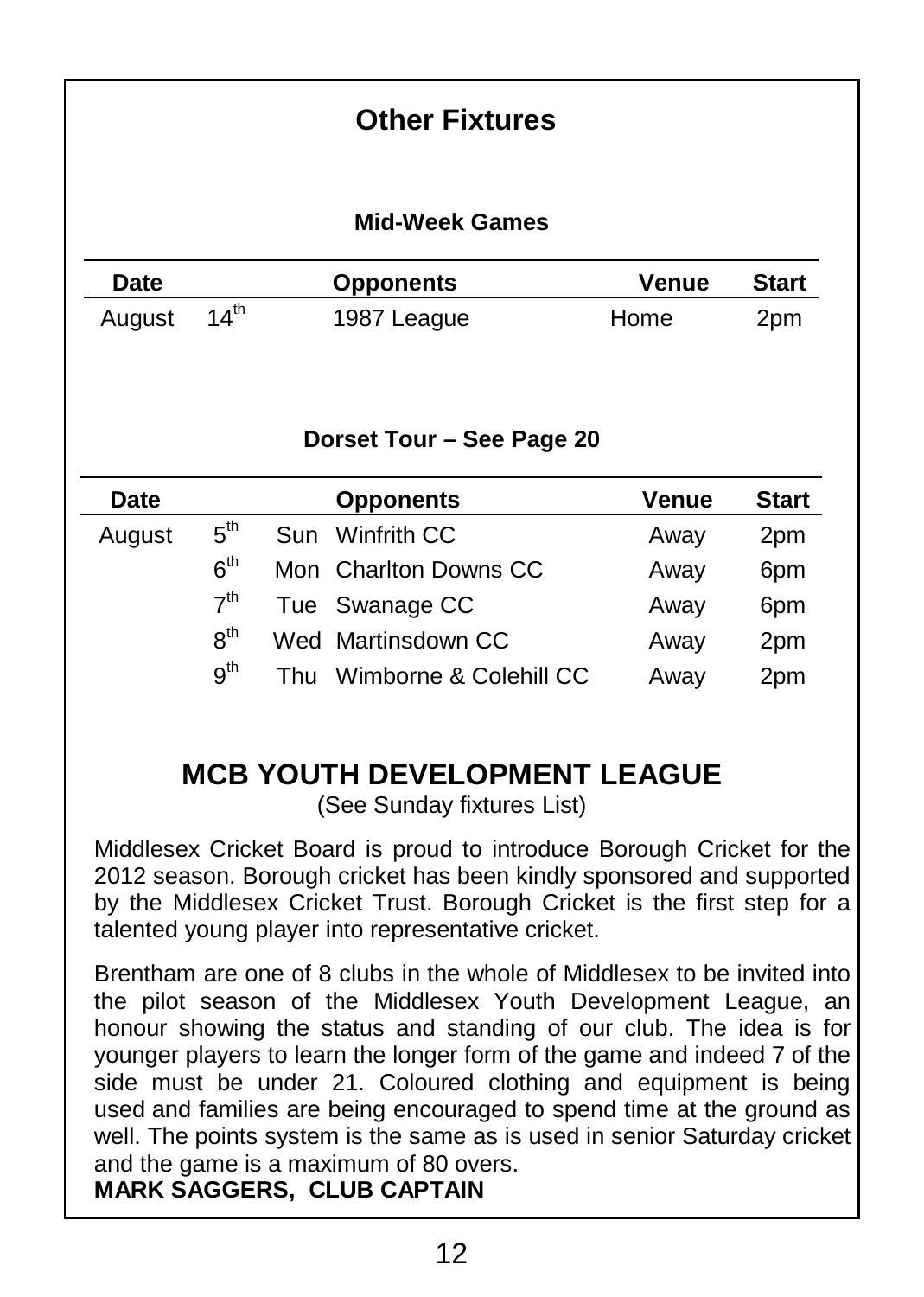### **Other Fixtures**

#### **Mid-Week Games**

| Date   |                  | <b>Opponents</b> | Venue | <b>Start</b> |
|--------|------------------|------------------|-------|--------------|
| August | $14^{\text{th}}$ | 1987 League      | Home  | 2pm          |

#### **Dorset Tour – See Page 20**

| Date   |                 |     | <b>Opponents</b>       | Venue | <b>Start</b>    |
|--------|-----------------|-----|------------------------|-------|-----------------|
| August | 5 <sup>th</sup> |     | Sun Winfrith CC        | Away  | 2pm             |
|        | 6 <sup>th</sup> |     | Mon Charlton Downs CC  | Away  | 6pm             |
|        | 7 <sup>th</sup> |     | Tue Swanage CC         | Away  | 6 <sub>pm</sub> |
|        | $R^{th}$        |     | Wed Martinsdown CC     | Away  | 2pm             |
|        | g <sup>th</sup> | Thu | Wimborne & Colehill CC | Away  | 2 <sub>pm</sub> |

### **MCB YOUTH DEVELOPMENT LEAGUE**

(See Sunday fixtures List)

Middlesex Cricket Board is proud to introduce Borough Cricket for the 2012 season. Borough cricket has been kindly sponsored and supported by the Middlesex Cricket Trust. Borough Cricket is the first step for a talented young player into representative cricket.

Brentham are one of 8 clubs in the whole of Middlesex to be invited into the pilot season of the Middlesex Youth Development League, an honour showing the status and standing of our club. The idea is for younger players to learn the longer form of the game and indeed 7 of the side must be under 21. Coloured clothing and equipment is being used and families are being encouraged to spend time at the ground as well. The points system is the same as is used in senior Saturday cricket and the game is a maximum of 80 overs. **MARK SAGGERS, CLUB CAPTAIN**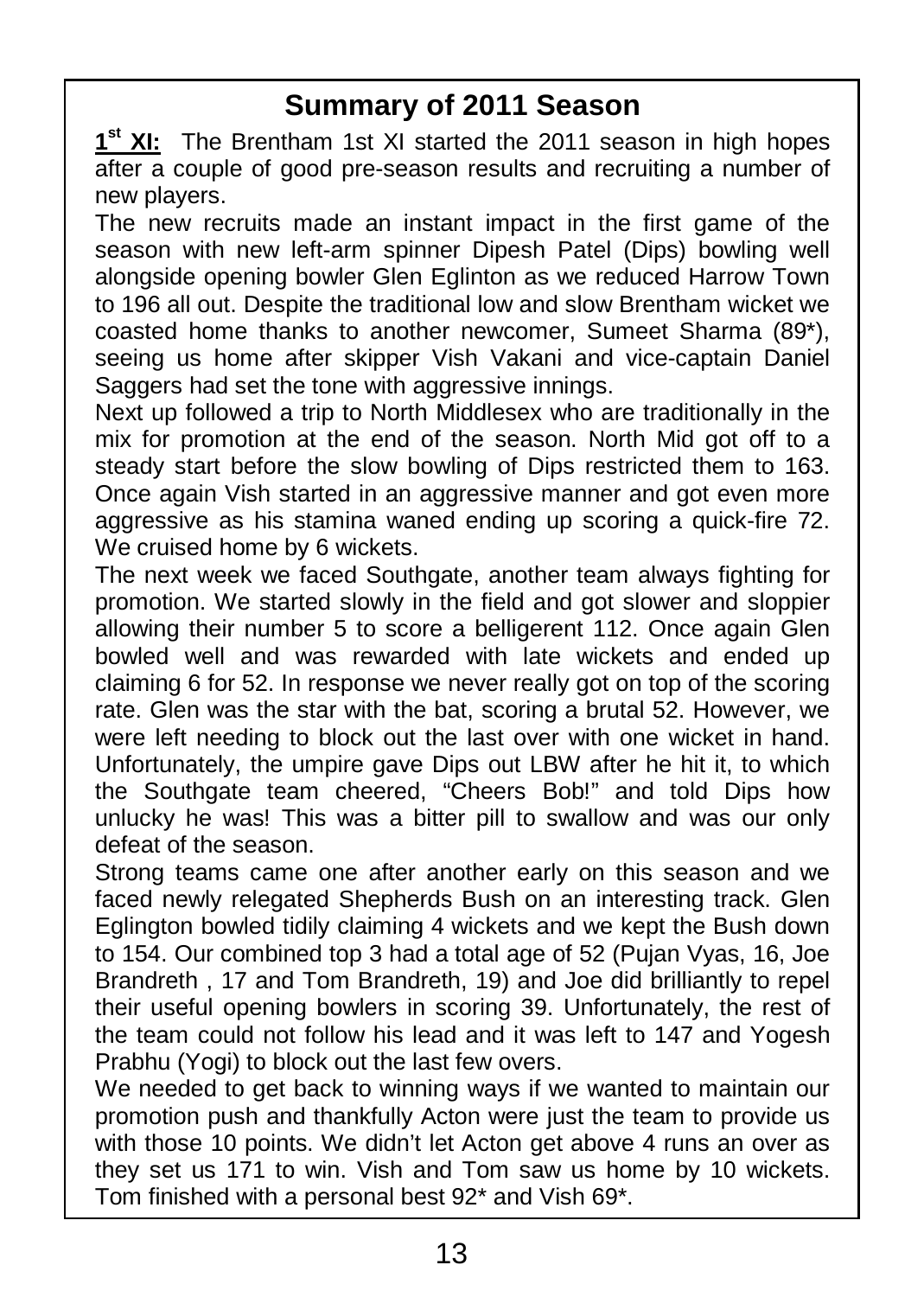## **Summary of 2011 Season**

**1 st XI:** The Brentham 1st XI started the 2011 season in high hopes after a couple of good pre-season results and recruiting a number of new players.

The new recruits made an instant impact in the first game of the season with new left-arm spinner Dipesh Patel (Dips) bowling well alongside opening bowler Glen Eglinton as we reduced Harrow Town to 196 all out. Despite the traditional low and slow Brentham wicket we coasted home thanks to another newcomer, Sumeet Sharma (89\*), seeing us home after skipper Vish Vakani and vice-captain Daniel Saggers had set the tone with aggressive innings.

Next up followed a trip to North Middlesex who are traditionally in the mix for promotion at the end of the season. North Mid got off to a steady start before the slow bowling of Dips restricted them to 163. Once again Vish started in an aggressive manner and got even more aggressive as his stamina waned ending up scoring a quick-fire 72. We cruised home by 6 wickets.

The next week we faced Southgate, another team always fighting for promotion. We started slowly in the field and got slower and sloppier allowing their number 5 to score a belligerent 112. Once again Glen bowled well and was rewarded with late wickets and ended up claiming 6 for 52. In response we never really got on top of the scoring rate. Glen was the star with the bat, scoring a brutal 52. However, we were left needing to block out the last over with one wicket in hand. Unfortunately, the umpire gave Dips out LBW after he hit it, to which the Southgate team cheered, "Cheers Bob!" and told Dips how unlucky he was! This was a bitter pill to swallow and was our only defeat of the season.

Strong teams came one after another early on this season and we faced newly relegated Shepherds Bush on an interesting track. Glen Eglington bowled tidily claiming 4 wickets and we kept the Bush down to 154. Our combined top 3 had a total age of 52 (Pujan Vyas, 16, Joe Brandreth , 17 and Tom Brandreth, 19) and Joe did brilliantly to repel their useful opening bowlers in scoring 39. Unfortunately, the rest of the team could not follow his lead and it was left to 147 and Yogesh Prabhu (Yogi) to block out the last few overs.

We needed to get back to winning ways if we wanted to maintain our promotion push and thankfully Acton were just the team to provide us with those 10 points. We didn't let Acton get above 4 runs an over as they set us 171 to win. Vish and Tom saw us home by 10 wickets. Tom finished with a personal best 92\* and Vish 69\*.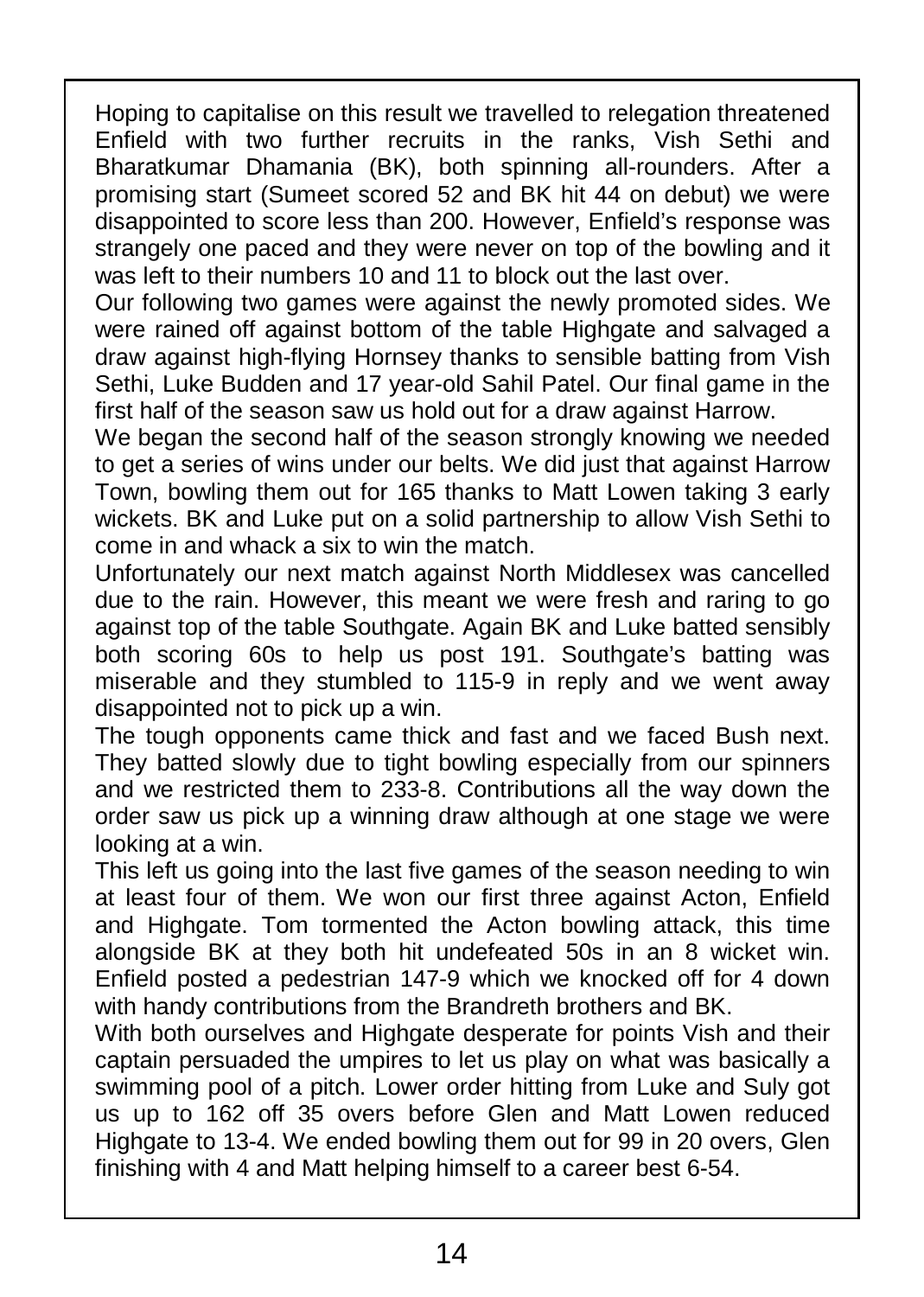Hoping to capitalise on this result we travelled to relegation threatened Enfield with two further recruits in the ranks, Vish Sethi and Bharatkumar Dhamania (BK), both spinning all-rounders. After a promising start (Sumeet scored 52 and BK hit 44 on debut) we were disappointed to score less than 200. However, Enfield's response was strangely one paced and they were never on top of the bowling and it was left to their numbers 10 and 11 to block out the last over.

Our following two games were against the newly promoted sides. We were rained off against bottom of the table Highgate and salvaged a draw against high-flying Hornsey thanks to sensible batting from Vish Sethi, Luke Budden and 17 year-old Sahil Patel. Our final game in the First half of the season saw us hold out for a draw against Harrow.

We began the second half of the season strongly knowing we needed to get a series of wins under our belts. We did just that against Harrow Town, bowling them out for 165 thanks to Matt Lowen taking 3 early wickets. BK and Luke put on a solid partnership to allow Vish Sethi to come in and whack a six to win the match.

Unfortunately our next match against North Middlesex was cancelled due to the rain. However, this meant we were fresh and raring to go against top of the table Southgate. Again BK and Luke batted sensibly both scoring 60s to help us post 191. Southgate's batting was miserable and they stumbled to 115-9 in reply and we went away disappointed not to pick up a win.

The tough opponents came thick and fast and we faced Bush next. They batted slowly due to tight bowling especially from our spinners and we restricted them to 233-8. Contributions all the way down the order saw us pick up a winning draw although at one stage we were looking at a win.

This left us going into the last five games of the season needing to win at least four of them. We won our first three against Acton, Enfield and Highgate. Tom tormented the Acton bowling attack, this time alongside BK at they both hit undefeated 50s in an 8 wicket win. Enfield posted a pedestrian 147-9 which we knocked off for 4 down with handy contributions from the Brandreth brothers and BK.

With both ourselves and Highgate desperate for points Vish and their captain persuaded the umpires to let us play on what was basically a swimming pool of a pitch. Lower order hitting from Luke and Suly got us up to 162 off 35 overs before Glen and Matt Lowen reduced Highgate to 13-4. We ended bowling them out for 99 in 20 overs, Glen finishing with 4 and Matt helping himself to a career best 6-54.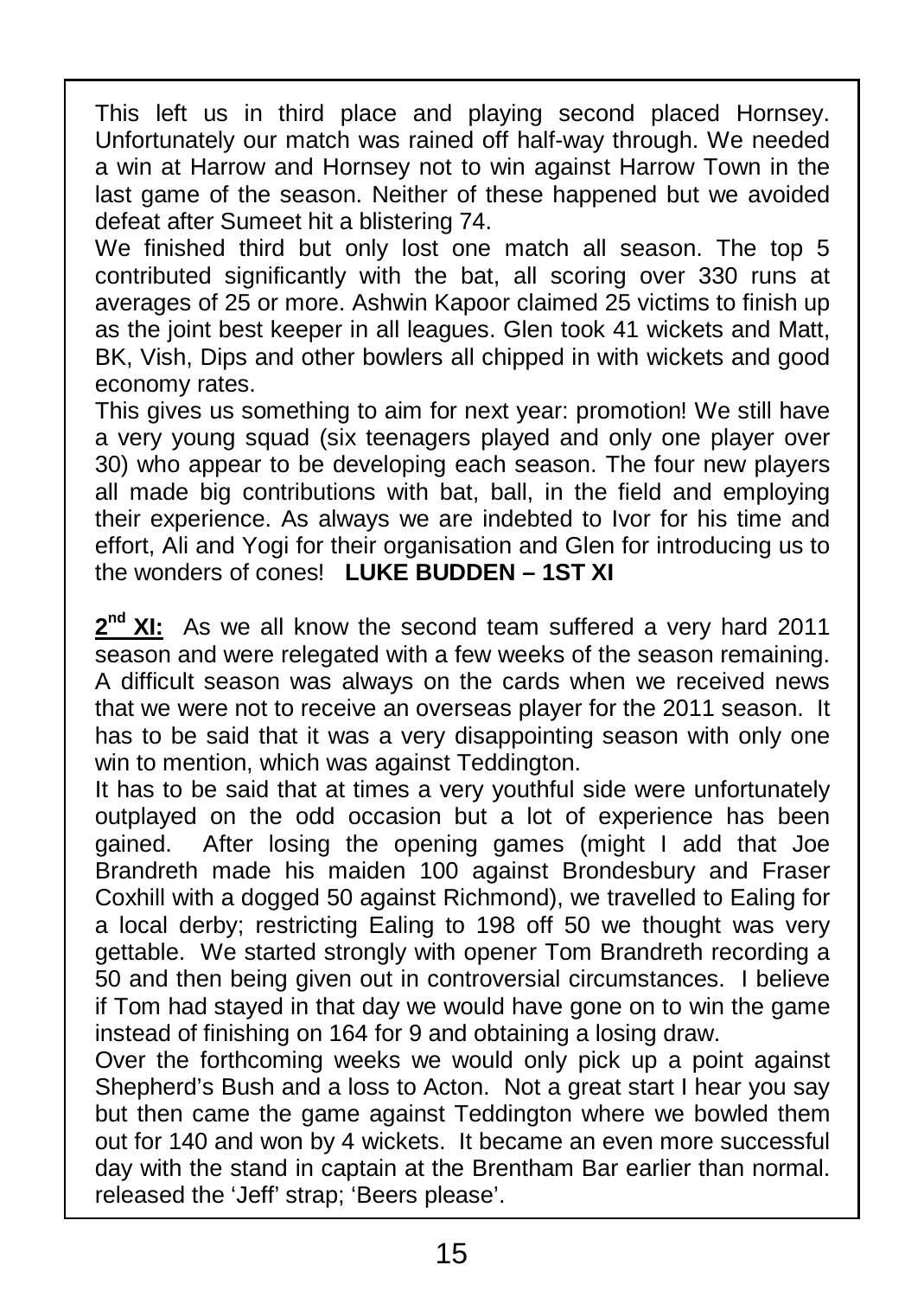This left us in third place and playing second placed Hornsey. Unfortunately our match was rained off half-way through. We needed a win at Harrow and Hornsey not to win against Harrow Town in the last game of the season. Neither of these happened but we avoided defeat after Sumeet hit a blistering 74.

We finished third but only lost one match all season. The top 5 contributed significantly with the bat, all scoring over 330 runs at averages of 25 or more. Ashwin Kapoor claimed 25 victims to finish up as the joint best keeper in all leagues. Glen took 41 wickets and Matt, BK, Vish, Dips and other bowlers all chipped in with wickets and good economy rates.

This gives us something to aim for next year: promotion! We still have a very young squad (six teenagers played and only one player over 30) who appear to be developing each season. The four new players all made big contributions with bat, ball, in the field and employing their experience. As always we are indebted to Ivor for his time and effort, Ali and Yogi for their organisation and Glen for introducing us to  $\parallel$ the wonders of cones! **LUKE BUDDEN – 1ST XI**

2<sup>nd</sup> XI: As we all know the second team suffered a very hard 2011 season and were relegated with a few weeks of the season remaining. A difficult season was always on the cards when we received news that we were not to receive an overseas player for the 2011 season. It has to be said that it was a very disappointing season with only one win to mention, which was against Teddington.

It has to be said that at times a very youthful side were unfortunately outplayed on the odd occasion but a lot of experience has been gained. After losing the opening games (might I add that Joe Brandreth made his maiden 100 against Brondesbury and Fraser Coxhill with a dogged 50 against Richmond), we travelled to Ealing for a local derby; restricting Ealing to 198 off 50 we thought was very gettable. We started strongly with opener Tom Brandreth recording a 50 and then being given out in controversial circumstances. I believe if Tom had stayed in that day we would have gone on to win the game instead of finishing on 164 for 9 and obtaining a losing draw.

Over the forthcoming weeks we would only pick up a point against Shepherd's Bush and a loss to Acton. Not a great start I hear you say but then came the game against Teddington where we bowled them out for 140 and won by 4 wickets. It became an even more successful day with the stand in captain at the Brentham Bar earlier than normal. released the 'Jeff' strap; 'Beers please'.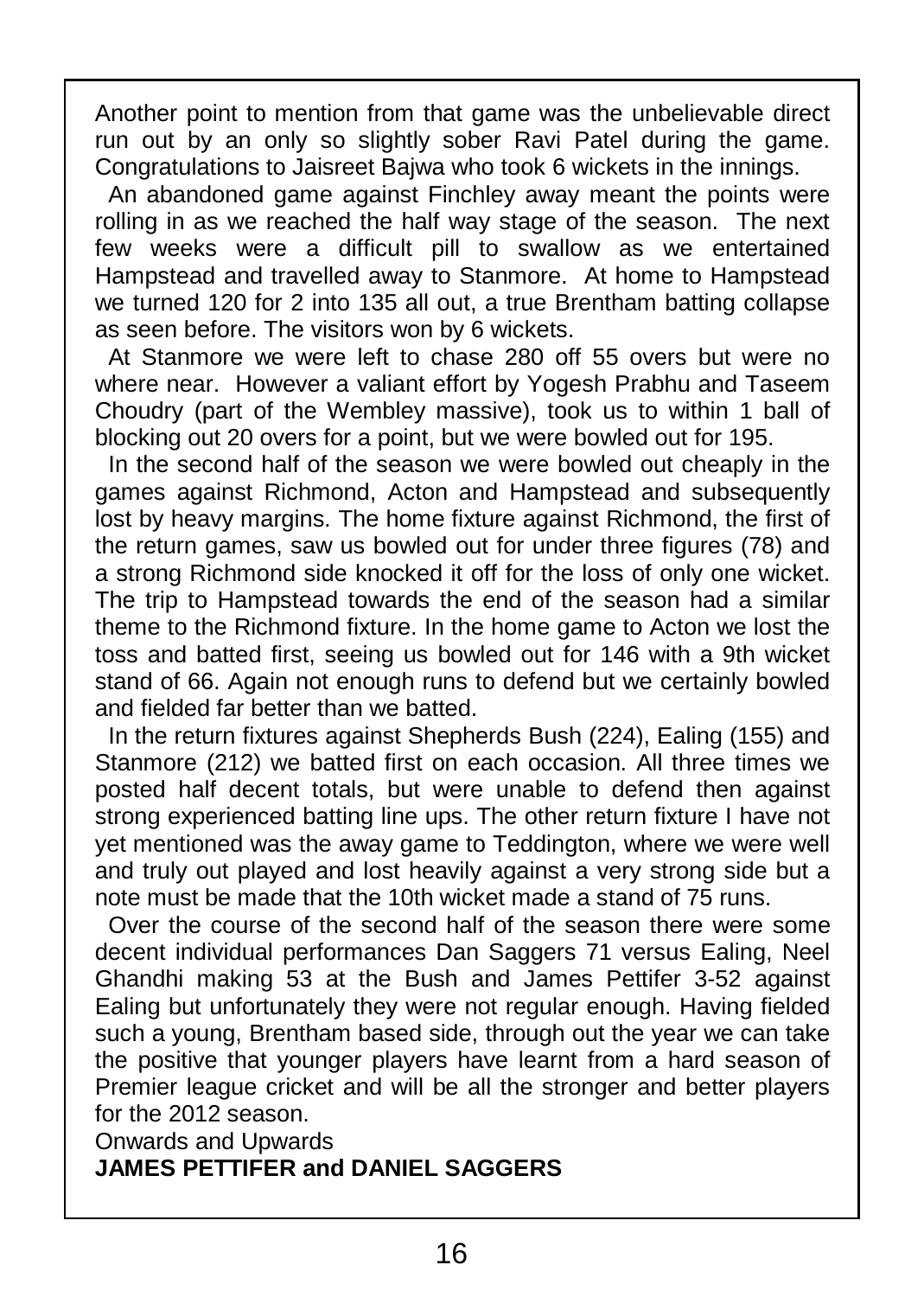Another point to mention from that game was the unbelievable direct run out by an only so slightly sober Ravi Patel during the game. Congratulations to Jaisreet Bajwa who took 6 wickets in the innings.

An abandoned game against Finchley away meant the points were rolling in as we reached the half way stage of the season. The next few weeks were a difficult pill to swallow as we entertained Hampstead and travelled away to Stanmore. At home to Hampstead we turned 120 for 2 into 135 all out, a true Brentham batting collapse as seen before. The visitors won by 6 wickets.

At Stanmore we were left to chase 280 off 55 overs but were no where near. However a valiant effort by Yogesh Prabhu and Taseem Choudry (part of the Wembley massive), took us to within 1 ball of blocking out 20 overs for a point, but we were bowled out for 195.

In the second half of the season we were bowled out cheaply in the games against Richmond, Acton and Hampstead and subsequently lost by heavy margins. The home fixture against Richmond, the first of | the return games, saw us bowled out for under three figures (78) and a strong Richmond side knocked it off for the loss of only one wicket. The trip to Hampstead towards the end of the season had a similar theme to the Richmond fixture. In the home game to Acton we lost the toss and batted first, seeing us bowled out for 146 with a 9th wicket stand of 66. Again not enough runs to defend but we certainly bowled and fielded far better than we batted.

In the return fixtures against Shepherds Bush (224), Ealing (155) and Stanmore (212) we batted first on each occasion. All three times we | posted half decent totals, but were unable to defend then against strong experienced batting line ups. The other return fixture I have not | yet mentioned was the away game to Teddington, where we were well and truly out played and lost heavily against a very strong side but a note must be made that the 10th wicket made a stand of 75 runs.

Over the course of the second half of the season there were some decent individual performances Dan Saggers 71 versus Ealing, Neel Ghandhi making 53 at the Bush and James Pettifer 3-52 against Ealing but unfortunately they were not regular enough. Having fielded such a young, Brentham based side, through out the year we can take the positive that younger players have learnt from a hard season of Premier league cricket and will be all the stronger and better players for the 2012 season.

Onwards and Upwards

#### **JAMES PETTIFER and DANIEL SAGGERS**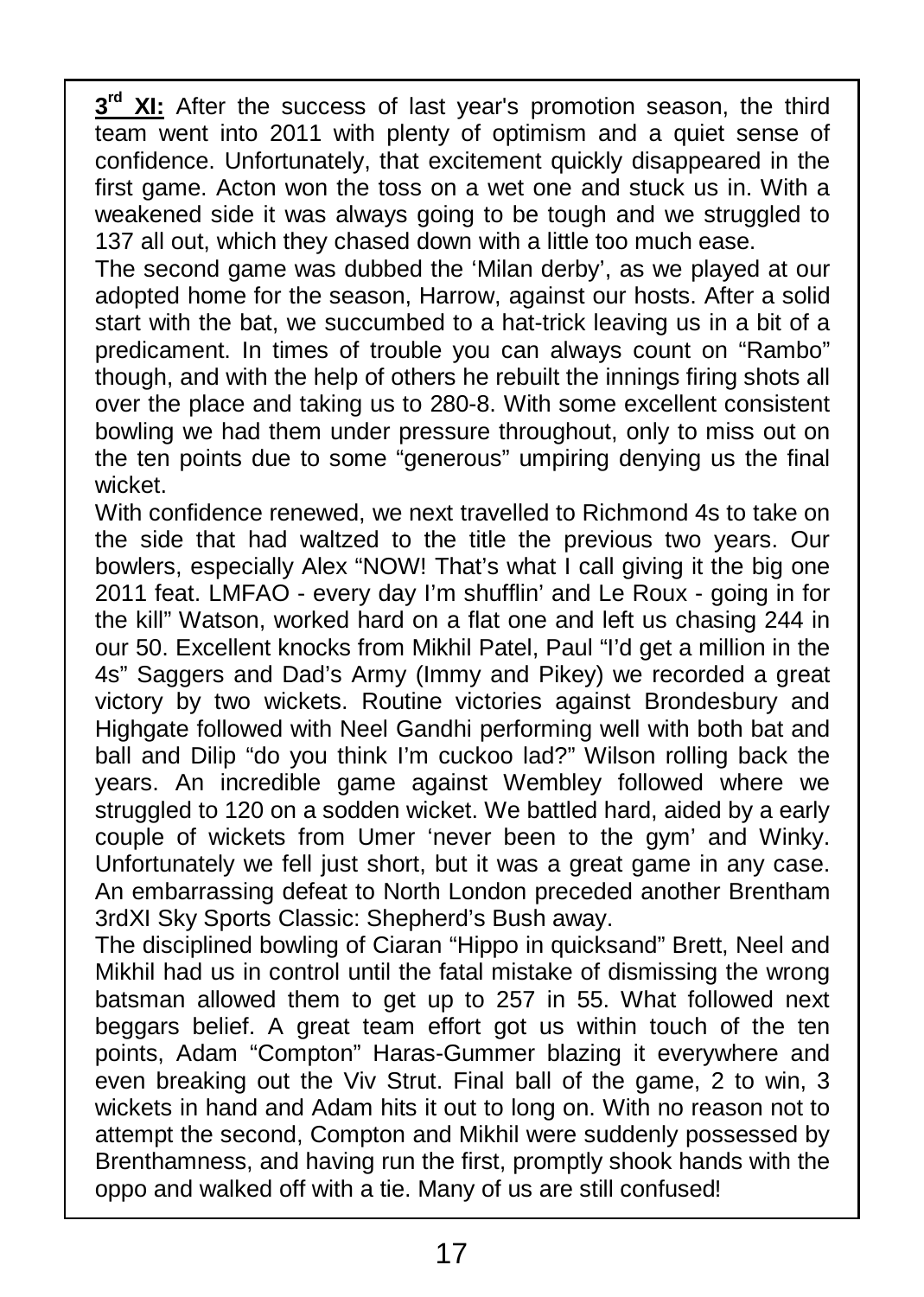$3<sup>rd</sup>$  **XI:** After the success of last year's promotion season, the third team went into 2011 with plenty of optimism and a quiet sense of confidence. Unfortunately, that excitement quickly disappeared in the first game. Acton won the toss on a wet one and stuck us in. With a weakened side it was always going to be tough and we struggled to 137 all out, which they chased down with a little too much ease.

The second game was dubbed the 'Milan derby', as we played at our adopted home for the season, Harrow, against our hosts. After a solid start with the bat, we succumbed to a hat-trick leaving us in a bit of a predicament. In times of trouble you can always count on "Rambo" though, and with the help of others he rebuilt the innings firing shots all over the place and taking us to 280-8. With some excellent consistent bowling we had them under pressure throughout, only to miss out on  $\vert$ the ten points due to some "generous" umpiring denying us the final wicket.

With confidence renewed, we next travelled to Richmond 4s to take on the side that had waltzed to the title the previous two years. Our bowlers, especially Alex "NOW! That's what I call giving it the big one 2011 feat. LMFAO - every day I'm shufflin' and Le Roux - going in for the kill" Watson, worked hard on a flat one and left us chasing 244 in our 50. Excellent knocks from Mikhil Patel, Paul "I'd get a million in the 4s" Saggers and Dad's Army (Immy and Pikey) we recorded a great victory by two wickets. Routine victories against Brondesbury and Highgate followed with Neel Gandhi performing well with both bat and ball and Dilip "do you think I'm cuckoo lad?" Wilson rolling back the years. An incredible game against Wembley followed where we struggled to 120 on a sodden wicket. We battled hard, aided by a early couple of wickets from Umer 'never been to the gym' and Winky. Unfortunately we fell just short, but it was a great game in any case. An embarrassing defeat to North London preceded another Brentham 3rdXI Sky Sports Classic: Shepherd's Bush away.

The disciplined bowling of Ciaran "Hippo in quicksand" Brett, Neel and Mikhil had us in control until the fatal mistake of dismissing the wrong batsman allowed them to get up to 257 in 55. What followed next beggars belief. A great team effort got us within touch of the ten points, Adam "Compton" Haras-Gummer blazing it everywhere and even breaking out the Viv Strut. Final ball of the game, 2 to win, 3 | wickets in hand and Adam hits it out to long on. With no reason not to attempt the second, Compton and Mikhil were suddenly possessed by Brenthamness, and having run the first, promptly shook hands with the oppo and walked off with a tie. Many of us are still confused!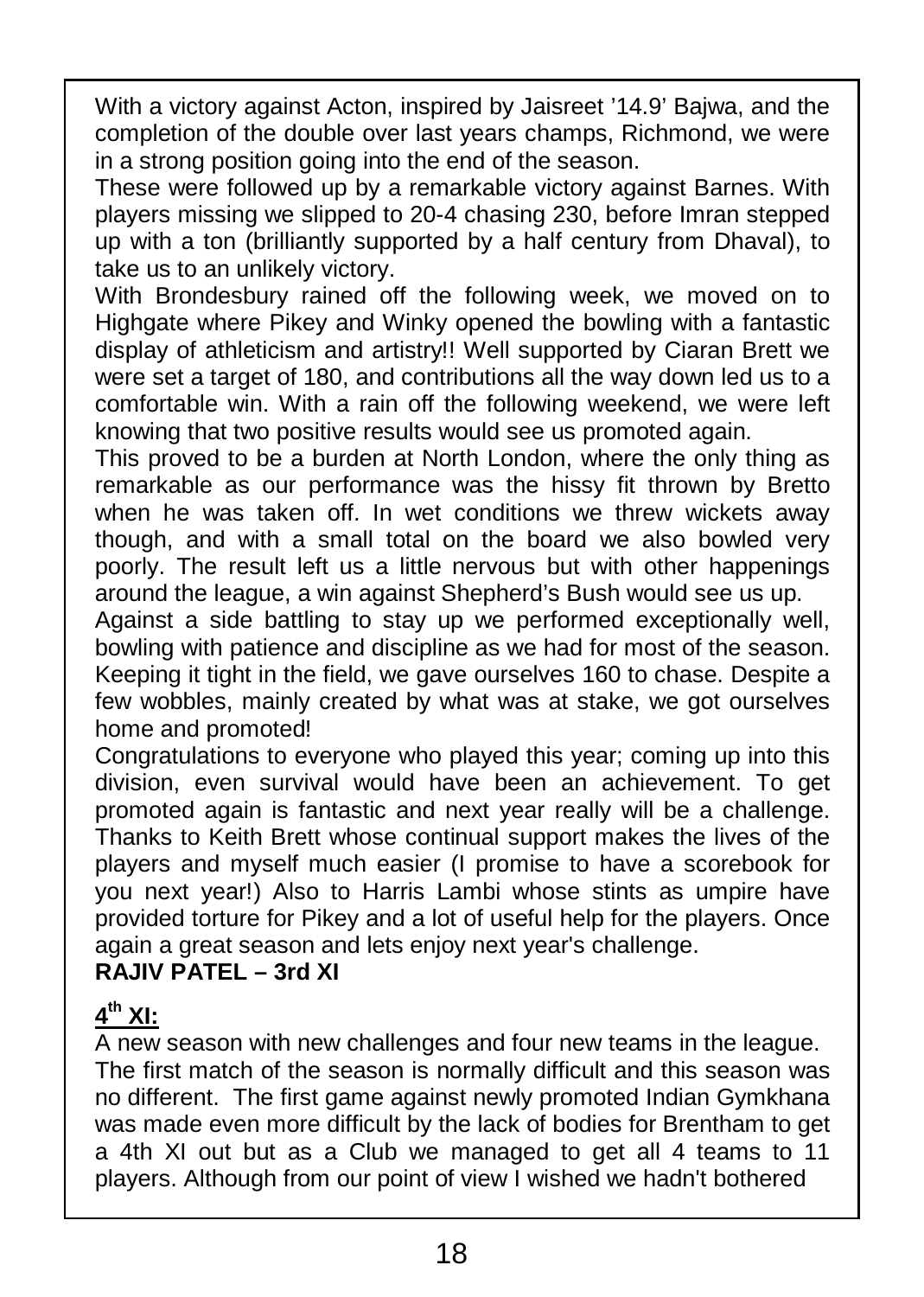With a victory against Acton, inspired by Jaisreet '14.9' Bajwa, and the completion of the double over last years champs, Richmond, we were in a strong position going into the end of the season.

These were followed up by a remarkable victory against Barnes. With players missing we slipped to 20-4 chasing 230, before Imran stepped up with a ton (brilliantly supported by a half century from Dhaval), to take us to an unlikely victory.

With Brondesbury rained off the following week, we moved on to Highgate where Pikey and Winky opened the bowling with a fantastic display of athleticism and artistry!! Well supported by Ciaran Brett we were set a target of 180, and contributions all the way down led us to a comfortable win. With a rain off the following weekend, we were left knowing that two positive results would see us promoted again.

This proved to be a burden at North London, where the only thing as remarkable as our performance was the hissy fit thrown by Bretto when he was taken off. In wet conditions we threw wickets away though, and with a small total on the board we also bowled very poorly. The result left us a little nervous but with other happenings around the league, a win against Shepherd's Bush would see us up.

Against a side battling to stay up we performed exceptionally well, bowling with patience and discipline as we had for most of the season. Keeping it tight in the field, we gave ourselves 160 to chase. Despite a few wobbles, mainly created by what was at stake, we got ourselves home and promoted!

Congratulations to everyone who played this year; coming up into this division, even survival would have been an achievement. To get promoted again is fantastic and next year really will be a challenge. Thanks to Keith Brett whose continual support makes the lives of the players and myself much easier (I promise to have a scorebook for you next year!) Also to Harris Lambi whose stints as umpire have provided torture for Pikey and a lot of useful help for the players. Once again a great season and lets enjoy next year's challenge.

#### **RAJIV PATEL – 3rd XI**

#### **4 th XI:**

A new season with new challenges and four new teams in the league. The first match of the season is normally difficult and this season was no different. The first game against newly promoted Indian Gymkhana was made even more difficult by the lack of bodies for Brentham to get a 4th XI out but as a Club we managed to get all 4 teams to 11 players. Although from our point of view I wished we hadn't bothered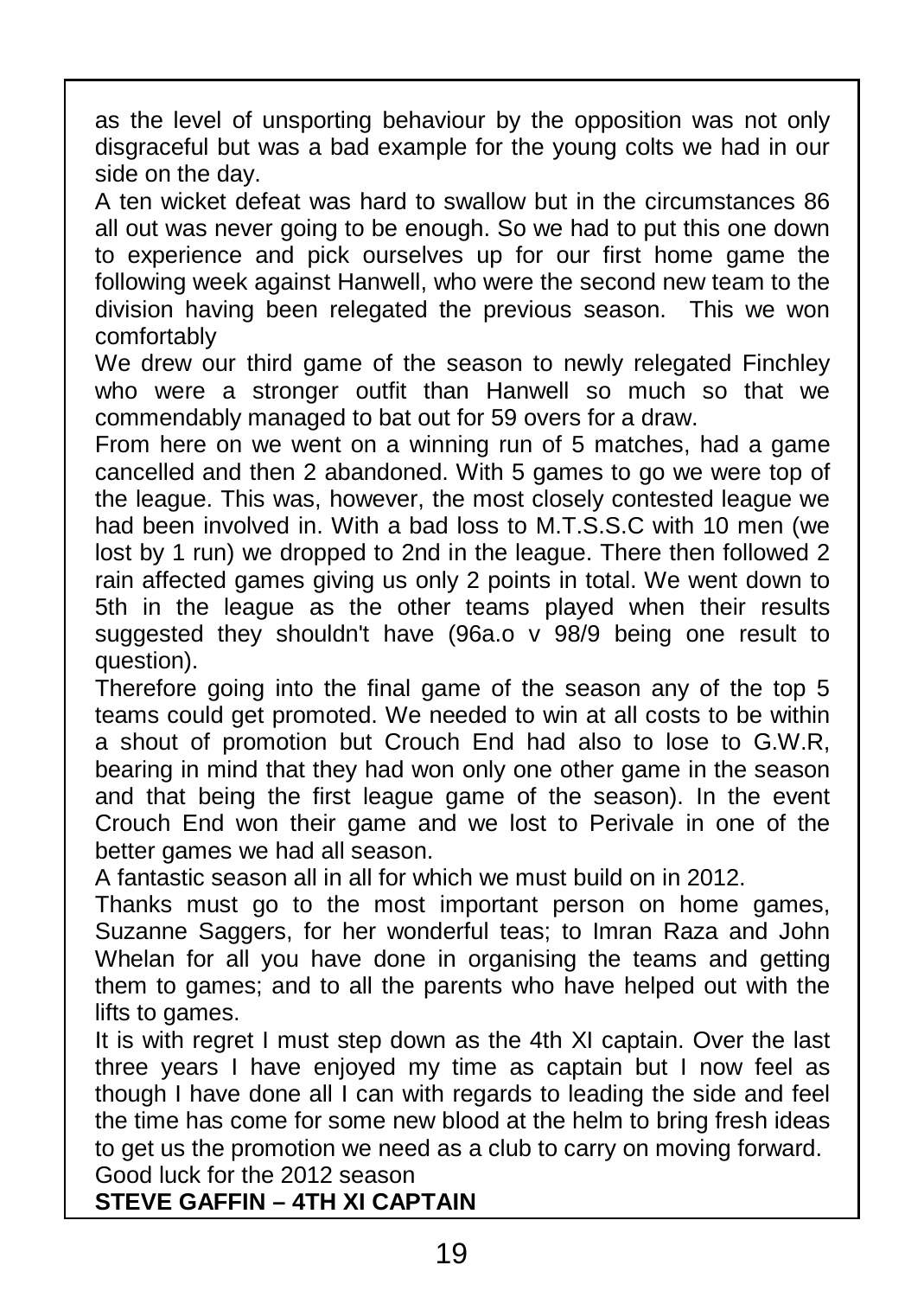as the level of unsporting behaviour by the opposition was not only disgraceful but was a bad example for the young colts we had in our side on the day.

A ten wicket defeat was hard to swallow but in the circumstances 86 all out was never going to be enough. So we had to put this one down to experience and pick ourselves up for our first home game the following week against Hanwell, who were the second new team to the division having been relegated the previous season. This we won comfortably

We drew our third game of the season to newly relegated Finchley who were a stronger outfit than Hanwell so much so that we commendably managed to bat out for 59 overs for a draw.

From here on we went on a winning run of 5 matches, had a game cancelled and then 2 abandoned. With 5 games to go we were top of the league. This was, however, the most closely contested league we had been involved in. With a bad loss to M.T.S.S.C with 10 men (we lost by 1 run) we dropped to 2nd in the league. There then followed 2 rain affected games giving us only 2 points in total. We went down to  $\parallel$ 5th in the league as the other teams played when their results suggested they shouldn't have (96a.o v 98/9 being one result to question).

Therefore going into the final game of the season any of the top 5 teams could get promoted. We needed to win at all costs to be within a shout of promotion but Crouch End had also to lose to G.W.R, bearing in mind that they had won only one other game in the season and that being the first league game of the season). In the event Crouch End won their game and we lost to Perivale in one of the better games we had all season.

A fantastic season all in all for which we must build on in 2012.

Thanks must go to the most important person on home games, Suzanne Saggers, for her wonderful teas; to Imran Raza and John Whelan for all you have done in organising the teams and getting them to games; and to all the parents who have helped out with the lifts to games.

It is with regret I must step down as the 4th XI captain. Over the last three years I have enjoyed my time as captain but I now feel as though I have done all I can with regards to leading the side and feel the time has come for some new blood at the helm to bring fresh ideas to get us the promotion we need as a club to carry on moving forward. Good luck for the 2012 season

**STEVE GAFFIN – 4TH XI CAPTAIN**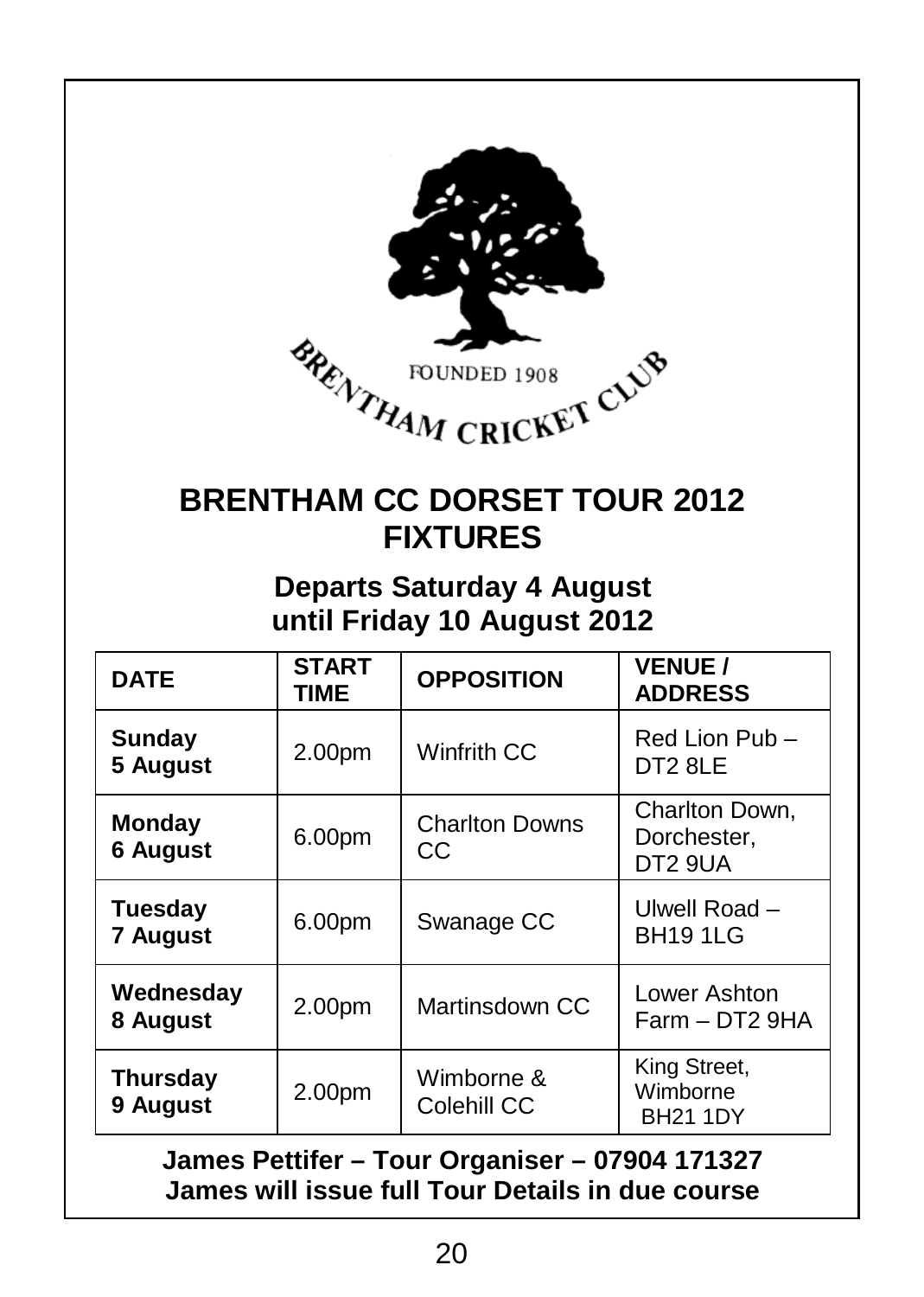

# **BRENTHAM CC DORSET TOUR 2012 FIXTURES**

### **Departs Saturday 4 August until Friday 10 August 2012**

| <b>DATE</b>                                                                                        | <b>START</b><br><b>TIME</b> | <b>OPPOSITION</b>           | <b>VENUE /</b><br><b>ADDRESS</b>            |  |  |
|----------------------------------------------------------------------------------------------------|-----------------------------|-----------------------------|---------------------------------------------|--|--|
| Sunday<br>5 August                                                                                 | 2.00pm                      | Winfrith CC                 | Red Lion Pub -<br>DT2 8LE                   |  |  |
| Monday<br><b>6 August</b>                                                                          | 6.00pm                      | <b>Charlton Downs</b><br>CС | Charlton Down,<br>Dorchester.<br>DT2 9UA    |  |  |
| Tuesday<br><b>7 August</b>                                                                         | 6.00pm                      | Swanage CC                  | Ulwell Road -<br><b>BH19 1LG</b>            |  |  |
| Wednesday<br>8 August                                                                              | 2.00pm                      | Martinsdown CC              | Lower Ashton<br>Farm - DT2 9HA              |  |  |
| <b>Thursday</b><br>9 August                                                                        | 2.00pm                      | Wimborne &<br>Colehill CC   | King Street,<br>Wimborne<br><b>BH21 1DY</b> |  |  |
| James Pettifer - Tour Organiser - 07904 171327<br>James will issue full Tour Details in due course |                             |                             |                                             |  |  |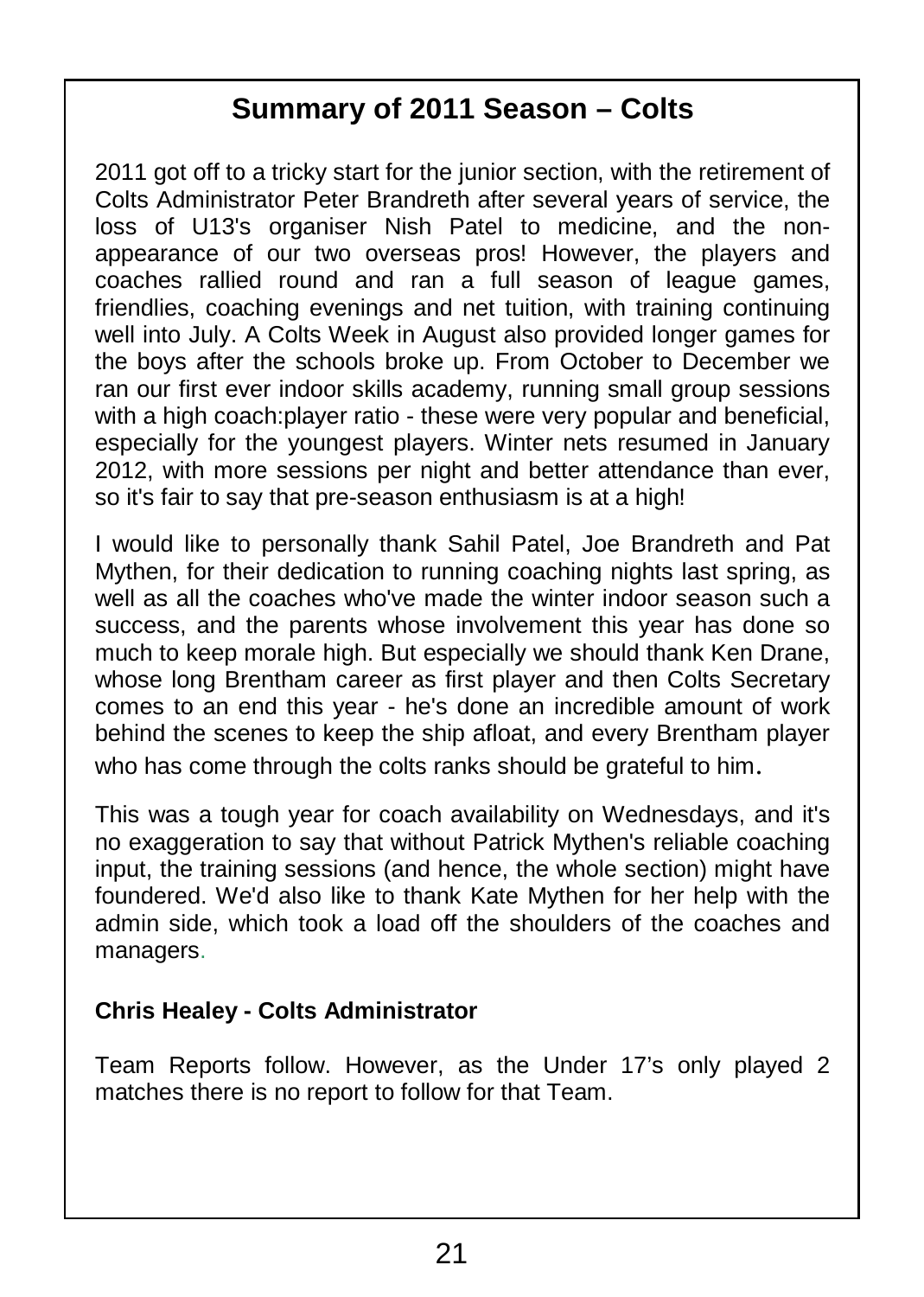## **Summary of 2011 Season – Colts**

2011 got off to a tricky start for the junior section, with the retirement of Colts Administrator Peter Brandreth after several years of service, the loss of U13's organiser Nish Patel to medicine, and the nonappearance of our two overseas pros! However, the players and coaches rallied round and ran a full season of league games, friendlies, coaching evenings and net tuition, with training continuing well into July. A Colts Week in August also provided longer games for the boys after the schools broke up. From October to December we ran our first ever indoor skills academy, running small group sessions with a high coach:player ratio - these were very popular and beneficial, especially for the youngest players. Winter nets resumed in January 2012, with more sessions per night and better attendance than ever, so it's fair to say that pre-season enthusiasm is at a high!

I would like to personally thank Sahil Patel, Joe Brandreth and Pat Mythen, for their dedication to running coaching nights last spring, as well as all the coaches who've made the winter indoor season such a success, and the parents whose involvement this year has done so much to keep morale high. But especially we should thank Ken Drane, whose long Brentham career as first player and then Colts Secretary comes to an end this year - he's done an incredible amount of work behind the scenes to keep the ship afloat, and every Brentham player who has come through the colts ranks should be grateful to him.

This was a tough year for coach availability on Wednesdays, and it's no exaggeration to say that without Patrick Mythen's reliable coaching input, the training sessions (and hence, the whole section) might have foundered. We'd also like to thank Kate Mythen for her help with the admin side, which took a load off the shoulders of the coaches and managers.

#### **Chris Healey - Colts Administrator**

Team Reports follow. However, as the Under 17's only played 2 matches there is no report to follow for that Team.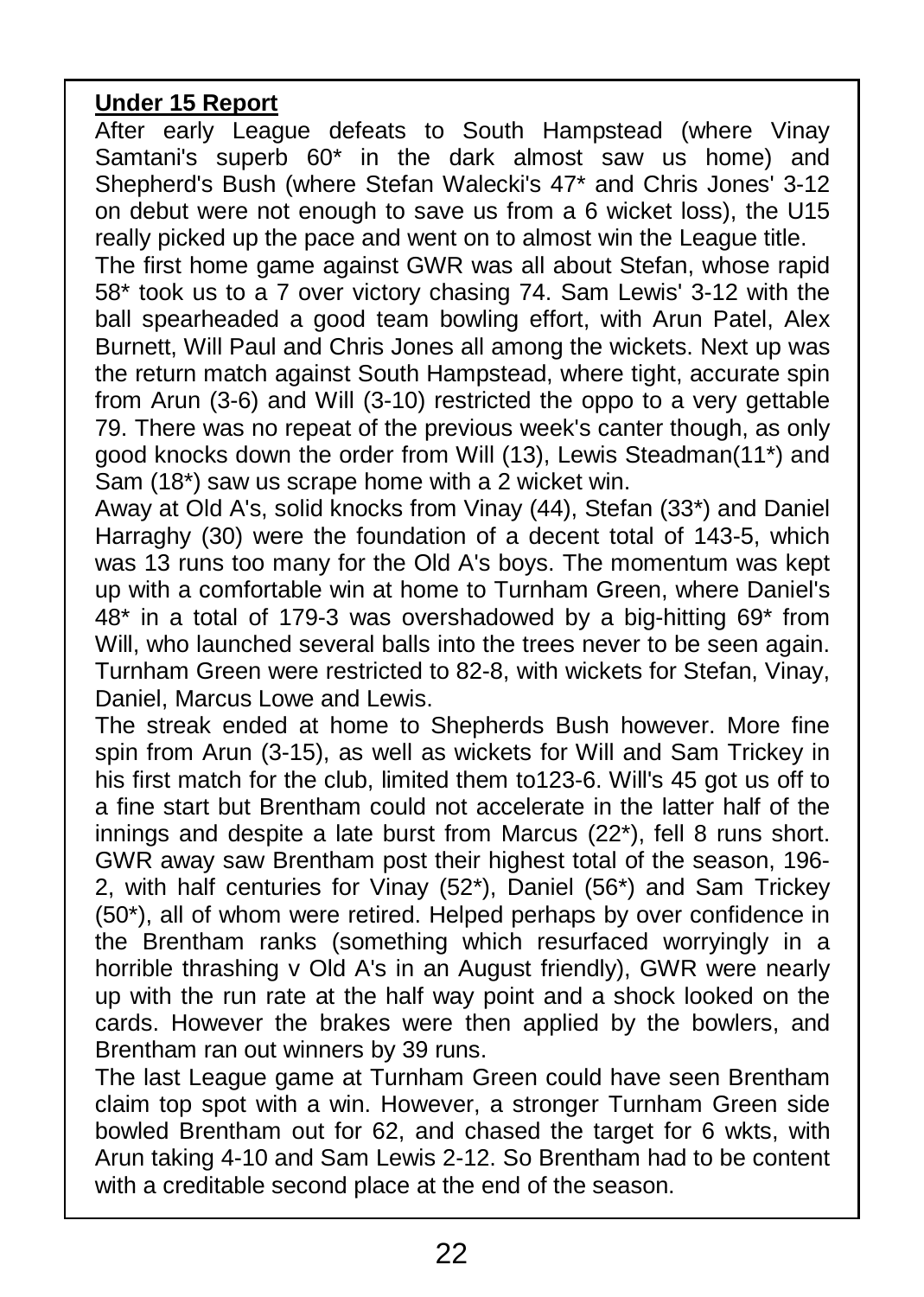#### **Under 15 Report**

After early League defeats to South Hampstead (where Vinay Samtani's superb 60\* in the dark almost saw us home) and Shepherd's Bush (where Stefan Walecki's 47\* and Chris Jones' 3-12 on debut were not enough to save us from a 6 wicket loss), the U15 really picked up the pace and went on to almost win the League title.

The first home game against GWR was all about Stefan, whose rapid 58\* took us to a 7 over victory chasing 74. Sam Lewis' 3-12 with the ball spearheaded a good team bowling effort, with Arun Patel, Alex Burnett, Will Paul and Chris Jones all among the wickets. Next up was the return match against South Hampstead, where tight, accurate spin from Arun (3-6) and Will (3-10) restricted the oppo to a very gettable 79. There was no repeat of the previous week's canter though, as only good knocks down the order from Will (13), Lewis Steadman(11\*) and Sam (18\*) saw us scrape home with a 2 wicket win.

Away at Old A's, solid knocks from Vinay (44), Stefan (33\*) and Daniel Harraghy (30) were the foundation of a decent total of 143-5, which was 13 runs too many for the Old A's boys. The momentum was kept up with a comfortable win at home to Turnham Green, where Daniel's 48\* in a total of 179-3 was overshadowed by a big-hitting 69\* from Will, who launched several balls into the trees never to be seen again. Turnham Green were restricted to 82-8, with wickets for Stefan, Vinay, Daniel, Marcus Lowe and Lewis.

The streak ended at home to Shepherds Bush however. More fine spin from Arun (3-15), as well as wickets for Will and Sam Trickey in his first match for the club, limited them to 123-6. Will's 45 got us off to a fine start but Brentham could not accelerate in the latter half of the innings and despite a late burst from Marcus (22\*), fell 8 runs short. GWR away saw Brentham post their highest total of the season, 196- 2, with half centuries for Vinay (52\*), Daniel (56\*) and Sam Trickey  $(50^*)$ , all of whom were retired. Helped perhaps by over confidence in the Brentham ranks (something which resurfaced worryingly in a horrible thrashing v Old A's in an August friendly), GWR were nearly up with the run rate at the half way point and a shock looked on the cards. However the brakes were then applied by the bowlers, and Brentham ran out winners by 39 runs.

The last League game at Turnham Green could have seen Brentham claim top spot with a win. However, a stronger Turnham Green side bowled Brentham out for 62, and chased the target for 6 wkts, with Arun taking 4-10 and Sam Lewis 2-12. So Brentham had to be content with a creditable second place at the end of the season.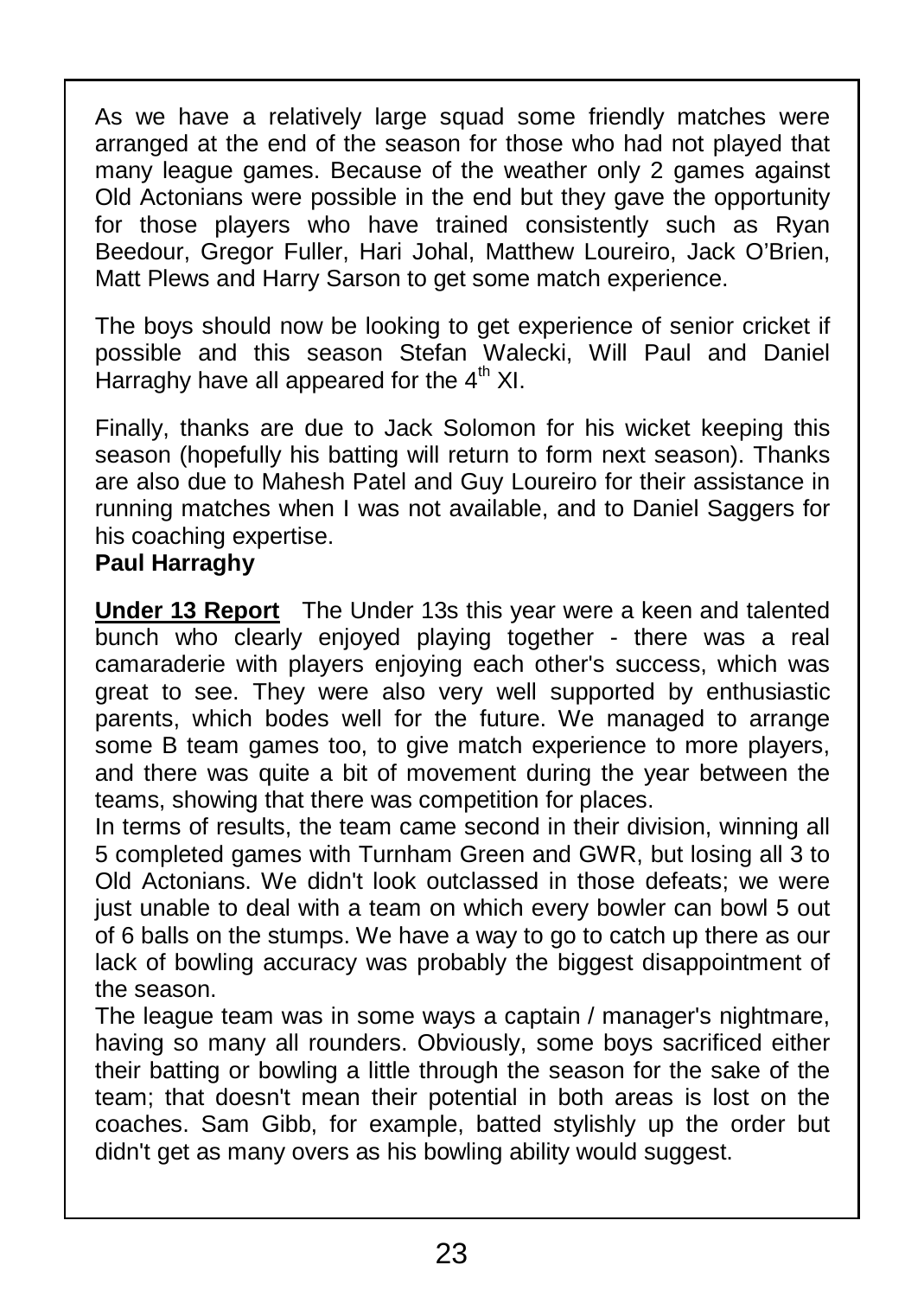As we have a relatively large squad some friendly matches were arranged at the end of the season for those who had not played that many league games. Because of the weather only 2 games against Old Actonians were possible in the end but they gave the opportunity for those players who have trained consistently such as Ryan Beedour, Gregor Fuller, Hari Johal, Matthew Loureiro, Jack O'Brien, Matt Plews and Harry Sarson to get some match experience.

The boys should now be looking to get experience of senior cricket if possible and this season Stefan Walecki, Will Paul and Daniel Harraghy have all appeared for the 4<sup>th</sup> XI.

Finally, thanks are due to Jack Solomon for his wicket keeping this season (hopefully his batting will return to form next season). Thanks are also due to Mahesh Patel and Guy Loureiro for their assistance in running matches when I was not available, and to Daniel Saggers for his coaching expertise.

#### **Paul Harraghy**

**Under 13 Report** The Under 13s this year were a keen and talented bunch who clearly enjoyed playing together - there was a real camaraderie with players enjoying each other's success, which was great to see. They were also very well supported by enthusiastic parents, which bodes well for the future. We managed to arrange some B team games too, to give match experience to more players, and there was quite a bit of movement during the year between the teams, showing that there was competition for places.

In terms of results, the team came second in their division, winning all 5 completed games with Turnham Green and GWR, but losing all 3 to Old Actonians. We didn't look outclassed in those defeats; we were just unable to deal with a team on which every bowler can bowl 5 out of 6 balls on the stumps. We have a way to go to catch up there as our lack of bowling accuracy was probably the biggest disappointment of | the season.

The league team was in some ways a captain / manager's nightmare, having so many all rounders. Obviously, some boys sacrificed either their batting or bowling a little through the season for the sake of the team; that doesn't mean their potential in both areas is lost on the coaches. Sam Gibb, for example, batted stylishly up the order but didn't get as many overs as his bowling ability would suggest.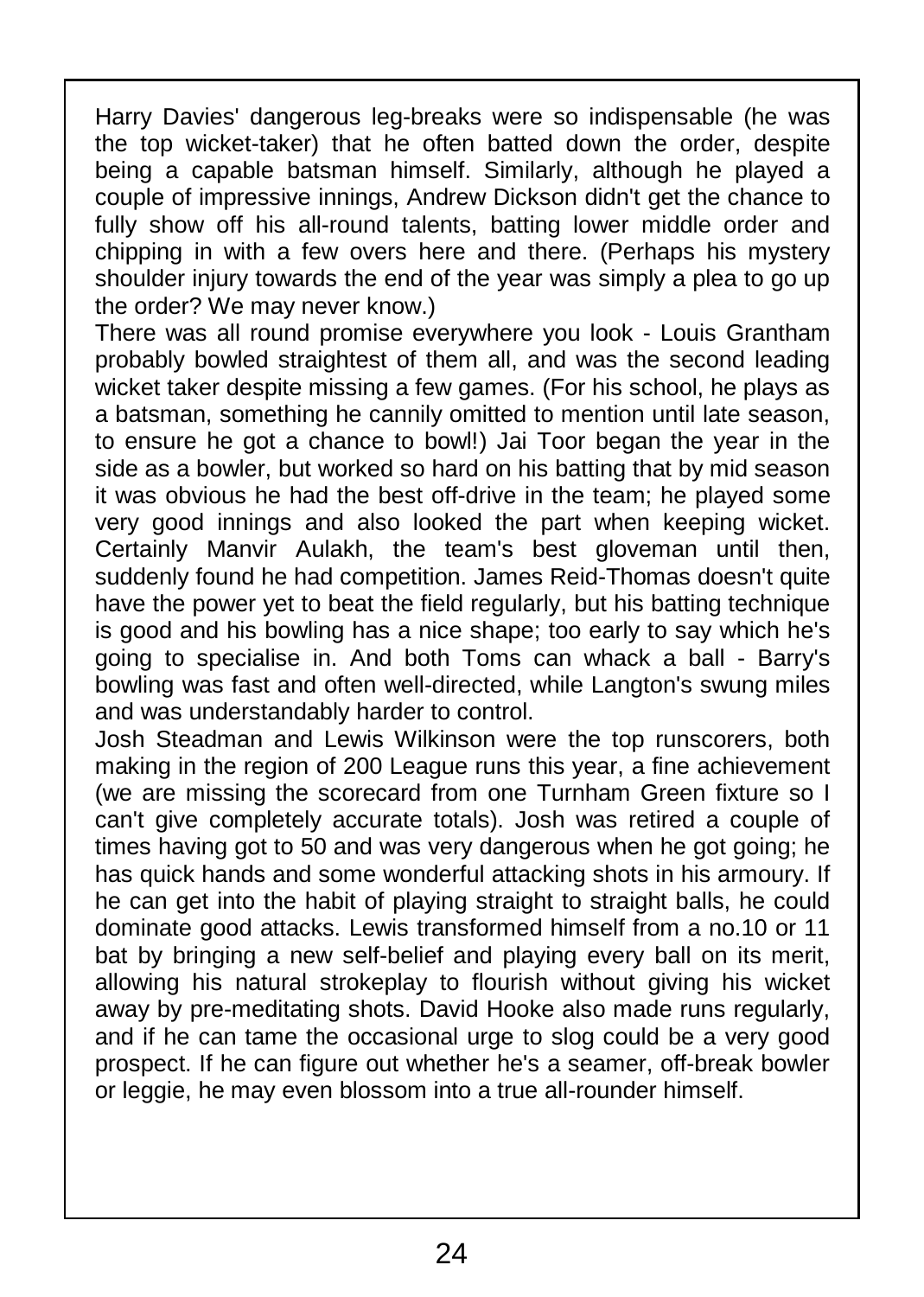Harry Davies' dangerous leg-breaks were so indispensable (he was the top wicket-taker) that he often batted down the order, despite being a capable batsman himself. Similarly, although he played a  $\parallel$ couple of impressive innings, Andrew Dickson didn't get the chance to fully show off his all-round talents, batting lower middle order and chipping in with a few overs here and there. (Perhaps his mystery shoulder injury towards the end of the year was simply a plea to go up  $\parallel$ the order? We may never know.)

There was all round promise everywhere you look - Louis Grantham probably bowled straightest of them all, and was the second leading wicket taker despite missing a few games. (For his school, he plays as a batsman, something he cannily omitted to mention until late season, to ensure he got a chance to bowl!) Jai Toor began the year in the side as a bowler, but worked so hard on his batting that by mid season it was obvious he had the best off-drive in the team; he played some very good innings and also looked the part when keeping wicket. Certainly Manvir Aulakh, the team's best gloveman until then, suddenly found he had competition. James Reid-Thomas doesn't quite have the power yet to beat the field regularly, but his batting technique is good and his bowling has a nice shape; too early to say which he's going to specialise in. And both Toms can whack a ball - Barry's bowling was fast and often well-directed, while Langton's swung miles and was understandably harder to control.

Josh Steadman and Lewis Wilkinson were the top runscorers, both making in the region of 200 League runs this year, a fine achievement (we are missing the scorecard from one Turnham Green fixture so I can't give completely accurate totals). Josh was retired a couple of | times having got to 50 and was very dangerous when he got going; he  $\parallel$ has quick hands and some wonderful attacking shots in his armoury. If  $\parallel$ he can get into the habit of playing straight to straight balls, he could dominate good attacks. Lewis transformed himself from a no.10 or 11 bat by bringing a new self-belief and playing every ball on its merit, allowing his natural strokeplay to flourish without giving his wicket allowing the natural exemptary to housing mineat gring the monet and if he can tame the occasional urge to slog could be a very good prospect. If he can figure out whether he's a seamer, off-break bowler or leggie, he may even blossom into a true all-rounder himself.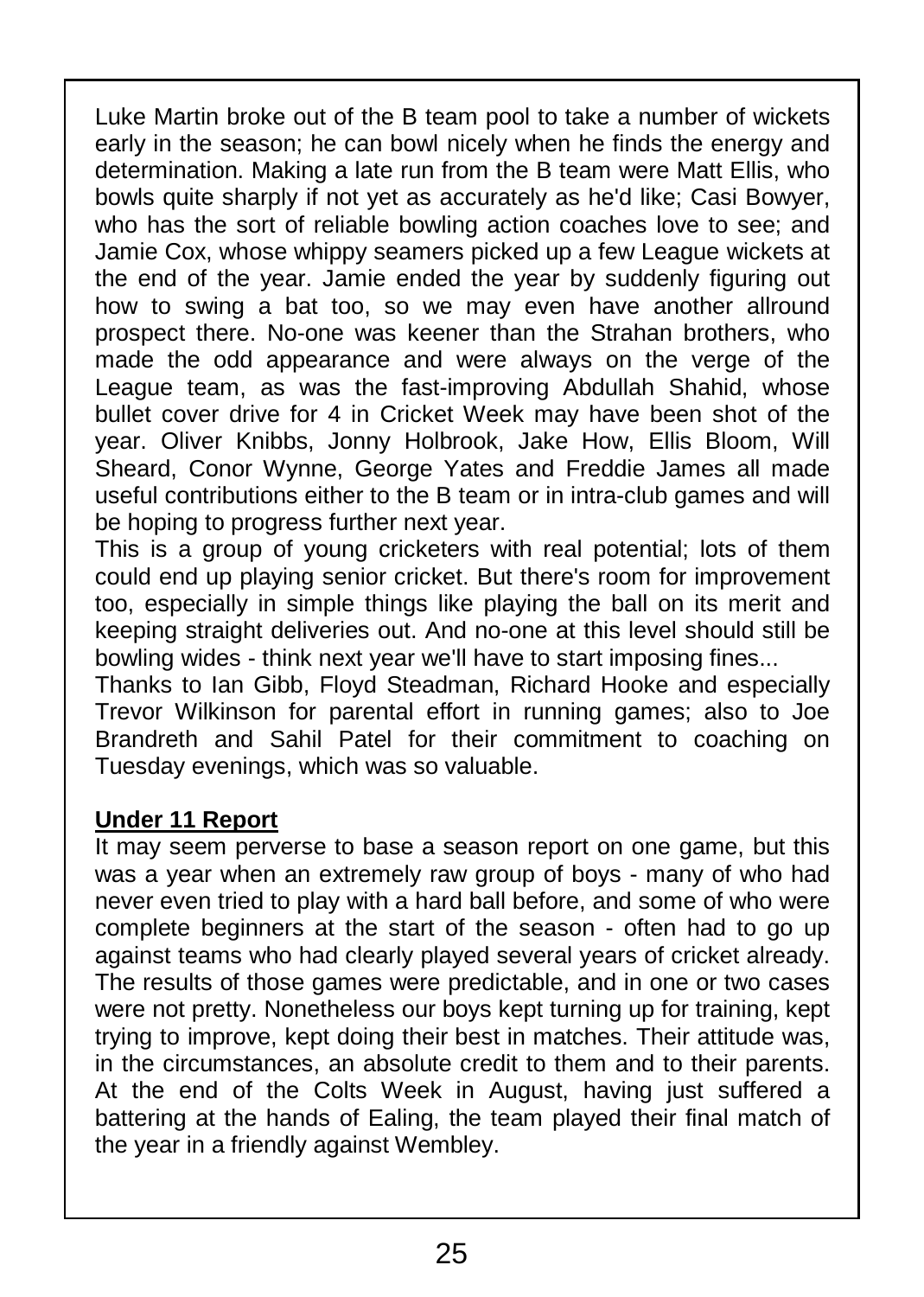Luke Martin broke out of the B team pool to take a number of wickets early in the season; he can bowl nicely when he finds the energy and determination. Making a late run from the B team were Matt Ellis, who bowls quite sharply if not yet as accurately as he'd like; Casi Bowyer, who has the sort of reliable bowling action coaches love to see; and Jamie Cox, whose whippy seamers picked up a few League wickets at the end of the year. Jamie ended the year by suddenly figuring out how to swing a bat too, so we may even have another allround prospect there. No-one was keener than the Strahan brothers, who made the odd appearance and were always on the verge of the League team, as was the fast-improving Abdullah Shahid, whose bullet cover drive for 4 in Cricket Week may have been shot of the year. Oliver Knibbs, Jonny Holbrook, Jake How, Ellis Bloom, Will Sheard, Conor Wynne, George Yates and Freddie James all made useful contributions either to the B team or in intra-club games and will be hoping to progress further next year.

This is a group of young cricketers with real potential; lots of them could end up playing senior cricket. But there's room for improvement too, especially in simple things like playing the ball on its merit and keeping straight deliveries out. And no-one at this level should still be bowling wides - think next year we'll have to start imposing fines...

Thanks to Ian Gibb, Floyd Steadman, Richard Hooke and especially Trevor Wilkinson for parental effort in running games; also to Joe Brandreth and Sahil Patel for their commitment to coaching on Tuesday evenings, which was so valuable.

#### **Under 11 Report**

It may seem perverse to base a season report on one game, but this was a year when an extremely raw group of boys - many of who had never even tried to play with a hard ball before, and some of who were complete beginners at the start of the season - often had to go up against teams who had clearly played several years of cricket already. The results of those games were predictable, and in one or two cases were not pretty. Nonetheless our boys kept turning up for training, kept trying to improve, kept doing their best in matches. Their attitude was, in the circumstances, an absolute credit to them and to their parents. At the end of the Colts Week in August, having just suffered a battering at the hands of Ealing, the team played their final match of the year in a friendly against Wembley.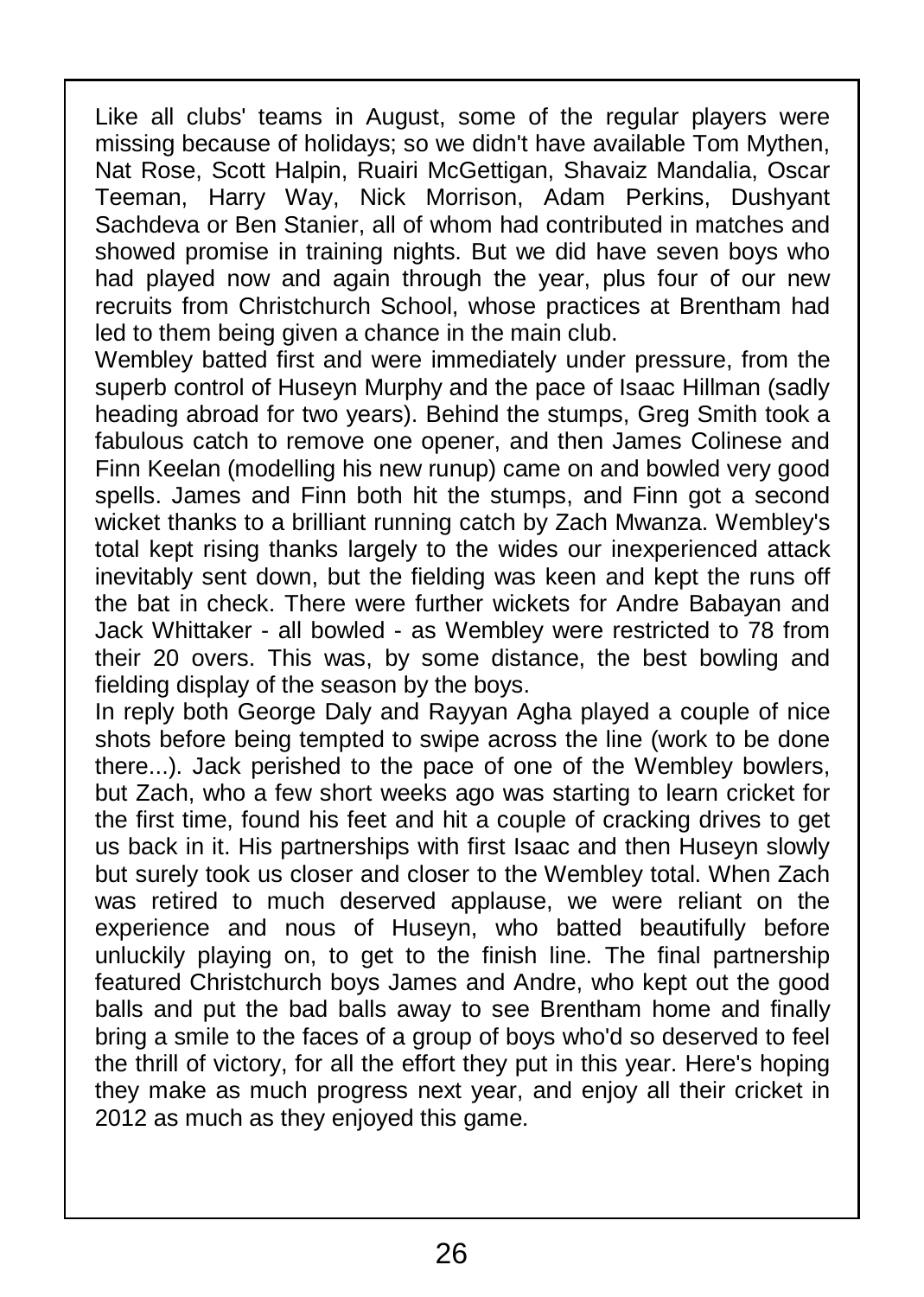Like all clubs' teams in August, some of the regular players were missing because of holidays; so we didn't have available Tom Mythen, Nat Rose, Scott Halpin, Ruairi McGettigan, Shavaiz Mandalia, Oscar Teeman, Harry Way, Nick Morrison, Adam Perkins, Dushyant Sachdeva or Ben Stanier, all of whom had contributed in matches and showed promise in training nights. But we did have seven boys who had played now and again through the year, plus four of our new recruits from Christchurch School, whose practices at Brentham had led to them being given a chance in the main club.

Wembley batted first and were immediately under pressure, from the superb control of Huseyn Murphy and the pace of Isaac Hillman (sadly heading abroad for two years). Behind the stumps, Greg Smith took a  $\parallel$ fabulous catch to remove one opener, and then James Colinese and Finn Keelan (modelling his new runup) came on and bowled very good spells. James and Finn both hit the stumps, and Finn got a second wicket thanks to a brilliant running catch by Zach Mwanza. Wembley's total kept rising thanks largely to the wides our inexperienced attack inevitably sent down, but the fielding was keen and kept the runs off the bat in check. There were further wickets for Andre Babayan and Jack Whittaker - all bowled - as Wembley were restricted to 78 from their 20 overs. This was, by some distance, the best bowling and fielding display of the season by the boys.

In reply both George Daly and Rayyan Agha played a couple of nice shots before being tempted to swipe across the line (work to be done there...). Jack perished to the pace of one of the Wembley bowlers, but Zach, who a few short weeks ago was starting to learn cricket for the first time, found his feet and hit a couple of cracking drives to get us back in it. His partnerships with first Isaac and then Huseyn slowly but surely took us closer and closer to the Wembley total. When Zach was retired to much deserved applause, we were reliant on the experience and nous of Huseyn, who batted beautifully before unluckily playing on, to get to the finish line. The final partnership featured Christchurch boys James and Andre, who kept out the good balls and put the bad balls away to see Brentham home and finally bring a smile to the faces of a group of boys who'd so deserved to feel the thrill of victory, for all the effort they put in this year. Here's hoping they make as much progress next year, and enjoy all their cricket in 2012 as much as they enjoyed this game.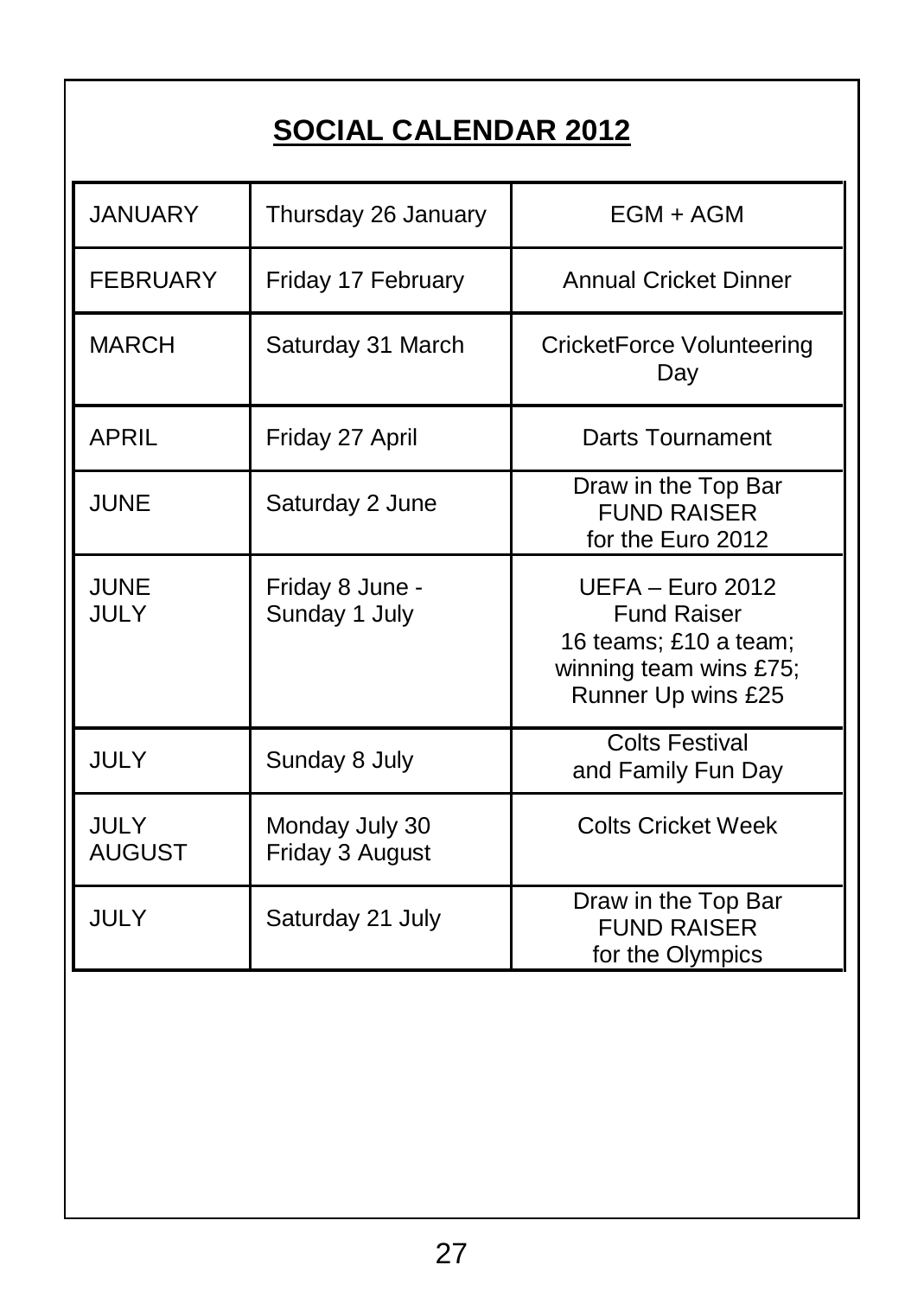# **SOCIAL CALENDAR 2012**

| <b>JANUARY</b>        | Thursday 26 January               | EGM + AGM                                                                                                       |
|-----------------------|-----------------------------------|-----------------------------------------------------------------------------------------------------------------|
| <b>FEBRUARY</b>       | Friday 17 February                | <b>Annual Cricket Dinner</b>                                                                                    |
| <b>MARCH</b>          | Saturday 31 March                 | CricketForce Volunteering<br>Day                                                                                |
| APRIL                 | Friday 27 April                   | Darts Tournament                                                                                                |
| JUNF                  | Saturday 2 June                   | Draw in the Top Bar<br><b>FUND RAISER</b><br>for the Euro 2012                                                  |
| JUNF<br>JULY.         | Friday 8 June -<br>Sunday 1 July  | UFFA – Furo 2012<br><b>Fund Raiser</b><br>16 teams; £10 a team;<br>winning team wins £75;<br>Runner Up wins £25 |
| JULY                  | Sunday 8 July                     | <b>Colts Festival</b><br>and Family Fun Day                                                                     |
| JULY<br><b>AUGUST</b> | Monday July 30<br>Friday 3 August | Colts Cricket Week                                                                                              |
| JULY                  | Saturday 21 July                  | Draw in the Top Bar<br><b>FUND RAISER</b><br>for the Olympics                                                   |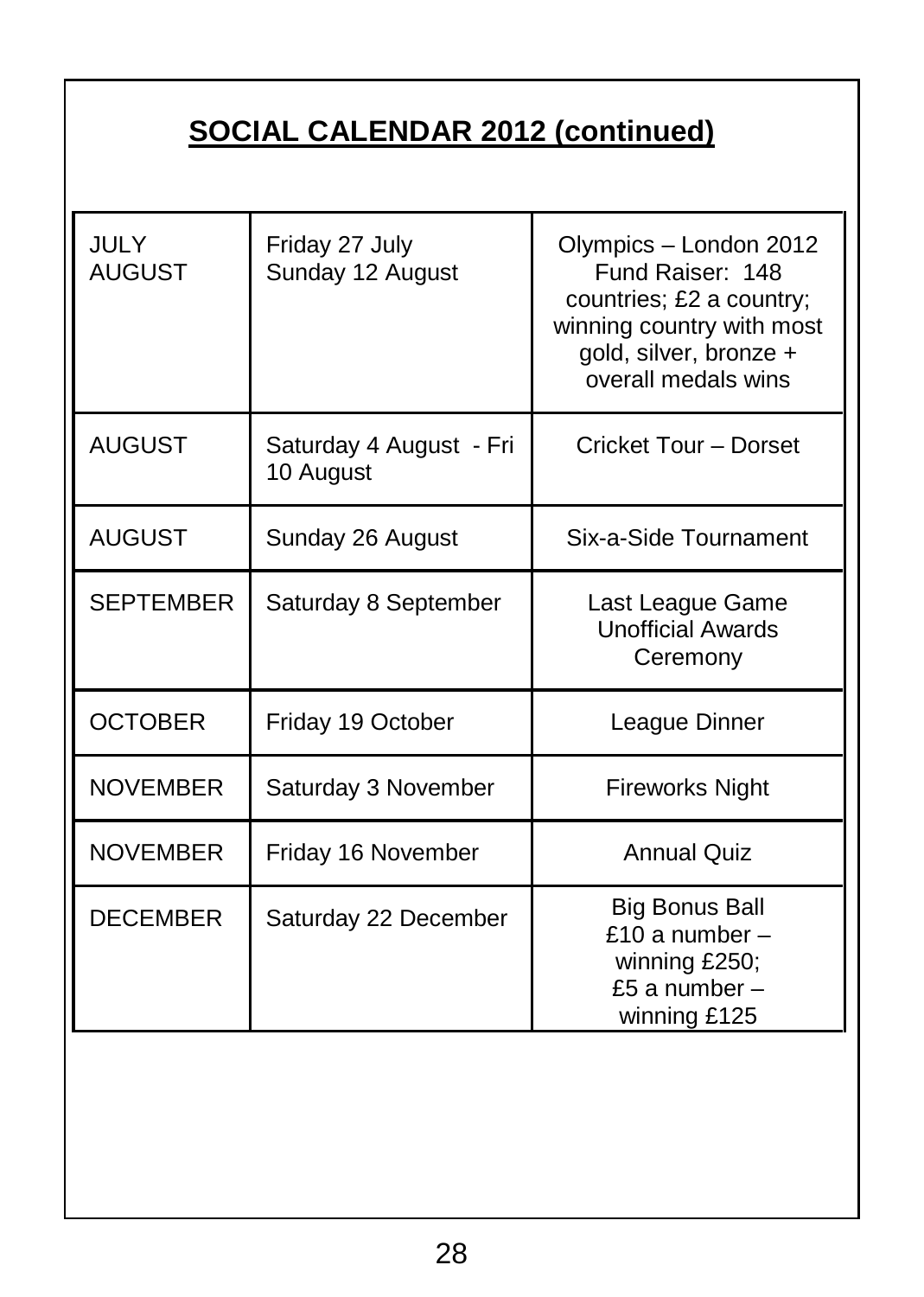# **SOCIAL CALENDAR 2012 (continued)**

| JULY<br><b>AUGUST</b> | Friday 27 July<br>Sunday 12 August   | Olympics - London 2012<br>Fund Raiser: 148<br>countries; £2 a country;<br>winning country with most<br>gold, silver, bronze +<br>overall medals wins |
|-----------------------|--------------------------------------|------------------------------------------------------------------------------------------------------------------------------------------------------|
| <b>AUGUST</b>         | Saturday 4 August - Fri<br>10 August | Cricket Tour - Dorset                                                                                                                                |
| <b>AUGUST</b>         | Sunday 26 August                     | Six-a-Side Tournament                                                                                                                                |
| <b>SEPTEMBER</b>      | Saturday 8 September                 | Last League Game<br><b>Unofficial Awards</b><br>Ceremony                                                                                             |
| <b>OCTOBER</b>        | Friday 19 October                    | League Dinner                                                                                                                                        |
| <b>NOVEMBER</b>       | Saturday 3 November                  | <b>Fireworks Night</b>                                                                                                                               |
| <b>NOVEMBER</b>       | Friday 16 November                   | <b>Annual Quiz</b>                                                                                                                                   |
| <b>DECEMBER</b>       | Saturday 22 December                 | <b>Big Bonus Ball</b><br>£10 a number $-$<br>winning £250;<br>£5 a number $-$<br>winning £125                                                        |
|                       |                                      |                                                                                                                                                      |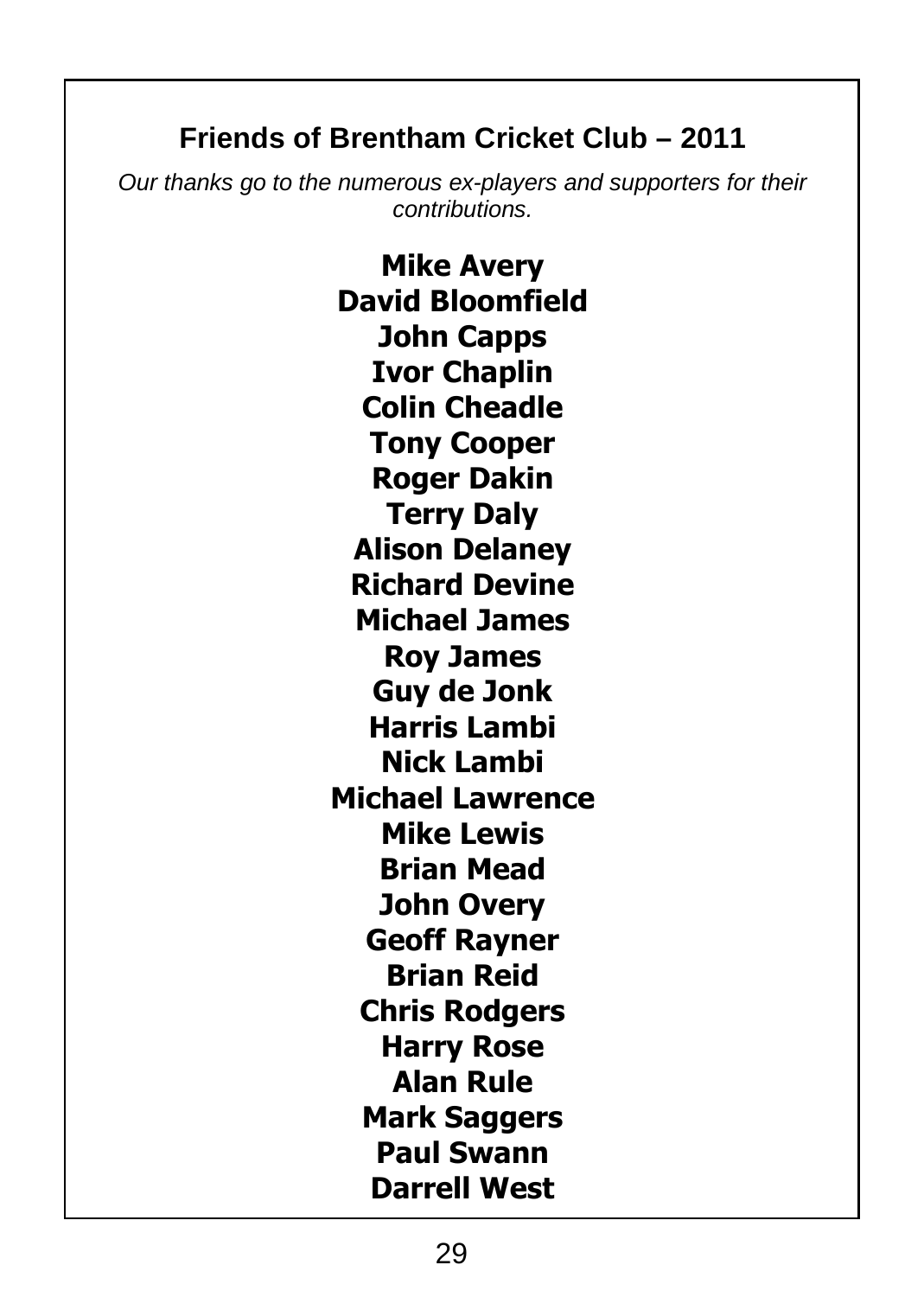## **Friends of Brentham Cricket Club – 2011**

*Our thanks go to the numerous ex-players and supporters for their contributions.*

> **Mike Avery David Bloomfield John Capps Ivor Chaplin Colin Cheadle Tony Cooper Roger Dakin Terry Daly Alison Delaney Richard Devine Michael James Roy James Guy de Jonk Harris Lambi Nick Lambi Michael Lawrence Mike Lewis Brian Mead John Overy Geoff Rayner Brian Reid Chris Rodgers Harry Rose Alan Rule Mark Saggers Paul Swann Darrell West**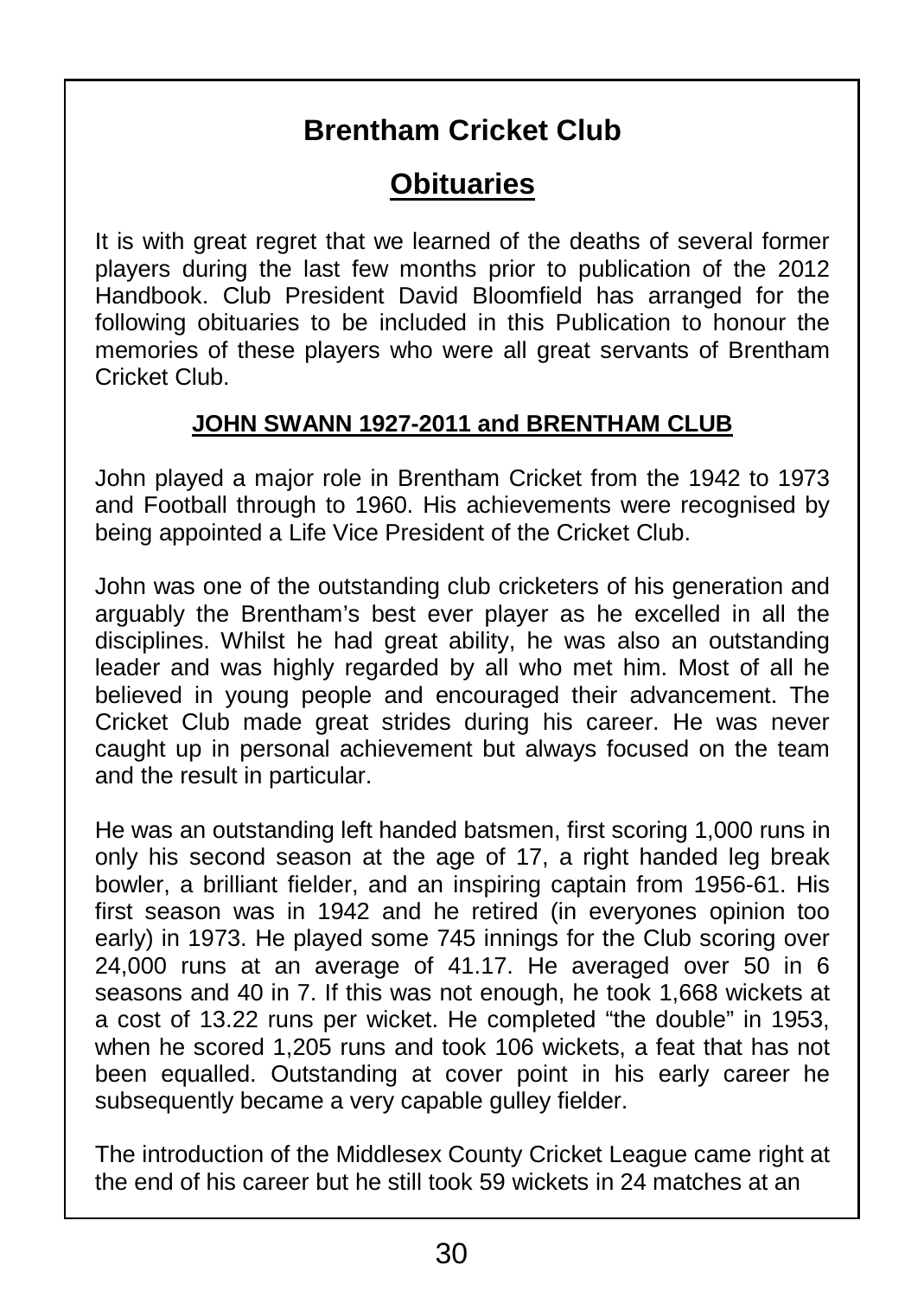# **Brentham Cricket Club**

## **Obituaries**

It is with great regret that we learned of the deaths of several former players during the last few months prior to publication of the 2012 Handbook. Club President David Bloomfield has arranged for the following obituaries to be included in this Publication to honour the memories of these players who were all great servants of Brentham Cricket Club.

#### **JOHN SWANN 1927-2011 and BRENTHAM CLUB**

John played a major role in Brentham Cricket from the 1942 to 1973 and Football through to 1960. His achievements were recognised by being appointed a Life Vice President of the Cricket Club.

John was one of the outstanding club cricketers of his generation and arguably the Brentham's best ever player as he excelled in all the disciplines. Whilst he had great ability, he was also an outstanding leader and was highly regarded by all who met him. Most of all he believed in young people and encouraged their advancement. The Cricket Club made great strides during his career. He was never caught up in personal achievement but always focused on the team and the result in particular.

He was an outstanding left handed batsmen, first scoring 1,000 runs in only his second season at the age of 17, a right handed leg break bowler, a brilliant fielder, and an inspiring captain from 1956-61. His first season was in 1942 and he retired (in everyones opinion too early) in 1973. He played some 745 innings for the Club scoring over 24,000 runs at an average of 41.17. He averaged over 50 in 6 seasons and 40 in 7. If this was not enough, he took 1,668 wickets at a cost of 13.22 runs per wicket. He completed "the double" in 1953, when he scored 1,205 runs and took 106 wickets, a feat that has not been equalled. Outstanding at cover point in his early career he subsequently became a very capable gulley fielder.

The introduction of the Middlesex County Cricket League came right at the end of his career but he still took 59 wickets in 24 matches at an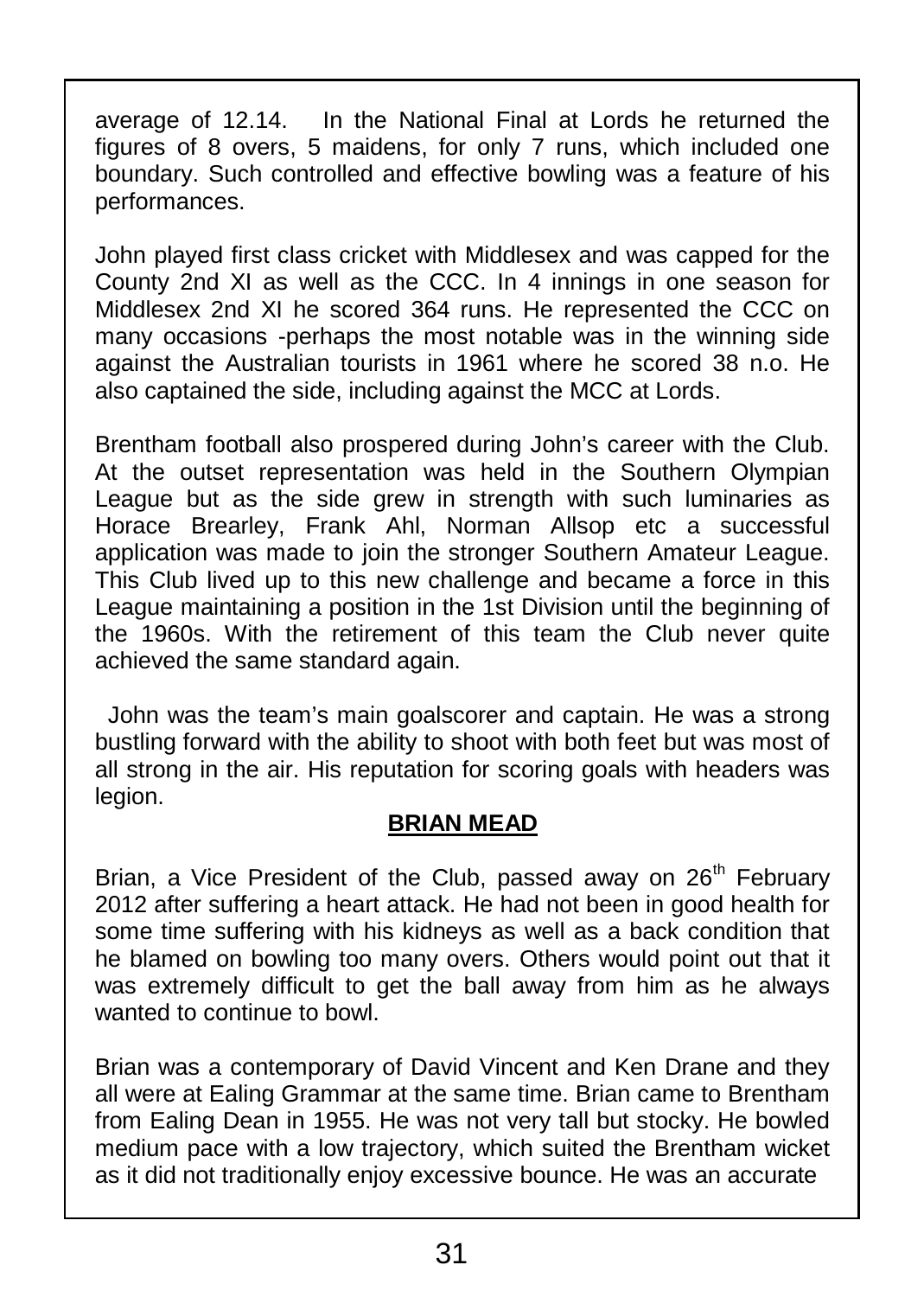average of 12.14. In the National Final at Lords he returned the figures of 8 overs, 5 maidens, for only 7 runs, which included one boundary. Such controlled and effective bowling was a feature of his performances.

John played first class cricket with Middlesex and was capped for the County 2nd XI as well as the CCC. In 4 innings in one season for Middlesex 2nd XI he scored 364 runs. He represented the CCC on many occasions -perhaps the most notable was in the winning side against the Australian tourists in 1961 where he scored 38 n.o. He also captained the side, including against the MCC at Lords.

Brentham football also prospered during John's career with the Club. At the outset representation was held in the Southern Olympian League but as the side grew in strength with such luminaries as Horace Brearley, Frank Ahl, Norman Allsop etc a successful application was made to join the stronger Southern Amateur League. This Club lived up to this new challenge and became a force in this League maintaining a position in the 1st Division until the beginning of the 1960s. With the retirement of this team the Club never quite achieved the same standard again.

John was the team's main goalscorer and captain. He was a strong bustling forward with the ability to shoot with both feet but was most of all strong in the air. His reputation for scoring goals with headers was legion.

#### **BRIAN MEAD**

Brian, a Vice President of the Club, passed away on 26<sup>th</sup> February 2012 after suffering a heart attack. He had not been in good health for some time suffering with his kidneys as well as a back condition that he blamed on bowling too many overs. Others would point out that it was extremely difficult to get the ball away from him as he always wanted to continue to bowl.

Brian was a contemporary of David Vincent and Ken Drane and they all were at Ealing Grammar at the same time. Brian came to Brentham from Ealing Dean in 1955. He was not very tall but stocky. He bowled medium pace with a low trajectory, which suited the Brentham wicket as it did not traditionally enjoy excessive bounce. He was an accurate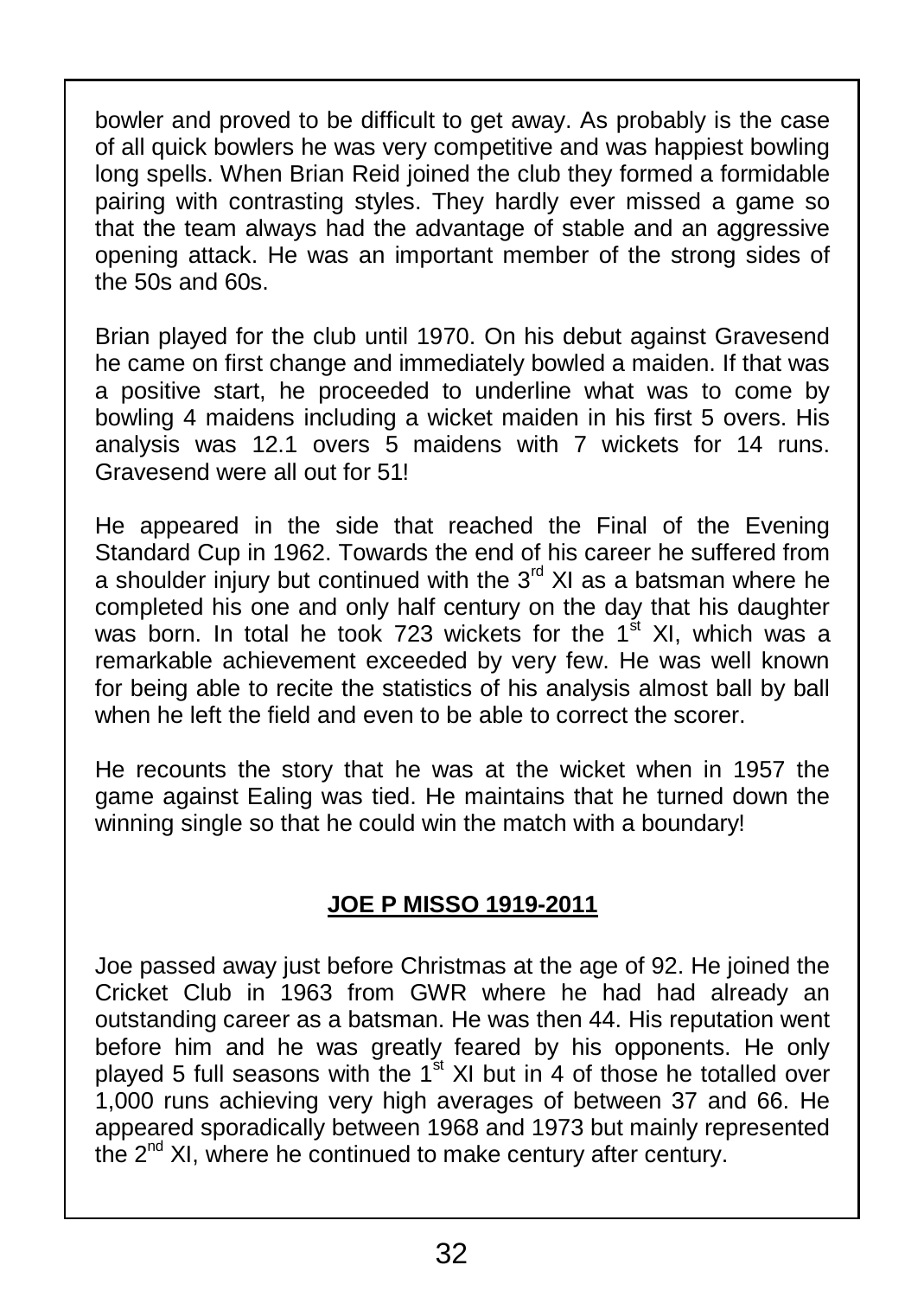bowler and proved to be difficult to get away. As probably is the case of all quick bowlers he was very competitive and was happiest bowling long spells. When Brian Reid joined the club they formed a formidable pairing with contrasting styles. They hardly ever missed a game so that the team always had the advantage of stable and an aggressive opening attack. He was an important member of the strong sides of the 50s and 60s.

Brian played for the club until 1970. On his debut against Gravesend he came on first change and immediately bowled a maiden. If that was a positive start, he proceeded to underline what was to come by bowling 4 maidens including a wicket maiden in his first 5 overs. His analysis was 12.1 overs 5 maidens with 7 wickets for 14 runs. Gravesend were all out for 51!

He appeared in the side that reached the Final of the Evening Standard Cup in 1962. Towards the end of his career he suffered from a shoulder injury but continued with the 3<sup>rd</sup> XI as a batsman where he completed his one and only half century on the day that his daughter ||<br>was born. In total he took 723 wickets for the 1<sup>st</sup> XI, which was a remarkable achievement exceeded by very few. He was well known for being able to recite the statistics of his analysis almost ball by ball when he left the field and even to be able to correct the scorer.

He recounts the story that he was at the wicket when in 1957 the game against Ealing was tied. He maintains that he turned down the winning single so that he could win the match with a boundary!

#### **JOE P MISSO 1919-2011**

Joe passed away just before Christmas at the age of 92. He joined the Cricket Club in 1963 from GWR where he had had already an outstanding career as a batsman. He was then 44. His reputation went before him and he was greatly feared by his opponents. He only<br>played 5 full seasons with the 1<sup>st</sup> XI but in 4 of those he totalled over 1,000 runs achieving very high averages of between 37 and 66. He appeared sporadically between 1968 and 1973 but mainly represented the 2<sup>nd</sup> XI, where he continued to make century after century.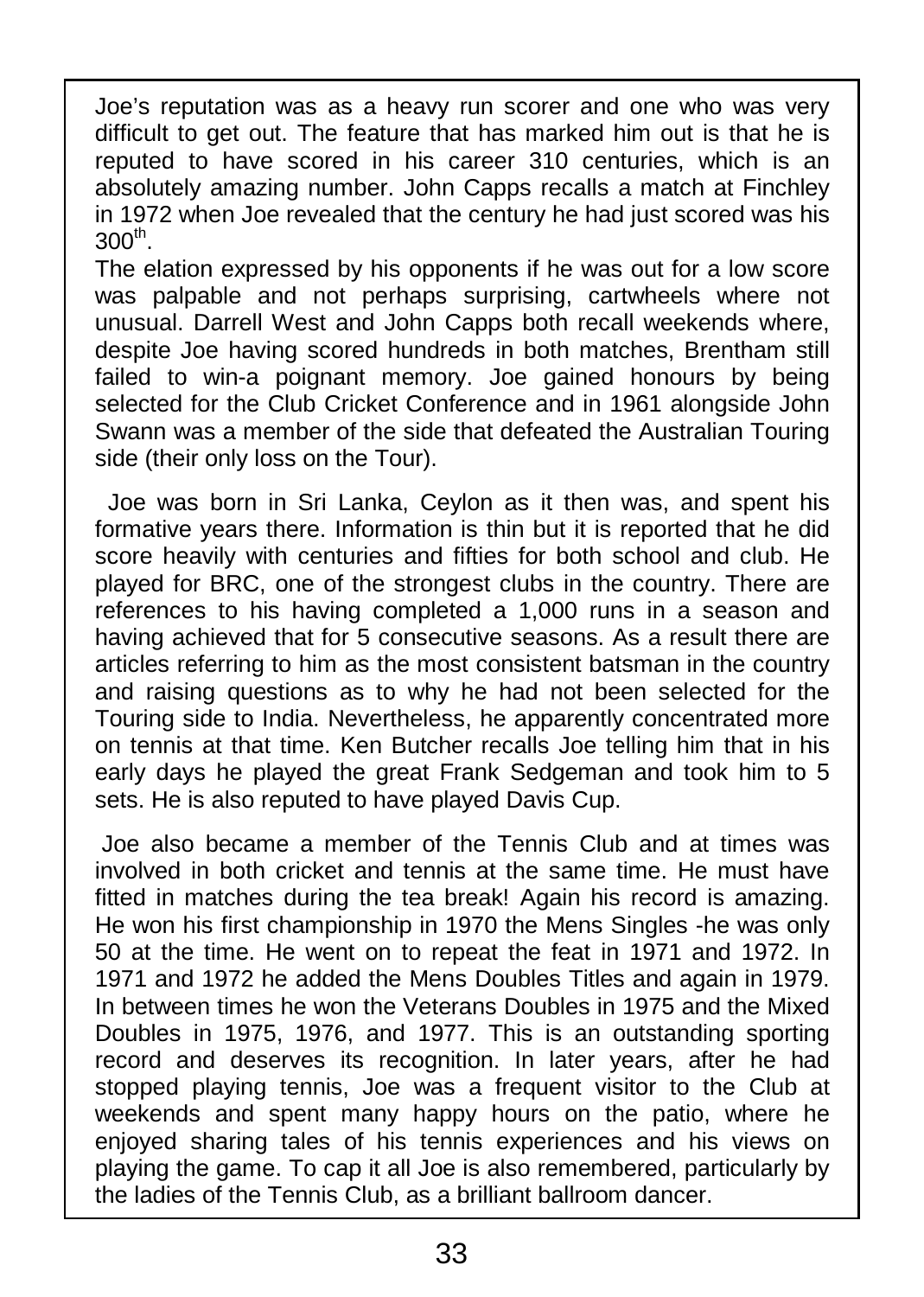Joe's reputation was as a heavy run scorer and one who was very difficult to get out. The feature that has marked him out is that he is reputed to have scored in his career 310 centuries, which is an absolutely amazing number. John Capps recalls a match at Finchley in 1972 when Joe revealed that the century he had just scored was his  $300^{\sf th}$ .

The elation expressed by his opponents if he was out for a low score was palpable and not perhaps surprising, cartwheels where not unusual. Darrell West and John Capps both recall weekends where, despite Joe having scored hundreds in both matches, Brentham still failed to win-a poignant memory. Joe gained honours by being selected for the Club Cricket Conference and in 1961 alongside John Swann was a member of the side that defeated the Australian Touring side (their only loss on the Tour).

Joe was born in Sri Lanka, Ceylon as it then was, and spent his formative years there. Information is thin but it is reported that he did score heavily with centuries and fifties for both school and club. He played for BRC, one of the strongest clubs in the country. There are references to his having completed a 1,000 runs in a season and having achieved that for 5 consecutive seasons. As a result there are articles referring to him as the most consistent batsman in the country and raising questions as to why he had not been selected for the Touring side to India. Nevertheless, he apparently concentrated more on tennis at that time. Ken Butcher recalls Joe telling him that in his early days he played the great Frank Sedgeman and took him to 5 sets. He is also reputed to have played Davis Cup.

Joe also became a member of the Tennis Club and at times was involved in both cricket and tennis at the same time. He must have fitted in matches during the tea break! Again his record is amazing. He won his first championship in 1970 the Mens Singles -he was only 50 at the time. He went on to repeat the feat in 1971 and 1972. In 1971 and 1972 he added the Mens Doubles Titles and again in 1979. In between times he won the Veterans Doubles in 1975 and the Mixed Doubles in 1975, 1976, and 1977. This is an outstanding sporting record and deserves its recognition. In later years, after he had stopped playing tennis, Joe was a frequent visitor to the Club at weekends and spent many happy hours on the patio, where he enjoyed sharing tales of his tennis experiences and his views on playing the game. To cap it all Joe is also remembered, particularly by the ladies of the Tennis Club, as a brilliant ballroom dancer.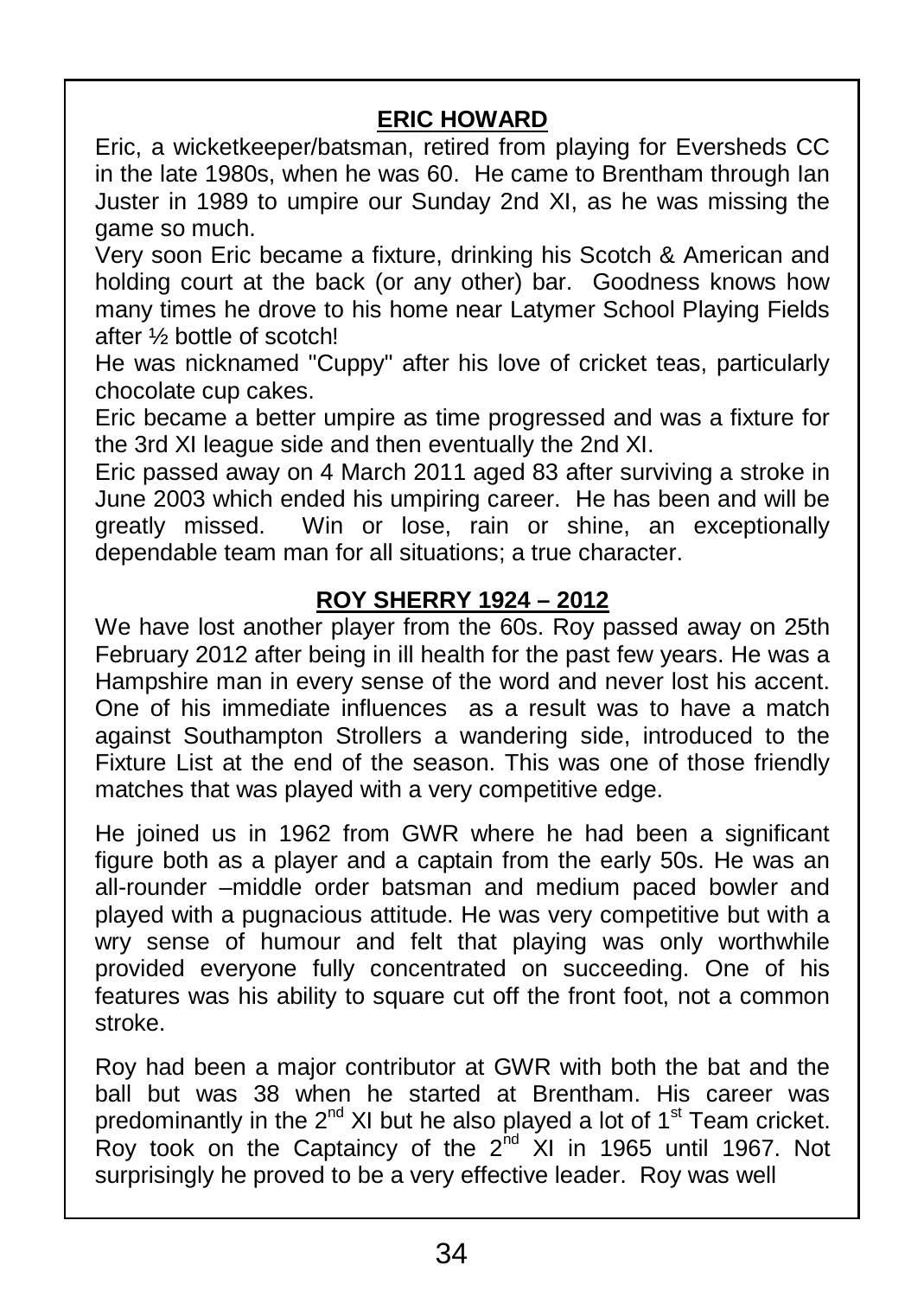#### **ERIC HOWARD**

Eric, a wicketkeeper/batsman, retired from playing for Eversheds CC in the late 1980s, when he was 60. He came to Brentham through Ian Juster in 1989 to umpire our Sunday 2nd XI, as he was missing the game so much.

Very soon Eric became a fixture, drinking his Scotch & American and holding court at the back (or any other) bar. Goodness knows how many times he drove to his home near Latymer School Playing Fields after ½ bottle of scotch!

He was nicknamed "Cuppy" after his love of cricket teas, particularly chocolate cup cakes.

Eric became a better umpire as time progressed and was a fixture for the 3rd XI league side and then eventually the 2nd XI.

Eric passed away on 4 March 2011 aged 83 after surviving a stroke in June 2003 which ended his umpiring career. He has been and will be greatly missed. Win or lose, rain or shine, an exceptionally dependable team man for all situations; a true character.

#### **ROY SHERRY 1924 – 2012**

We have lost another player from the 60s. Roy passed away on 25th February 2012 after being in ill health for the past few years. He was a Hampshire man in every sense of the word and never lost his accent. One of his immediate influences as a result was to have a match against Southampton Strollers a wandering side, introduced to the Fixture List at the end of the season. This was one of those friendly matches that was played with a very competitive edge.

He joined us in 1962 from GWR where he had been a significant figure both as a player and a captain from the early 50s. He was an all-rounder –middle order batsman and medium paced bowler and played with a pugnacious attitude. He was very competitive but with a wry sense of humour and felt that playing was only worthwhile provided everyone fully concentrated on succeeding. One of his features was his ability to square cut off the front foot, not a common stroke.

Roy had been a major contributor at GWR with both the bat and the ball but was 38 when he started at Brentham. His career was predominantly in the 2<sup>nd</sup> XI but he also played a lot of 1<sup>st</sup> Team cricket. Roy took on the Captaincy of the 2<sup>nd</sup> XI in 1965 until 1967. Not surprisingly he proved to be a very effective leader. Roy was well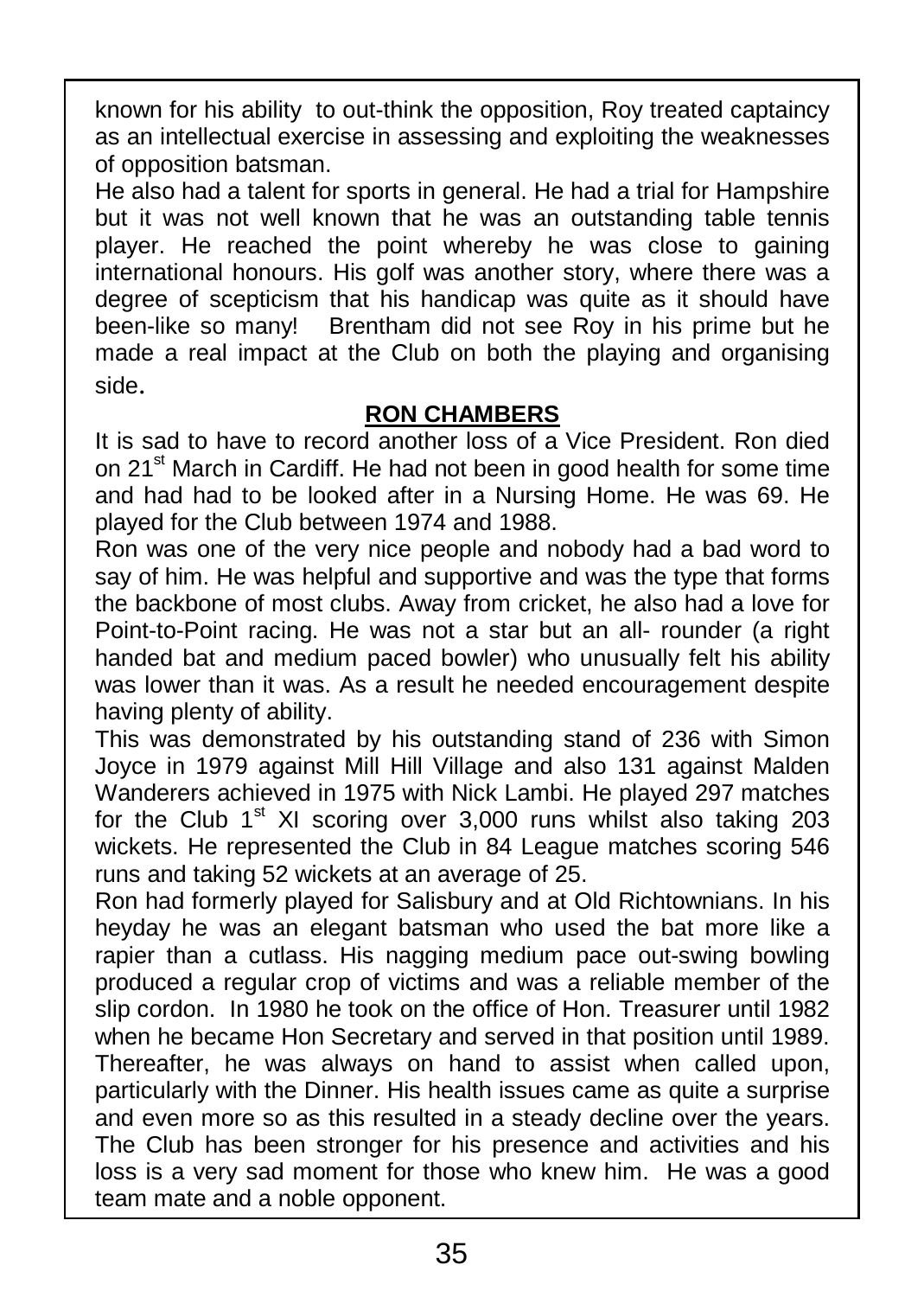known for his ability to out-think the opposition, Roy treated captaincy as an intellectual exercise in assessing and exploiting the weaknesses of opposition batsman.

He also had a talent for sports in general. He had a trial for Hampshire but it was not well known that he was an outstanding table tennis player. He reached the point whereby he was close to gaining international honours. His golf was another story, where there was a  $\parallel$ degree of scepticism that his handicap was quite as it should have been-like so many! Brentham did not see Roy in his prime but he made a real impact at the Club on both the playing and organising side.

#### **RON CHAMBERS**

It is sad to have to record another loss of a Vice President. Ron died on 21<sup>st</sup> March in Cardiff. He had not been in good health for some time and had had to be looked after in a Nursing Home. He was 69. He played for the Club between 1974 and 1988.

Ron was one of the very nice people and nobody had a bad word to say of him. He was helpful and supportive and was the type that forms the backbone of most clubs. Away from cricket, he also had a love for Point-to-Point racing. He was not a star but an all- rounder (a right handed bat and medium paced bowler) who unusually felt his ability was lower than it was. As a result he needed encouragement despite having plenty of ability.

This was demonstrated by his outstanding stand of 236 with Simon Joyce in 1979 against Mill Hill Village and also 131 against Malden Wanderers achieved in 1975 with Nick Lambi. He played 297 matches for the Club  $1<sup>st</sup>$  XI scoring over 3,000 runs whilst also taking 203 wickets. He represented the Club in 84 League matches scoring 546 runs and taking 52 wickets at an average of 25.

Ron had formerly played for Salisbury and at Old Richtownians. In his heyday he was an elegant batsman who used the bat more like a rapier than a cutlass. His nagging medium pace out-swing bowling produced a regular crop of victims and was a reliable member of the slip cordon. In 1980 he took on the office of Hon. Treasurer until 1982 when he became Hon Secretary and served in that position until 1989. Thereafter, he was always on hand to assist when called upon, particularly with the Dinner. His health issues came as quite a surprise and even more so as this resulted in a steady decline over the years. The Club has been stronger for his presence and activities and his loss is a very sad moment for those who knew him. He was a good team mate and a noble opponent.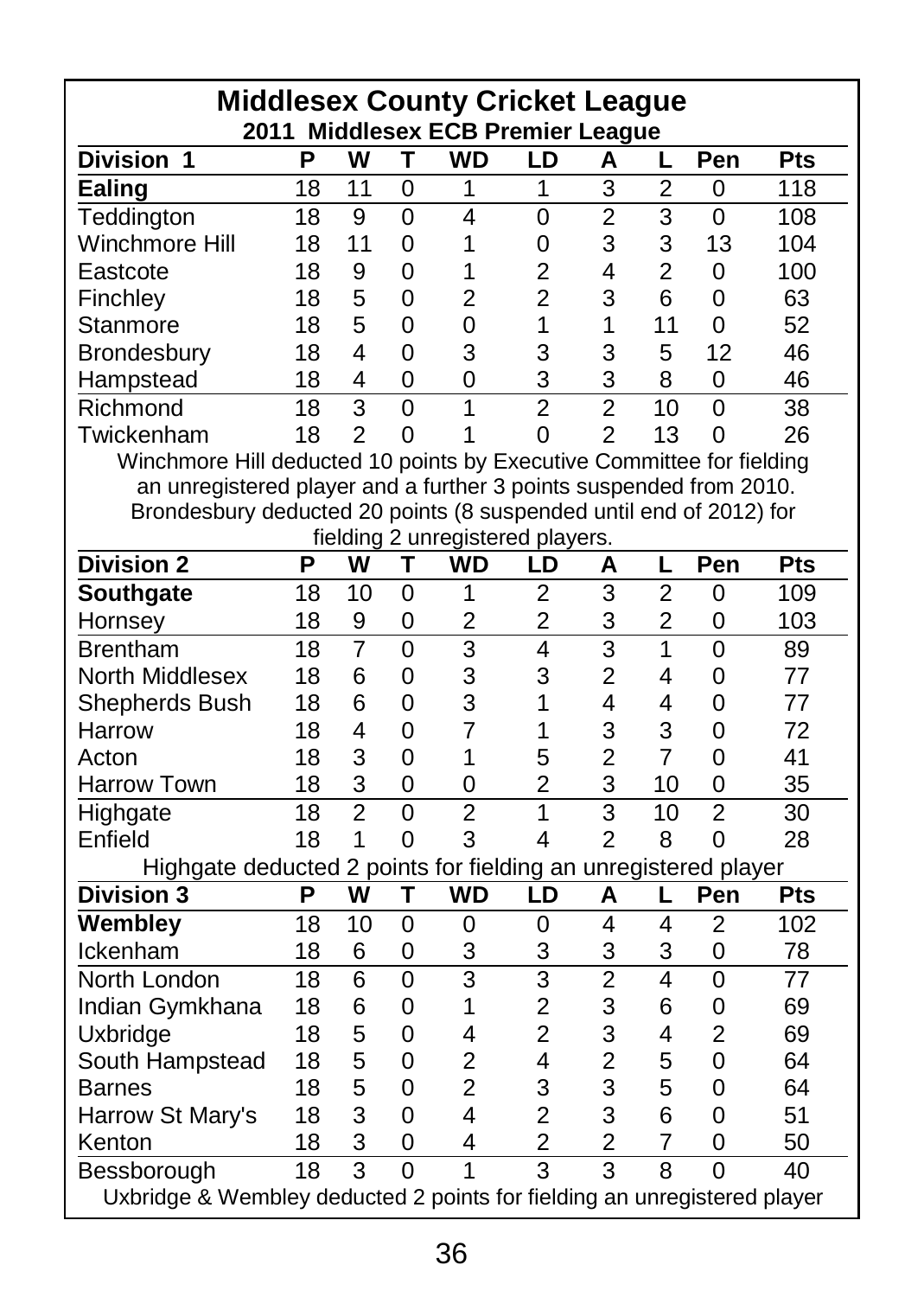|                                                                          |    |                         |                | <b>Middlesex County Cricket League</b><br>2011 Middlesex ECB Premier League |                |                         |                |                |     |
|--------------------------------------------------------------------------|----|-------------------------|----------------|-----------------------------------------------------------------------------|----------------|-------------------------|----------------|----------------|-----|
| <b>Division</b><br>1                                                     | P  | W                       | т              | WD                                                                          | LD             | А                       |                | Pen            | Pts |
| Ealing                                                                   | 18 | 11                      | 0              | 1                                                                           | 1              | 3                       | 2              | 0              | 118 |
| Teddington                                                               | 18 | 9                       | $\overline{0}$ | 4                                                                           | $\overline{0}$ | $\overline{2}$          | 3              | $\mathbf{0}$   | 108 |
| Winchmore Hill                                                           | 18 | 11                      | 0              | 1                                                                           | 0              | 3                       | 3              | 13             | 104 |
| Eastcote                                                                 | 18 | 9                       | 0              | 1                                                                           | $\overline{2}$ | 4                       | $\overline{2}$ | 0              | 100 |
| Finchley                                                                 | 18 | 5                       | 0              | $\overline{2}$                                                              | $\overline{2}$ | 3                       | 6              | 0              | 63  |
| Stanmore                                                                 | 18 | 5                       | 0              | 0                                                                           | 1              | 1                       | 11             | 0              | 52  |
| Brondesbury                                                              | 18 | 4                       | $\Omega$       | 3                                                                           | 3              | 3                       | 5              | 12             | 46  |
| Hampstead                                                                | 18 | 4                       | $\Omega$       | 0                                                                           | 3              | 3                       | 8              | 0              | 46  |
| Richmond                                                                 | 18 | $\overline{3}$          | $\overline{O}$ | 1                                                                           | $\overline{2}$ | $\overline{2}$          | 10             | $\mathbf{0}$   | 38  |
| Twickenham                                                               | 18 | $\overline{2}$          | 0              | 1                                                                           | 0              | $\overline{2}$          | 13             | 0              | 26  |
| Winchmore Hill deducted 10 points by Executive Committee for fielding    |    |                         |                |                                                                             |                |                         |                |                |     |
| an unregistered player and a further 3 points suspended from 2010.       |    |                         |                |                                                                             |                |                         |                |                |     |
| Brondesbury deducted 20 points (8 suspended until end of 2012) for       |    |                         |                |                                                                             |                |                         |                |                |     |
|                                                                          |    |                         |                | fielding 2 unregistered players.                                            |                |                         |                |                |     |
| <b>Division 2</b>                                                        | P  | w                       | т              | WD                                                                          | LD             | Α                       | L              | Pen            | Pts |
| Southgate                                                                | 18 | 10                      | $\overline{0}$ | 1                                                                           | $\overline{2}$ | 3                       | $\overline{2}$ | 0              | 109 |
| Hornsey                                                                  | 18 | 9                       | 0              | $\overline{2}$                                                              | $\overline{2}$ | 3                       | 2              | 0              | 103 |
| <b>Brentham</b>                                                          | 18 | 7                       | $\overline{0}$ | 3                                                                           | 4              | 3                       | 1              | $\overline{0}$ | 89  |
| North Middlesex                                                          | 18 | 6                       | 0              | 3                                                                           | 3              | 2                       | 4              | 0              | 77  |
| Shepherds Bush                                                           | 18 | 6                       | $\Omega$       | 3                                                                           | 1              | 4                       | 4              | 0              | 77  |
| Harrow                                                                   | 18 | 4                       | $\overline{0}$ | $\overline{7}$                                                              | 1              | 3                       | 3              | 0              | 72  |
| Acton                                                                    | 18 | 3                       | 0              | 1                                                                           | 5              | $\overline{2}$          | $\overline{7}$ | $\Omega$       | 41  |
| Harrow Town                                                              | 18 | 3                       | 0              | 0                                                                           | $\overline{2}$ | 3                       | 10             | 0              | 35  |
| Highgate                                                                 | 18 | $\overline{2}$          | $\overline{0}$ | $\overline{2}$                                                              | $\mathbf{1}$   | 3                       | 10             | $\overline{2}$ | 30  |
| Enfield                                                                  | 18 | $\mathbf{1}$            | $\Omega$       | 3                                                                           | 4              | $\overline{2}$          | 8              | $\Omega$       | 28  |
| Highgate deducted 2 points for fielding an unregistered player           |    |                         |                |                                                                             |                |                         |                |                |     |
| <b>Division 3</b>                                                        | P  | $\overline{\mathsf{w}}$ | T              | WD                                                                          | LD             | A                       | L              | Pen            | Pts |
| Wembley                                                                  | 18 | 10                      | $\Omega$       | $\Omega$                                                                    | 0              | 4                       | 4              | $\overline{2}$ | 102 |
| Ickenham                                                                 | 18 | 6                       | 0              | 3                                                                           | 3              | 3                       | 3              | 0              | 78  |
| North London                                                             | 18 | 6                       | $\Omega$       | 3                                                                           | 3              | $\overline{2}$          | 4              | $\overline{0}$ | 77  |
| Indian Gymkhana                                                          | 18 | 6                       | $\mathbf{0}$   | 1                                                                           | $\overline{c}$ | 3                       | 6              | $\mathbf{0}$   | 69  |
| Uxbridge                                                                 | 18 | 5                       | 0              | 4                                                                           | $\overline{c}$ | 3                       | 4              | $\overline{2}$ | 69  |
| South Hampstead                                                          | 18 | 5                       | $\Omega$       | $\overline{2}$                                                              | 4              | 2                       | 5              | $\overline{0}$ | 64  |
| <b>Barnes</b>                                                            | 18 | 5                       | 0              | $\overline{2}$                                                              | 3              | 3                       | 5              | $\Omega$       | 64  |
| Harrow St Mary's                                                         | 18 | 3                       | $\Omega$       | 4                                                                           | $\overline{2}$ | 3                       | 6              | $\mathbf{0}$   | 51  |
| Kenton                                                                   | 18 | 3                       | $\Omega$       | 4                                                                           | $\overline{2}$ | $\overline{2}$          | 7              | $\mathbf{0}$   | 50  |
| Bessborough                                                              | 18 | $\overline{3}$          | 0              | 1                                                                           | $\overline{3}$ | $\overline{\mathbf{3}}$ | $\overline{8}$ | $\Omega$       | 40  |
| Uxbridge & Wembley deducted 2 points for fielding an unregistered player |    |                         |                |                                                                             |                |                         |                |                |     |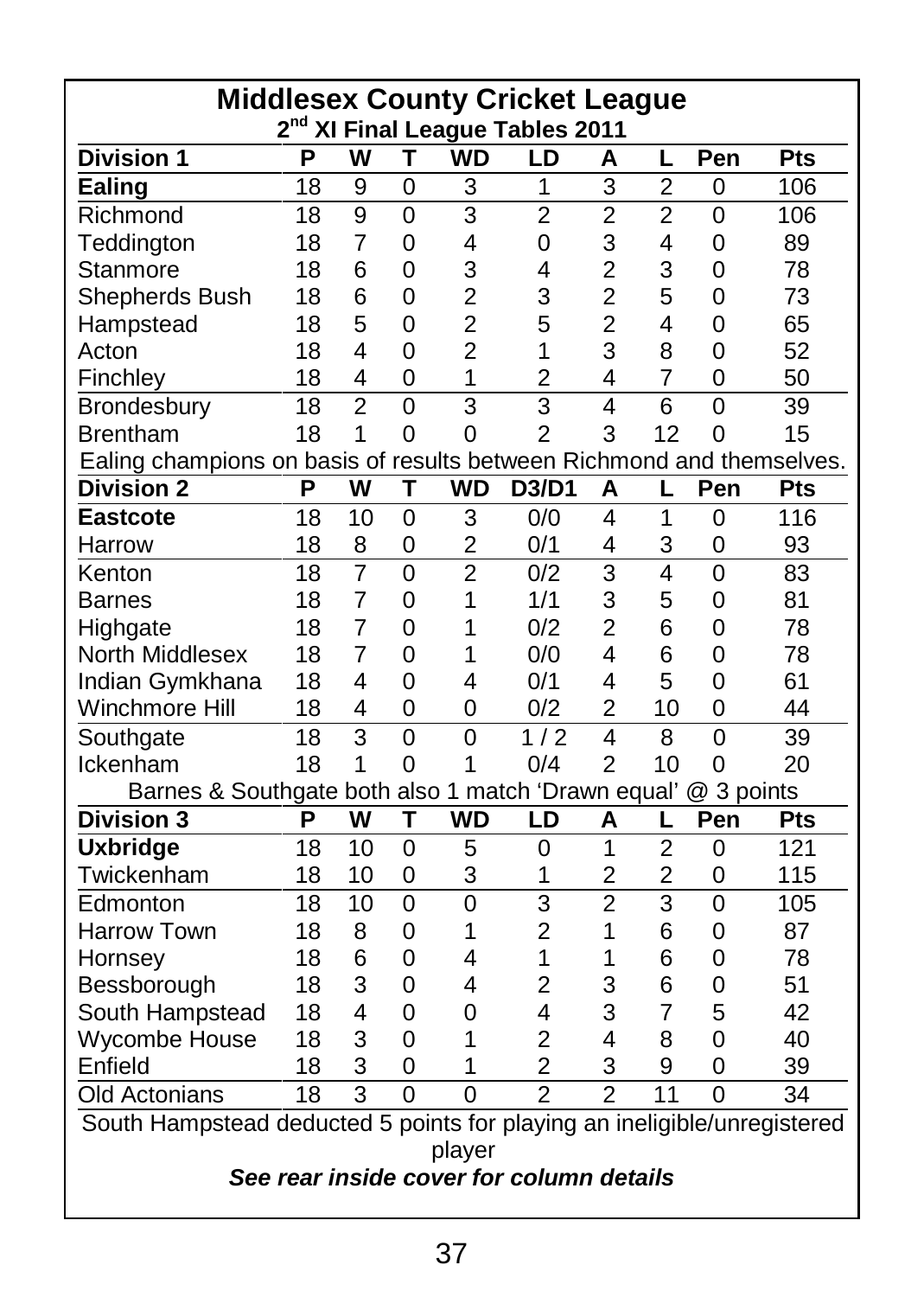|                                                                          |    |                |                |                | <b>Middlesex County Cricket League</b><br>2 <sup>nd</sup> XI Final League Tables 2011 |                |                |                |     |
|--------------------------------------------------------------------------|----|----------------|----------------|----------------|---------------------------------------------------------------------------------------|----------------|----------------|----------------|-----|
| <b>Division 1</b>                                                        | P  | W              | т              | <b>WD</b>      | LD                                                                                    | Α              | L              | Pen            | Pts |
| Ealing                                                                   | 18 | 9              | $\Omega$       | 3              | 1                                                                                     | 3              | $\overline{2}$ | 0              | 106 |
| Richmond                                                                 | 18 | $\overline{9}$ | $\Omega$       | 3              | $\overline{2}$                                                                        | $\overline{2}$ | $\overline{2}$ | 0              | 106 |
| Teddington                                                               | 18 | $\overline{7}$ | $\Omega$       | 4              | 0                                                                                     | 3              | 4              | $\mathbf{0}$   | 89  |
| Stanmore                                                                 | 18 | 6              | 0              | 3              | 4                                                                                     | $\overline{c}$ | 3              | 0              | 78  |
| Shepherds Bush                                                           | 18 | 6              | 0              | $\overline{2}$ | 3                                                                                     | $\overline{c}$ | 5              | 0              | 73  |
| Hampstead                                                                | 18 | 5              | 0              | $\overline{2}$ | 5                                                                                     | $\overline{2}$ | 4              | 0              | 65  |
| Acton                                                                    | 18 | 4              | 0              | $\overline{2}$ | 1                                                                                     | 3              | 8              | 0              | 52  |
| Finchley                                                                 | 18 | 4              | 0              | 1              | $\overline{2}$                                                                        | 4              | 7              | 0              | 50  |
| Brondesbury                                                              | 18 | $\overline{2}$ | $\overline{0}$ | 3              | 3                                                                                     | 4              | 6              | $\overline{0}$ | 39  |
| <b>Brentham</b>                                                          | 18 | $\mathbf{1}$   | $\Omega$       | 0              | $\overline{2}$                                                                        | 3              | 12             | 0              | 15  |
| Ealing champions on basis of results between Richmond and themselves.    |    |                |                |                |                                                                                       |                |                |                |     |
| <b>Division 2</b>                                                        | P  | w              | т              | <b>WD</b>      | D3/D1                                                                                 | Α              | L              | Pen            | Pts |
| <b>Eastcote</b>                                                          | 18 | 10             | 0              | 3              | 0/0                                                                                   | 4              | 1              | 0              | 116 |
| Harrow                                                                   | 18 | 8              | 0              | 2              | 0/1                                                                                   | 4              | 3              | 0              | 93  |
| Kenton                                                                   | 18 | $\overline{7}$ | $\Omega$       | $\overline{2}$ | 0/2                                                                                   | 3              | 4              | $\overline{0}$ | 83  |
| <b>Barnes</b>                                                            | 18 | $\overline{7}$ | 0              | 1              | 1/1                                                                                   | 3              | 5              | 0              | 81  |
| Highgate                                                                 | 18 | $\overline{7}$ | 0              | 1              | 0/2                                                                                   | $\overline{2}$ | 6              | 0              | 78  |
| North Middlesex                                                          | 18 | 7              | $\Omega$       | 1              | 0/0                                                                                   | 4              | 6              | 0              | 78  |
| Indian Gymkhana                                                          | 18 | 4              | $\Omega$       | 4              | 0/1                                                                                   | 4              | 5              | 0              | 61  |
| Winchmore Hill                                                           | 18 | 4              | $\Omega$       | 0              | 0/2                                                                                   | $\overline{2}$ | 10             | 0              | 44  |
| Southgate                                                                | 18 | $\overline{3}$ | $\overline{0}$ | 0              | 1/2                                                                                   | 4              | 8              | 0              | 39  |
| Ickenham                                                                 | 18 | 1              | $\Omega$       | 1              | 0/4                                                                                   | $\overline{2}$ | 10             | 0              | 20  |
| Barnes & Southgate both also 1 match 'Drawn equal'                       |    |                |                |                |                                                                                       |                |                | @ 3 points     |     |
| <b>Division 3</b>                                                        | Р  | w              | т              | WD             | LD                                                                                    | A              | L              | Pen            | Pts |
| <b>Uxbridge</b>                                                          | 18 | 10             | 0              | 5              | 0                                                                                     | 1              | 2              | 0              | 121 |
| Twickenham                                                               | 18 | 10             | 0              | 3              | 1                                                                                     | $\overline{c}$ | $\overline{c}$ | 0              | 115 |
| Edmonton                                                                 | 18 | 10             | $\overline{0}$ | $\overline{0}$ | 3                                                                                     | $\overline{2}$ | 3              | $\overline{0}$ | 105 |
| Harrow Town                                                              | 18 | 8              | 0              | 1              | $\overline{2}$                                                                        | 1              | 6              | 0              | 87  |
| Hornsey                                                                  | 18 | 6              | $\Omega$       | 4              | 1                                                                                     | 1              | 6              | 0              | 78  |
| Bessborough                                                              | 18 | 3              | $\Omega$       | 4              | $\overline{2}$                                                                        | 3              | 6              | 0              | 51  |
| South Hampstead                                                          | 18 | 4              | 0              | 0              | 4                                                                                     | 3              | 7              | 5              | 42  |
| Wycombe House                                                            | 18 | 3              | $\Omega$       | 1              | $\overline{2}$                                                                        | 4              | 8              | 0              | 40  |
| Enfield                                                                  | 18 | 3              | 0              | 1              | $\overline{2}$                                                                        | 3              | 9              | 0              | 39  |
| <b>Old Actonians</b>                                                     | 18 | $\overline{3}$ | $\Omega$       | $\Omega$       | $\overline{2}$                                                                        | $\overline{2}$ | 11             | $\Omega$       | 34  |
| South Hampstead deducted 5 points for playing an ineligible/unregistered |    |                |                |                |                                                                                       |                |                |                |     |
| player<br>See rear inside cover for column details                       |    |                |                |                |                                                                                       |                |                |                |     |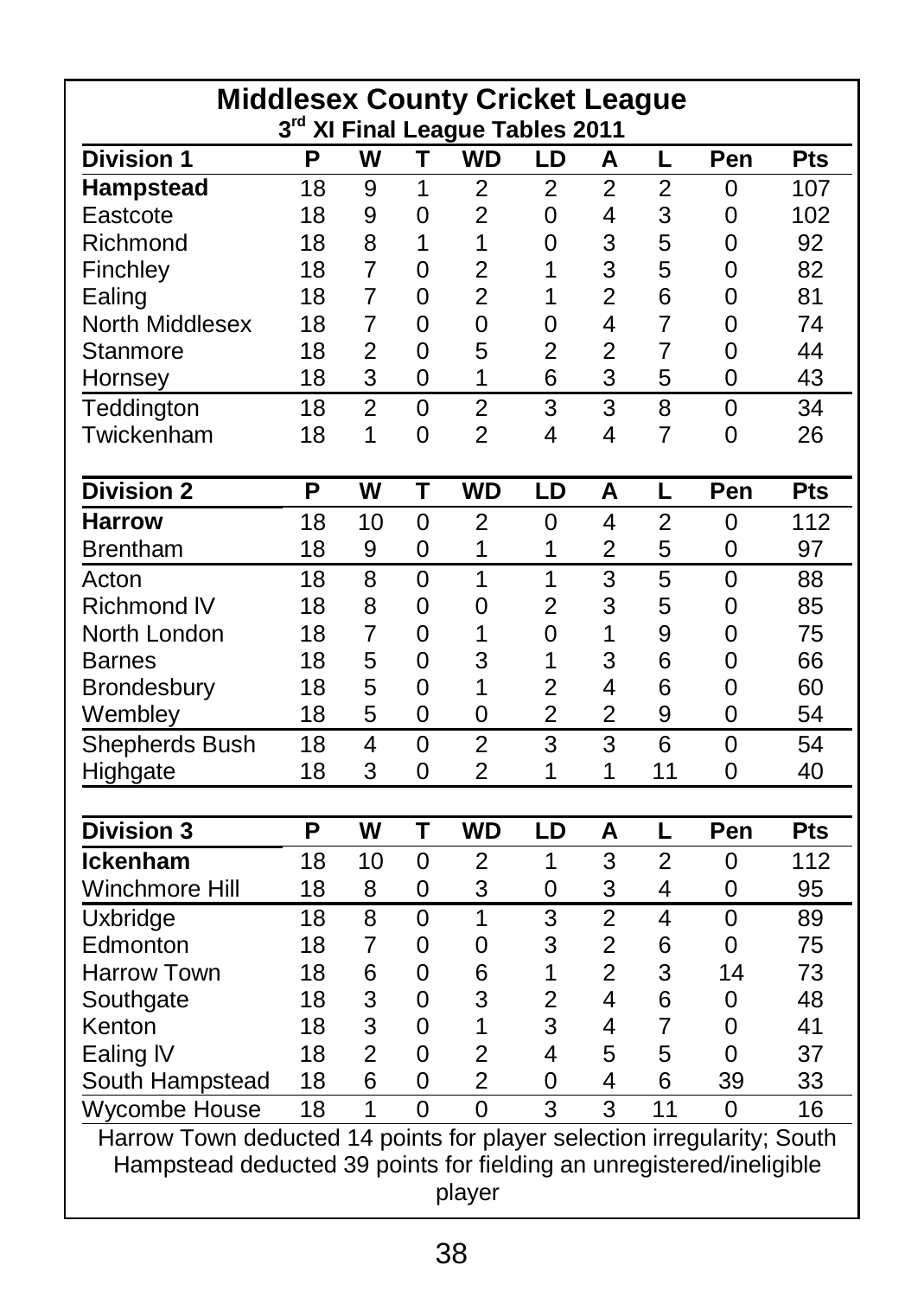| <b>Middlesex County Cricket League</b>                                  |    |                         |              | 3rd XI Final League Tables 2011 |                |                |                |                |     |
|-------------------------------------------------------------------------|----|-------------------------|--------------|---------------------------------|----------------|----------------|----------------|----------------|-----|
| <b>Division 1</b>                                                       | P  | W                       | т            | WD                              | LD             | Α              | L              | Pen            | Pts |
| Hampstead                                                               | 18 | 9                       | 1            | 2                               | $\overline{2}$ | $\overline{2}$ | $\overline{2}$ | 0              | 107 |
| Eastcote                                                                | 18 | 9                       | 0            | $\overline{2}$                  | 0              | 4              | 3              | 0              | 102 |
| Richmond                                                                | 18 | 8                       | 1            | $\mathbf{1}$                    | 0              | 3              | 5              | 0              | 92  |
| Finchley                                                                | 18 | $\overline{7}$          | $\mathbf{0}$ | $\overline{2}$                  | 1              | 3              | 5              | 0              | 82  |
| Ealing                                                                  | 18 | 7                       | 0            | $\overline{2}$                  | 1              | 2              | 6              | 0              | 81  |
| North Middlesex                                                         | 18 | $\overline{7}$          | 0            | 0                               | $\Omega$       | 4              | $\overline{7}$ | 0              | 74  |
| Stanmore                                                                | 18 | $\overline{2}$          | $\Omega$     | 5                               | $\overline{2}$ | $\overline{2}$ | $\overline{7}$ | 0              | 44  |
| Hornsey                                                                 | 18 | 3                       | 0            | $\mathbf{1}$                    | 6              | 3              | 5              | 0              | 43  |
| Teddington                                                              | 18 | $\overline{2}$          | $\Omega$     | $\overline{2}$                  | 3              | 3              | 8              | $\overline{0}$ | 34  |
| Twickenham                                                              | 18 | $\mathbf{1}$            | $\mathbf{0}$ | $\overline{2}$                  | 4              | 4              | $\overline{7}$ | $\mathbf{0}$   | 26  |
| <b>Division 2</b>                                                       | P  | W                       | Т            | <b>WD</b>                       | LD             | A              | L              | Pen            | Pts |
| <b>Harrow</b>                                                           | 18 | 10                      | 0            | 2                               | 0              | 4              | 2              | 0              | 112 |
| <b>Brentham</b>                                                         | 18 | 9                       | 0            | 1                               | 1              | $\overline{c}$ | 5              | 0              | 97  |
| Acton                                                                   | 18 | 8                       | $\Omega$     | $\overline{1}$                  | $\overline{1}$ | 3              | 5              | $\Omega$       | 88  |
| Richmond IV                                                             | 18 | 8                       | 0            | 0                               | 2              | 3              | 5              | 0              | 85  |
| North London                                                            | 18 | 7                       | 0            | 1                               | $\Omega$       | 1              | 9              | 0              | 75  |
| <b>Barnes</b>                                                           | 18 | 5                       | 0            | 3                               | 1              | 3              | 6              | 0              | 66  |
| Brondesbury                                                             | 18 | 5                       | $\mathbf 0$  | 1                               | $\overline{2}$ | 4              | 6              | 0              | 60  |
| Wembley                                                                 | 18 | 5                       | $\Omega$     | $\overline{0}$                  | $\overline{2}$ | $\overline{2}$ | 9              | 0              | 54  |
| Shepherds Bush                                                          | 18 | $\overline{\mathbf{4}}$ | $\Omega$     | $\overline{2}$                  | 3              | 3              | 6              | $\mathbf{0}$   | 54  |
| Highgate                                                                | 18 | 3                       | 0            | $\overline{2}$                  | 1              | 1              | 11             | 0              | 40  |
|                                                                         |    |                         |              |                                 |                |                |                |                |     |
| <b>Division 3</b>                                                       | P  | W                       | Т            | <b>WD</b>                       | LD             | А              | L              | Pen            | Pts |
| Ickenham                                                                | 18 | 10                      | $\Omega$     | 2                               | 1              | 3              | $\overline{2}$ | 0              | 112 |
| Winchmore Hill                                                          | 18 | 8                       | 0            | 3                               | 0              | 3              | 4              | 0              | 95  |
| Uxbridge                                                                | 18 | 8                       | $\Omega$     | $\mathbf{1}$                    | 3              | $\overline{2}$ | 4              | 0              | 89  |
| Edmonton                                                                | 18 | 7                       | 0            | 0                               | 3              | $\overline{2}$ | 6              | 0              | 75  |
| <b>Harrow Town</b>                                                      | 18 | 6                       | 0            | 6                               | 1              | $\overline{2}$ | 3              | 14             | 73  |
| Southgate                                                               | 18 | 3                       | 0            | 3                               | $\overline{2}$ | 4              | 6              | 0              | 48  |
| Kenton                                                                  | 18 | 3                       | 0            | $\mathbf{1}$                    | 3              | 4              | $\overline{7}$ | 0              | 41  |
| Ealing IV                                                               | 18 | $\overline{2}$          | $\mathbf{0}$ | $\overline{2}$                  | 4              | 5              | 5              | 0              | 37  |
| South Hampstead                                                         | 18 | 6                       | 0            | 2                               | 0              | 4              | 6              | 39             | 33  |
| Wycombe House                                                           | 18 | $\mathbf{1}$            | $\Omega$     | $\Omega$                        | $\overline{3}$ | 3              | 11             | 0              | 16  |
| Harrow Town deducted 14 points for player selection irregularity; South |    |                         |              |                                 |                |                |                |                |     |
| Hampstead deducted 39 points for fielding an unregistered/ineligible    |    |                         |              |                                 |                |                |                |                |     |
|                                                                         |    |                         |              | player                          |                |                |                |                |     |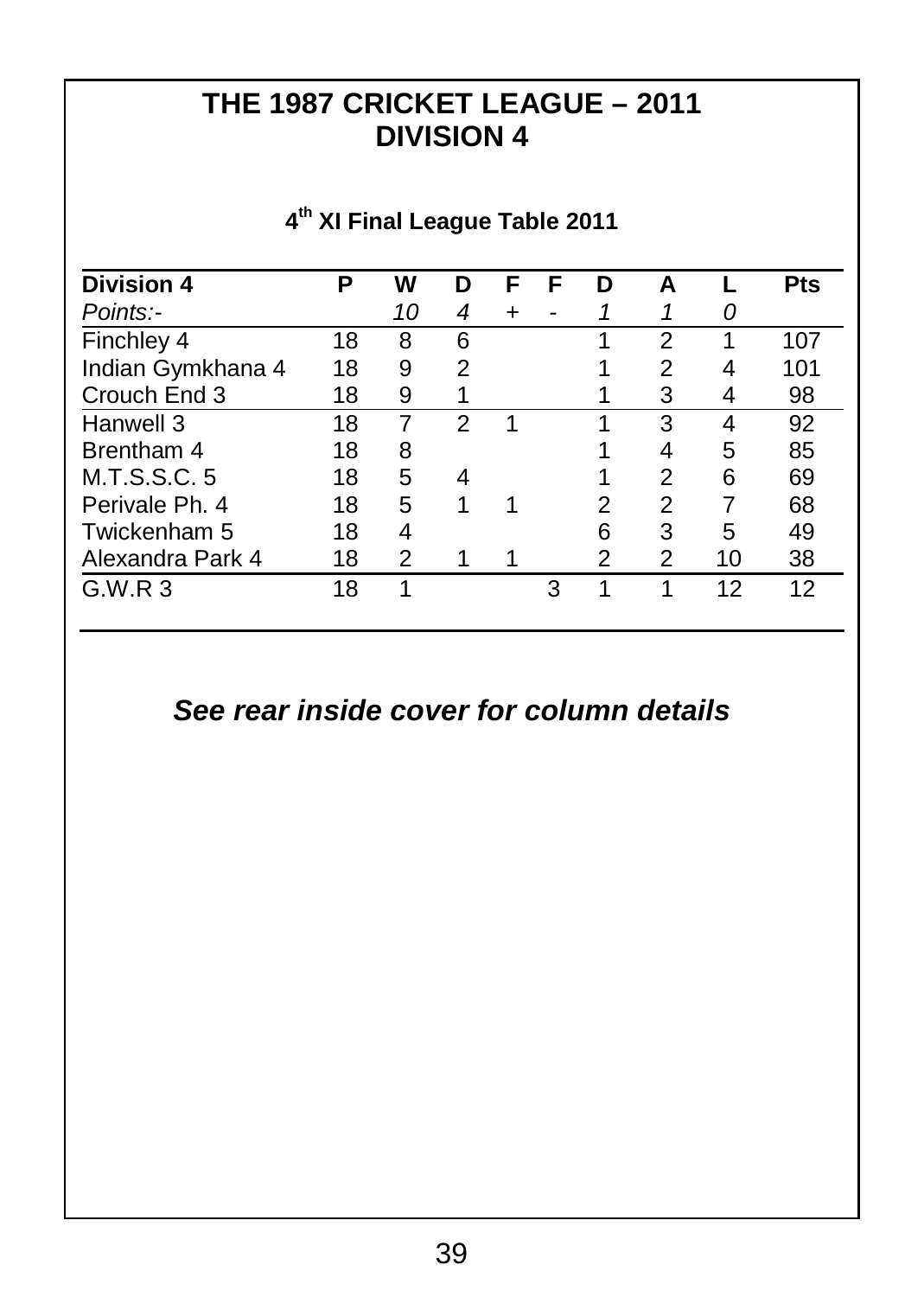## **THE 1987 CRICKET LEAGUE – 2011 DIVISION 4**

#### **Division 4 P W D F F D A L Pts** *Points:- 10 4 + - 1 1 0* Finchley 4 18 8 6 1 2 1 107<br>Indian Gymkhana 4 18 9 2 1 2 4 101 Indian Gymkhana 4 18 9 2 1 2 4 101 Post Crouch End 3 18 9 1 1 3 4 98 Hanwell 3 18 7 2 1 1 3 4 92<br>Brentham 4 18 8 1 4 5 85 Potentham 4 18 8 1 4 5 85<br>
M.T.S.S.C. 5 18 5 4 1 2 6 69 M.T.S.S.C. 5 18 5 4 1 2 6 69<br>Perivale Ph. 4 18 5 1 1 2 2 7 68 Perivale Ph. 4 18 5 1 1 2 2 7<br>Twickenham 5 18 4 6 3 5 Twickenham 5 18 4 6 3 5 49<br>Alexandra Park 4 18 2 1 1 2 2 10 38 Alexandra Park 4 18 2 1 1 2 2 10 38 G.W.R 3 1 1 3 1 1 12 12

#### **4 th XI Final League Table 2011**

#### *See rear inside cover for column details*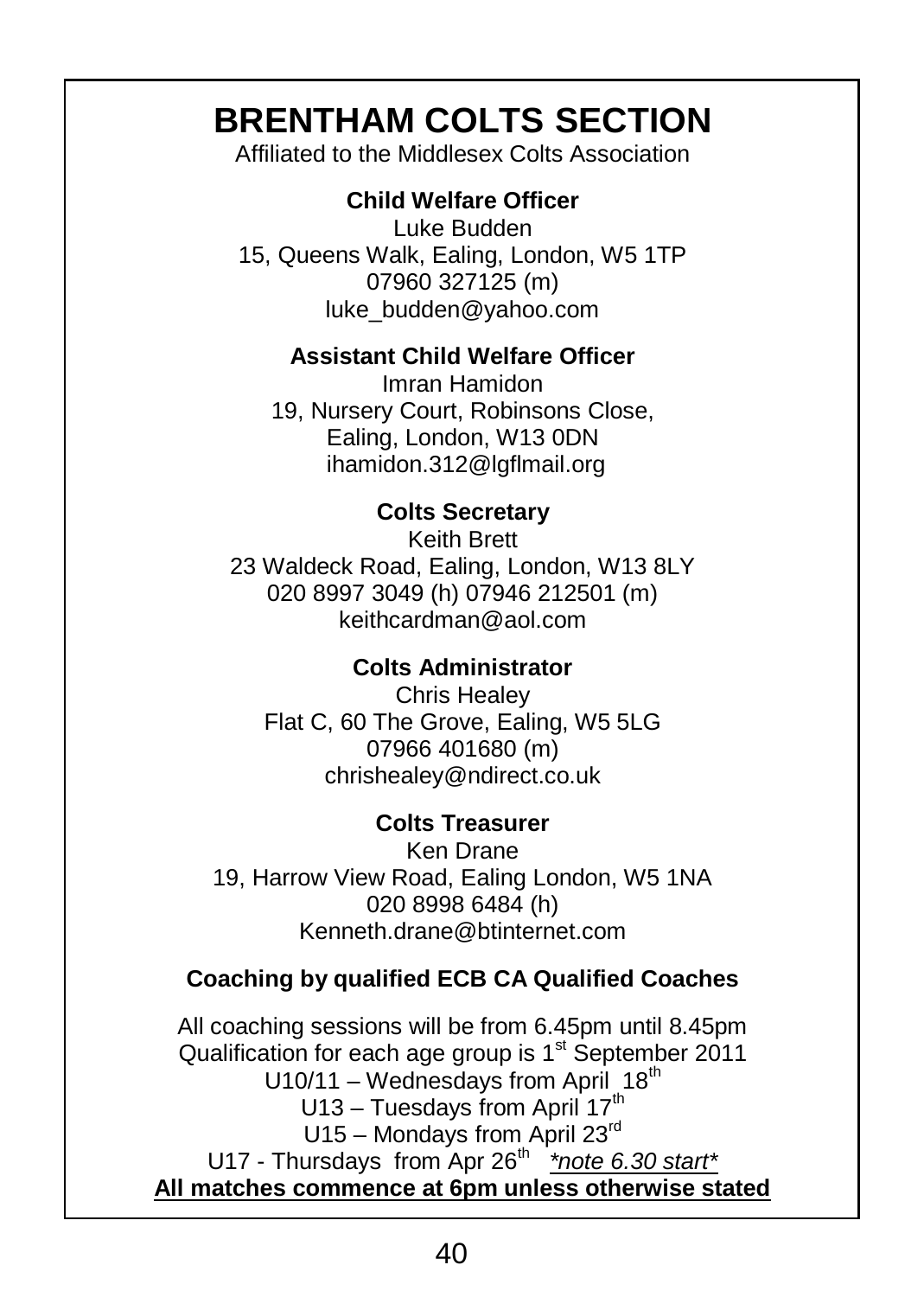# **BRENTHAM COLTS SECTION**

Affiliated to the Middlesex Colts Association

#### **Child Welfare Officer**

Luke Budden 15, Queens Walk, Ealing, London, W5 1TP 07960 327125 (m) luke\_budden@yahoo.com

#### **Assistant Child Welfare Officer**

Imran Hamidon 19, Nursery Court, Robinsons Close, Ealing, London, W13 0DN ihamidon.312@lgflmail.org

#### **Colts Secretary**

Keith Brett 23 Waldeck Road, Ealing, London, W13 8LY 020 8997 3049 (h) 07946 212501 (m) keithcardman@aol.com

#### **Colts Administrator**

Chris Healey Flat C, 60 The Grove, Ealing, W5 5LG 07966 401680 (m) chrishealey@ndirect.co.uk

#### **Colts Treasurer**

Ken Drane 19, Harrow View Road, Ealing London, W5 1NA 020 8998 6484 (h) Kenneth.drane@btinternet.com

#### **Coaching by qualified ECB CA Qualified Coaches**

All coaching sessions will be from 6.45pm until 8.45pm Qualification for each age group is  $1<sup>st</sup>$  September 2011  $U10/11 - W$ ednesdays from April 18<sup>th</sup>  $U13 - T$ uesdays from April 17<sup>th</sup> U15 – Mondays from April 23rd U17 - Thursdays from Apr 26<sup>th \*</sup>*note 6.30 start*\* **All matches commence at 6pm unless otherwise stated**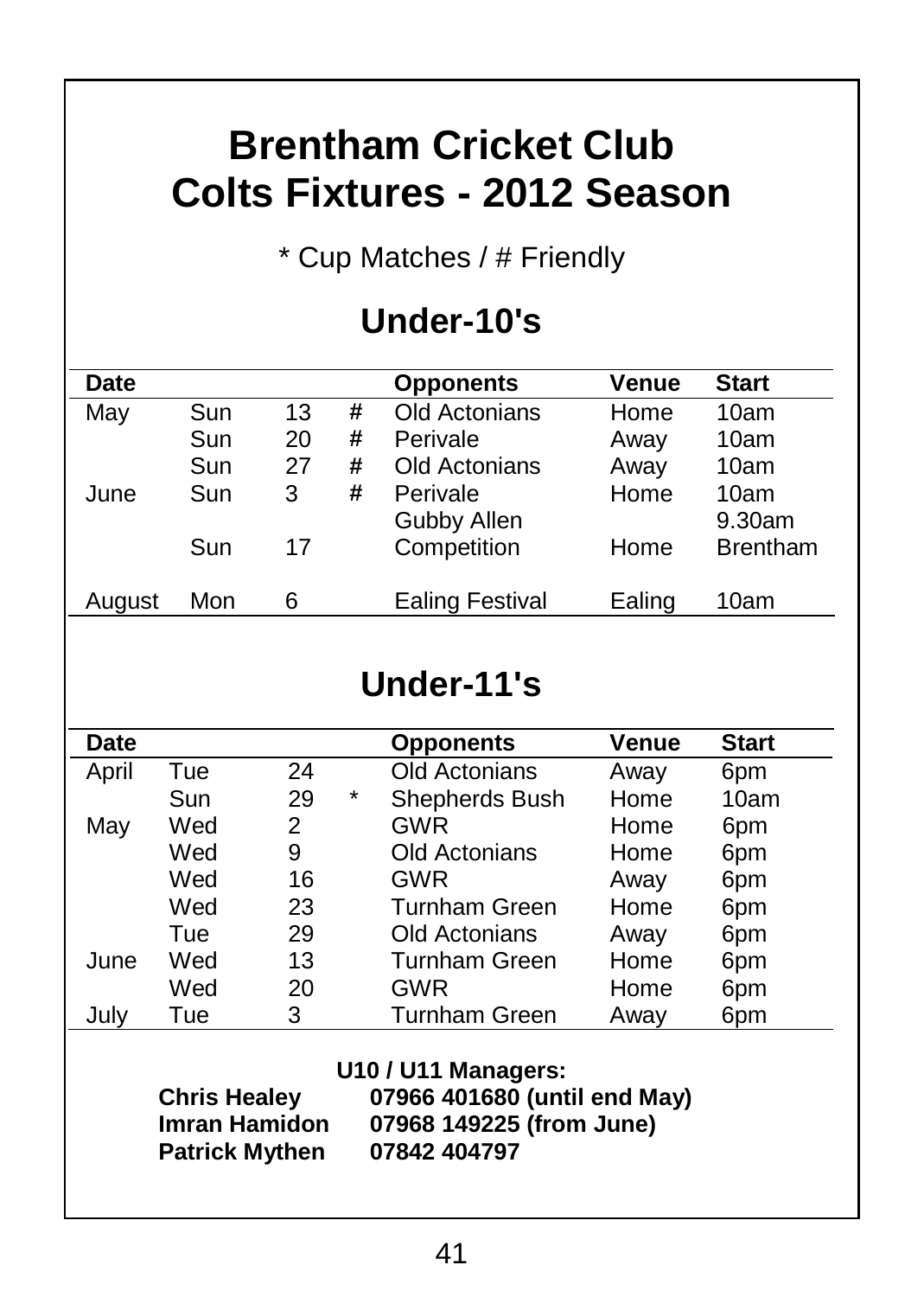# **Brentham Cricket Club Colts Fixtures - 2012 Season**

\* Cup Matches / # Friendly

# **Under-10's**

| Date   |     |    |   | <b>Opponents</b>        | Venue  | <b>Start</b>    |
|--------|-----|----|---|-------------------------|--------|-----------------|
| May    | Sun | 13 | # | Old Actonians           | Home   | 10am            |
|        | Sun | 20 | # | Perivale                | Away   | 10am            |
|        | Sun | 27 | # | Old Actonians           | Away   | 10am            |
| June   | Sun | 3  | # | Perivale<br>Gubby Allen | Home   | 10am<br>9.30am  |
|        | Sun | 17 |   | Competition             | Home   | <b>Brentham</b> |
| August | Mon | 6  |   | <b>Ealing Festival</b>  | Ealing | 10am            |

# **Under-11's**

| Date  |                                                                      |    |   | <b>Opponents</b>                                                                                | Venue | <b>Start</b> |
|-------|----------------------------------------------------------------------|----|---|-------------------------------------------------------------------------------------------------|-------|--------------|
| April | Tue                                                                  | 24 |   | Old Actonians                                                                                   | Away  | 6pm          |
|       | Sun                                                                  | 29 | * | Shepherds Bush                                                                                  | Home  | 10am         |
| May   | Wed                                                                  | 2  |   | <b>GWR</b>                                                                                      | Home  | 6pm          |
|       | Wed                                                                  | 9  |   | Old Actonians                                                                                   | Home  | 6pm          |
|       | Wed                                                                  | 16 |   | GWR                                                                                             | Away  | 6pm          |
|       | Wed                                                                  | 23 |   | Turnham Green                                                                                   | Home  | 6pm          |
|       | Tue                                                                  | 29 |   | Old Actonians                                                                                   | Away  | 6pm          |
| June  | Wed                                                                  | 13 |   | Turnham Green                                                                                   | Home  | 6pm          |
|       | Wed                                                                  | 20 |   | GWR                                                                                             | Home  | 6pm          |
| July  | Tue                                                                  | 3  |   | <b>Turnham Green</b>                                                                            | Away  | 6pm          |
|       | <b>Chris Healey</b><br><b>Imran Hamidon</b><br><b>Patrick Mythen</b> |    |   | U10 / U11 Managers:<br>07966 401680 (until end May)<br>07968 149225 (from June)<br>07842 404797 |       |              |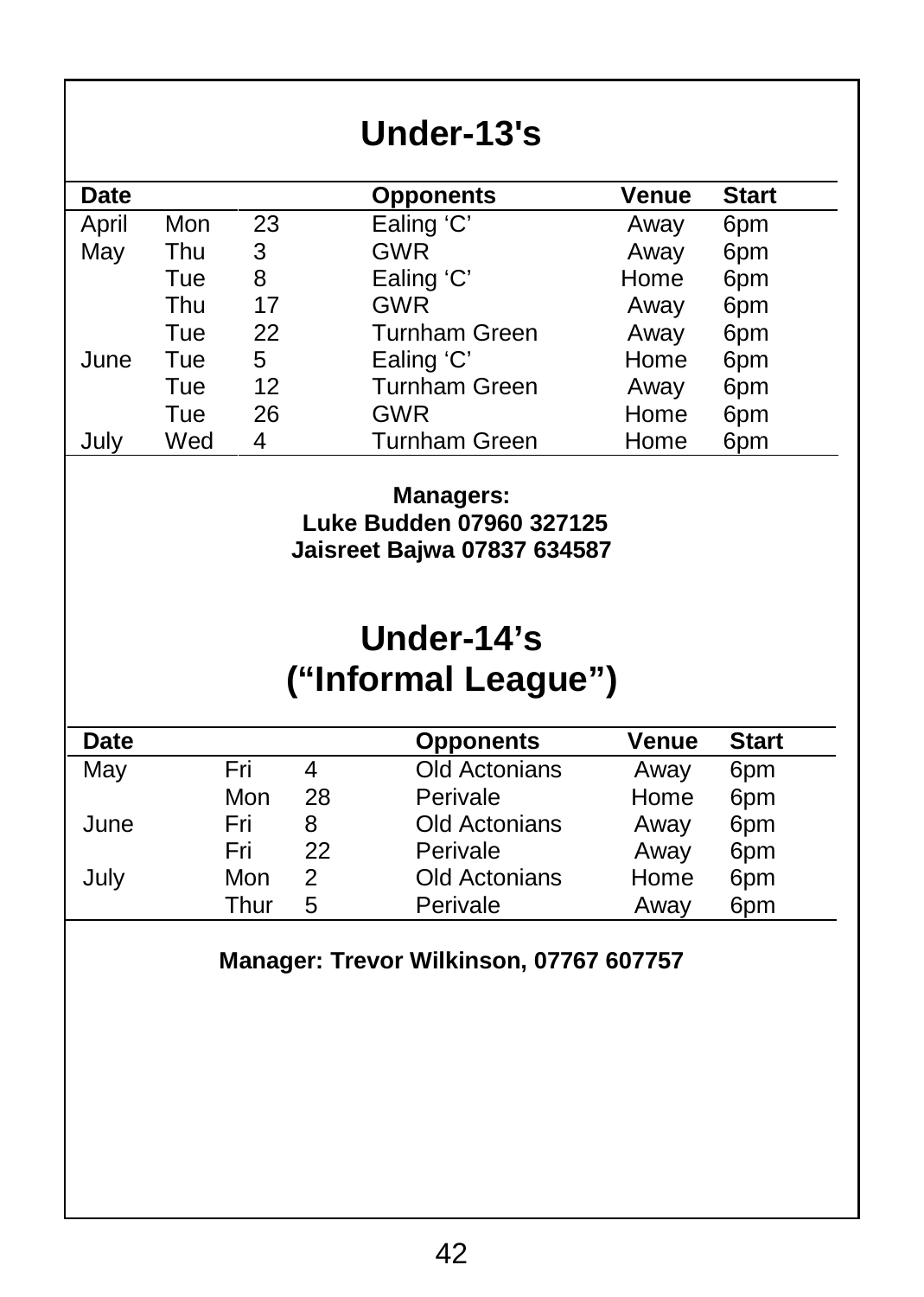| Date<br>April<br>May | 23<br>Mon<br>Thu<br>3 | Under-13's<br><b>Opponents</b>                   | Venue        |              |
|----------------------|-----------------------|--------------------------------------------------|--------------|--------------|
|                      |                       |                                                  |              |              |
|                      |                       |                                                  |              | <b>Start</b> |
|                      |                       | Ealing 'C'                                       | Away         | 6pm          |
|                      |                       | <b>GWR</b>                                       | Away         | 6pm          |
|                      | Tue<br>8              | Ealing 'C'                                       | Home         | 6pm          |
|                      | 17<br>Thu             | <b>GWR</b>                                       | Away         | 6pm          |
|                      | 22<br>Tue             | <b>Turnham Green</b>                             | Away         | 6pm          |
| June                 | 5<br>Tue              | Ealing 'C'                                       | Home         | 6pm          |
|                      | 12<br>Tue             | <b>Turnham Green</b>                             | Awav         | 6pm          |
|                      | 26<br>Tue             | <b>GWR</b>                                       | Home         | 6pm          |
| July                 | Wed<br>4              | <b>Turnham Green</b>                             | Home         | 6pm          |
|                      |                       | Jaisreet Bajwa 07837 634587<br>Under-14's        |              |              |
|                      |                       | ("Informal League")                              |              |              |
| <b>Date</b>          |                       | <b>Opponents</b>                                 | Venue        | <b>Start</b> |
| May                  | Fri                   | $\overline{\mathbf{4}}$<br><b>Old Actonians</b>  | Away         | 6pm          |
|                      | Mon                   | 28<br>Perivale                                   | Home         | 6pm          |
| June                 | Fri                   | Old Actonians<br>8                               | Away         | 6pm          |
|                      | Fri                   | 22<br>Perivale                                   | Away         | 6pm          |
| July                 | Mon<br>Thur           | $\overline{2}$<br>Old Actonians<br>5<br>Perivale | Home<br>Away | 6pm<br>6pm   |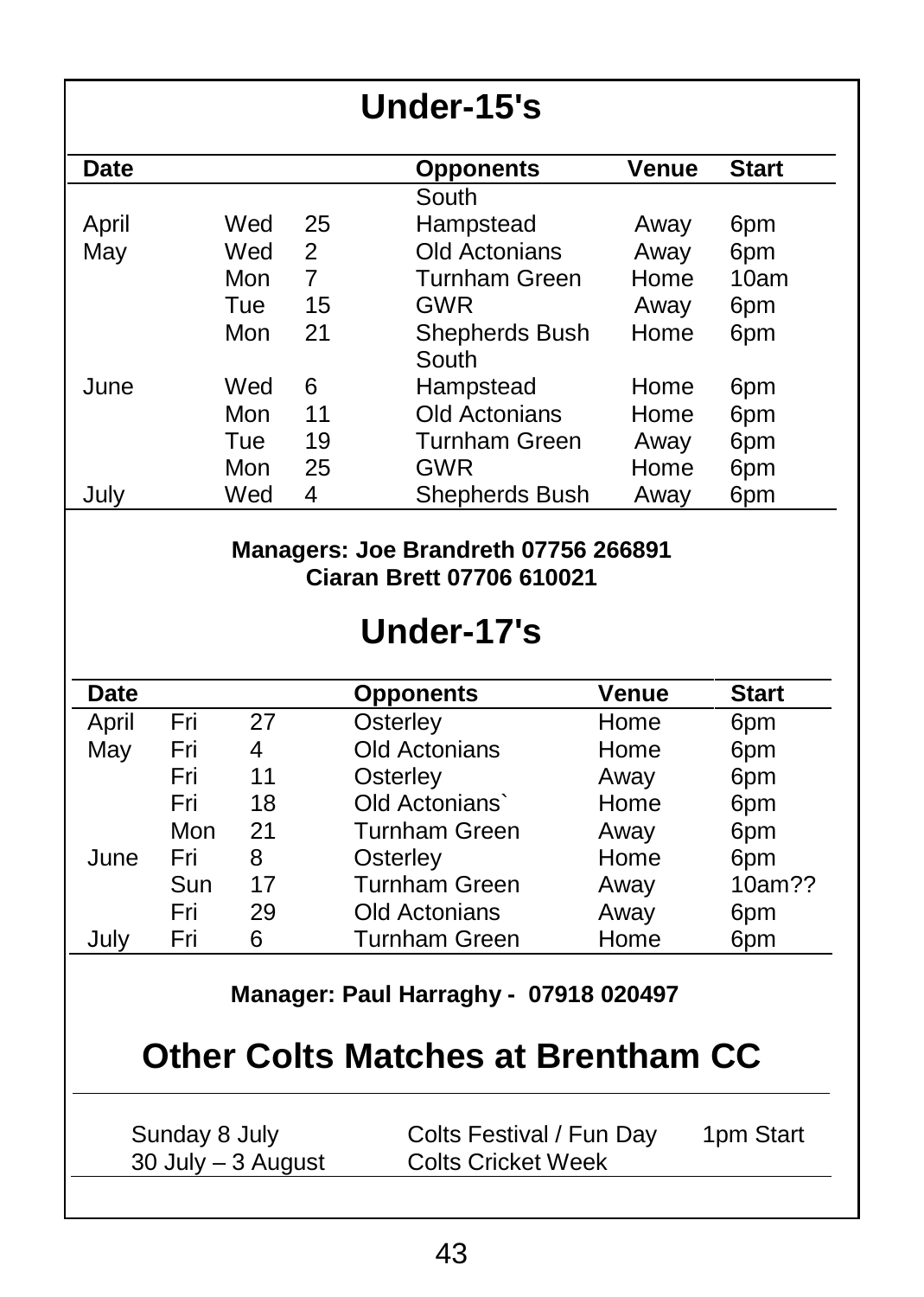| Date<br>April<br>May                                                                                      |            |     |                | <b>Opponents</b>        | Venue | <b>Start</b> |
|-----------------------------------------------------------------------------------------------------------|------------|-----|----------------|-------------------------|-------|--------------|
|                                                                                                           |            |     |                |                         |       |              |
|                                                                                                           |            |     |                | South                   |       |              |
|                                                                                                           |            | Wed | 25             | Hampstead               | Away  | 6pm          |
|                                                                                                           |            | Wed | $\overline{2}$ | <b>Old Actonians</b>    | Away  | 6pm          |
|                                                                                                           |            | Mon | 7              | Turnham Green           | Home  | 10am         |
|                                                                                                           |            | Tue | 15             | GWR                     | Away  | 6pm          |
|                                                                                                           |            | Mon | 21             | Shepherds Bush<br>South | Home  | 6pm          |
| June                                                                                                      |            | Wed | 6              | Hampstead               | Home  | 6pm          |
|                                                                                                           |            | Mon | 11             | Old Actonians           | Home  | 6pm          |
|                                                                                                           |            | Tue | 19             | Turnham Green           | Away  | 6pm          |
|                                                                                                           |            | Mon | 25             | GWR                     | Home  | 6pm          |
| July                                                                                                      |            | Wed | 4              | Shepherds Bush          | Away  | 6pm          |
|                                                                                                           |            |     |                | Under-17's              |       |              |
| <b>Date</b>                                                                                               |            |     |                | <b>Opponents</b>        | Venue | <b>Start</b> |
| April                                                                                                     | Fri        | 27  |                | Osterley                | Home  | 6pm          |
| May                                                                                                       | Fri        | 4   |                | Old Actonians           | Home  | 6pm          |
|                                                                                                           | Fri        | 11  |                | Osterley                | Away  | 6pm          |
|                                                                                                           | Fri        | 18  |                | Old Actonians`          | Home  | 6pm          |
|                                                                                                           | Mon        | 21  |                | Turnham Green           | Away  | 6pm          |
| June                                                                                                      | Fri        | 8   |                | Osterley                | Home  | 6pm          |
|                                                                                                           | Sun<br>Fri | 17  |                | <b>Turnham Green</b>    | Awav  | 10am??       |
|                                                                                                           |            | 29  |                | Old Actonians           | Away  | 6pm          |
| July                                                                                                      | Fri        | 6   |                | Turnham Green           | Home  | 6pm          |
| Manager: Paul Harraghy - 07918 020497<br><b>Other Colts Matches at Brentham CC</b>                        |            |     |                |                         |       |              |
| Sunday 8 July<br>Colts Festival / Fun Day<br>1pm Start<br><b>Colts Cricket Week</b><br>30 July - 3 August |            |     |                |                         |       |              |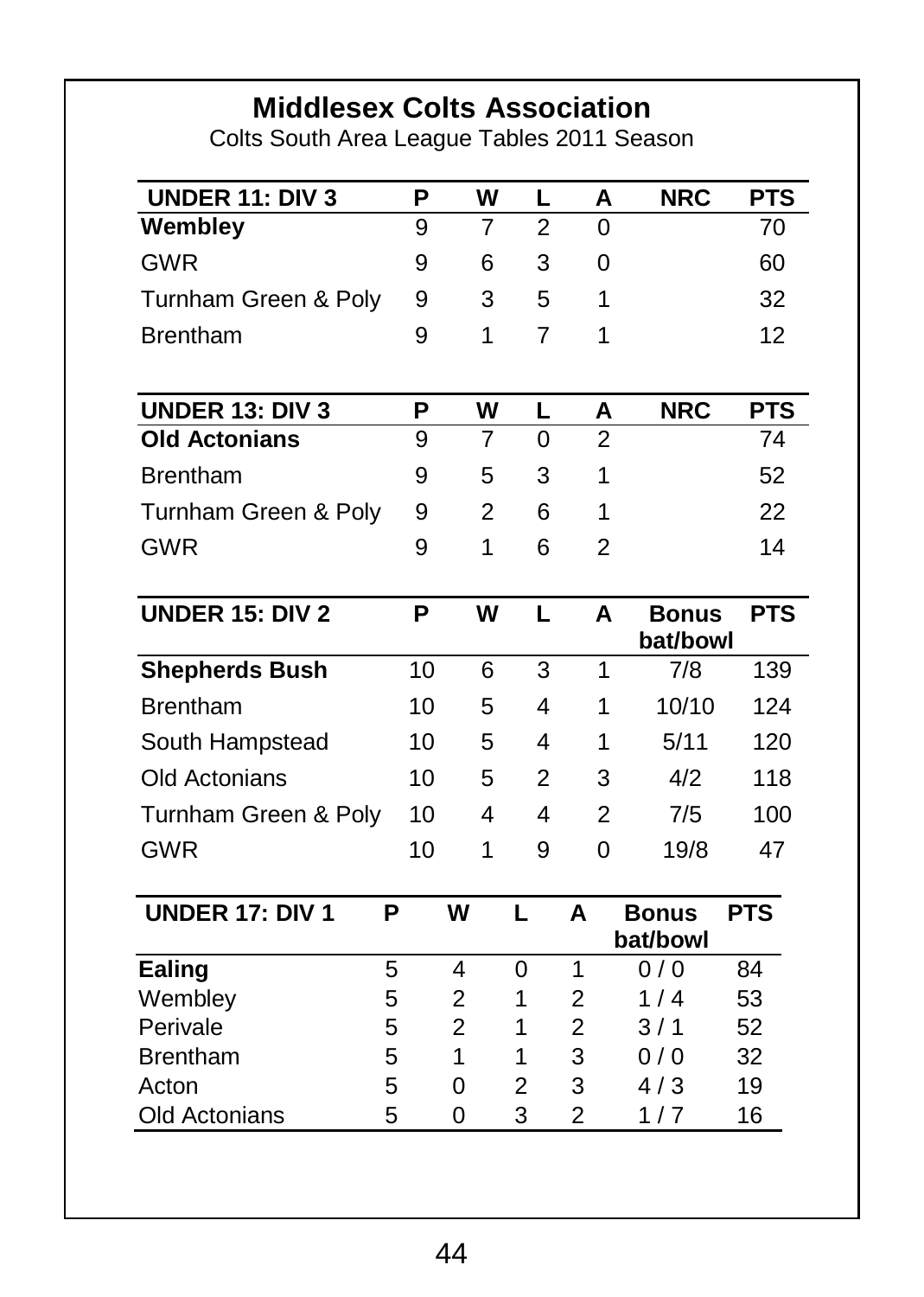# **Middlesex Colts Association**

Colts South Area League Tables 2011 Season

| <b>UNDER 11: DIV 3</b> | P  | W              | L              | А              | <b>NRC</b>               | <b>PTS</b> |
|------------------------|----|----------------|----------------|----------------|--------------------------|------------|
| Wembley                | 9  | $\overline{7}$ | $\overline{2}$ | 0              |                          | 70         |
| <b>GWR</b>             | 9  | 6              | 3              | 0              |                          | 60         |
| Turnham Green & Poly   | 9  | 3              | 5              | 1              |                          | 32         |
| <b>Brentham</b>        | 9  | 1              | $\overline{7}$ | 1              |                          | 12         |
|                        |    |                |                |                |                          |            |
| <b>UNDER 13: DIV 3</b> | P  | W              | L              | A              | <b>NRC</b>               | <b>PTS</b> |
| <b>Old Actonians</b>   | 9  | 7              | 0              | $\overline{2}$ |                          | 74         |
| <b>Brentham</b>        | 9  | 5              | 3              | 1              |                          | 52         |
| Turnham Green & Poly   | 9  | 2              | 6              | 1              |                          | 22         |
| <b>GWR</b>             | 9  | 1              | 6              | 2              |                          | 14         |
|                        |    |                |                |                |                          |            |
| <b>UNDER 15: DIV 2</b> | P  | W              | L              | A              | <b>Bonus</b><br>bat/bowl | <b>PTS</b> |
| <b>Shepherds Bush</b>  | 10 | 6              | 3              | 1              | 7/8                      | 139        |
| <b>Brentham</b>        | 10 | 5              | 4              | 1              | 10/10                    | 124        |
| South Hampstead        | 10 | 5              | 4              | 1              | 5/11                     | 120        |
| Old Actonians          | 10 | 5              | 2              | 3              | 4/2                      | 118        |
| Turnham Green & Poly   | 10 | 4              | 4              | $\overline{2}$ | 7/5                      | 100        |
| <b>GWR</b>             | 10 | 1              | 9              | 0              | 19/8                     | 47         |
| UNDER 17: DIV 1        | P  | W              | L              | A              | <b>Bonus</b>             | <b>PTS</b> |
|                        |    |                |                |                | bat/bowl                 |            |
| Ealing                 | 5  | 4              | 0              | 1              | 0/0                      | 84         |
| Wembley                | 5  | 2              | 1              | 2              | 1/4                      | 53         |
| Perivale               | 5  | $\overline{2}$ | 1              | 2              | 3/1                      | 52         |
| <b>Brentham</b>        | 5  | 1              | 1              | 3              | 0/0                      | 32         |
| Acton                  | 5  | 0              | 2              | 3              | 4/3                      | 19         |
|                        |    |                | 3              | 2              | 1/7                      | 16         |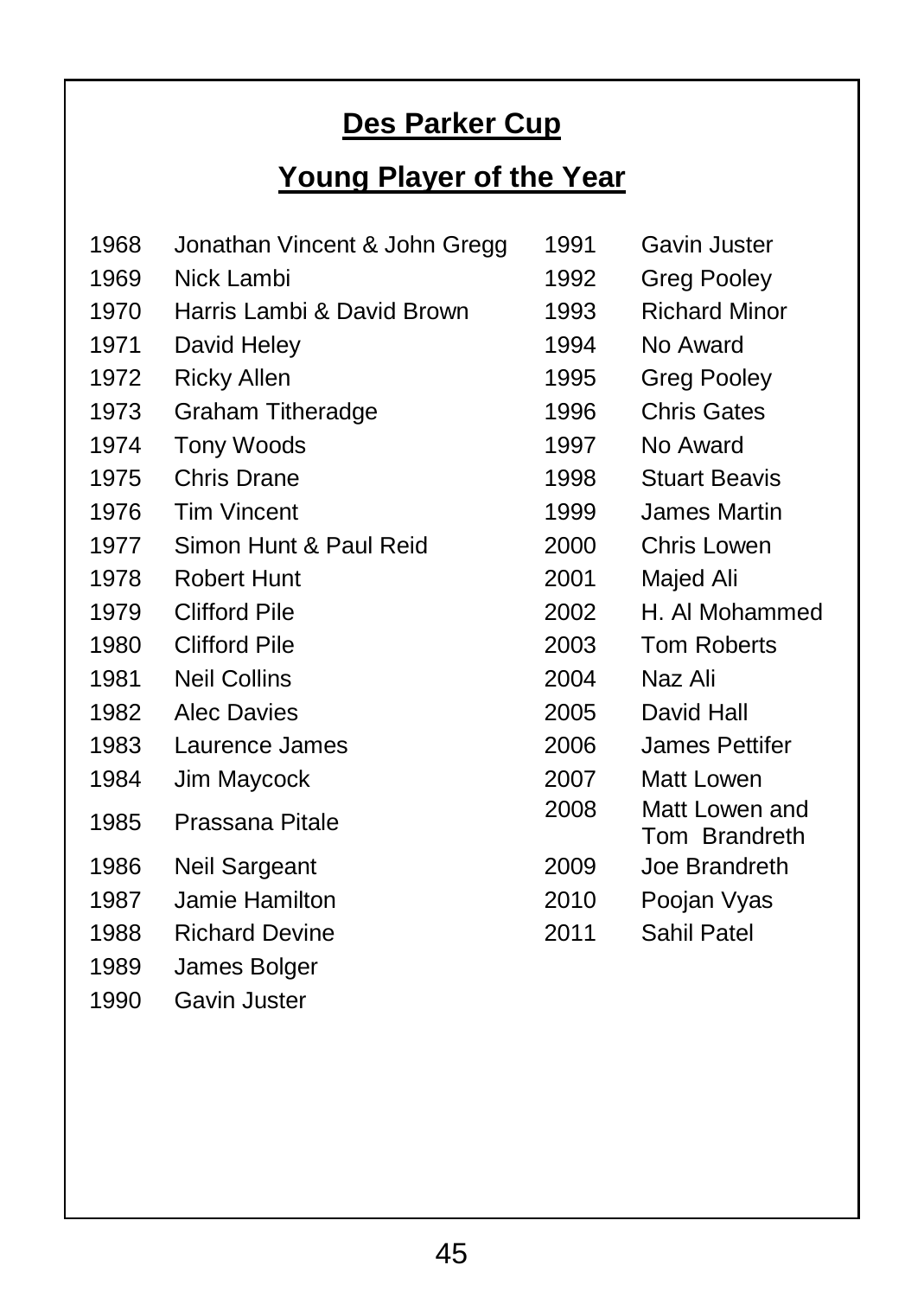# **Des Parker Cup**

# **Young Player of the Year**

| 1968 | Jonathan Vincent & John Gregg | 1991 | Gavin Juster                    |
|------|-------------------------------|------|---------------------------------|
| 1969 | Nick Lambi                    | 1992 | Greg Pooley                     |
| 1970 | Harris Lambi & David Brown    | 1993 | <b>Richard Minor</b>            |
| 1971 | David Heley                   | 1994 | No Award                        |
| 1972 | Ricky Allen                   | 1995 | Greg Pooley                     |
| 1973 | <b>Graham Titheradge</b>      | 1996 | <b>Chris Gates</b>              |
| 1974 | <b>Tony Woods</b>             | 1997 | No Award                        |
| 1975 | <b>Chris Drane</b>            | 1998 | <b>Stuart Beavis</b>            |
| 1976 | <b>Tim Vincent</b>            | 1999 | James Martin                    |
| 1977 | Simon Hunt & Paul Reid        | 2000 | Chris Lowen                     |
| 1978 | Robert Hunt                   | 2001 | Majed Ali                       |
| 1979 | <b>Clifford Pile</b>          | 2002 | H. Al Mohammed                  |
| 1980 | <b>Clifford Pile</b>          | 2003 | <b>Tom Roberts</b>              |
| 1981 | <b>Neil Collins</b>           | 2004 | Naz Ali                         |
| 1982 | <b>Alec Davies</b>            | 2005 | David Hall                      |
| 1983 | Laurence James                | 2006 | James Pettifer                  |
| 1984 | Jim Maycock                   | 2007 | Matt Lowen                      |
| 1985 | Prassana Pitale               | 2008 | Matt Lowen and<br>Tom Brandreth |
| 1986 | Neil Sargeant                 | 2009 | Joe Brandreth                   |
| 1987 | Jamie Hamilton                | 2010 | Poojan Vyas                     |
| 1988 | <b>Richard Devine</b>         | 2011 | Sahil Patel                     |
| 1989 | James Bolger                  |      |                                 |
| 1990 | Gavin Juster                  |      |                                 |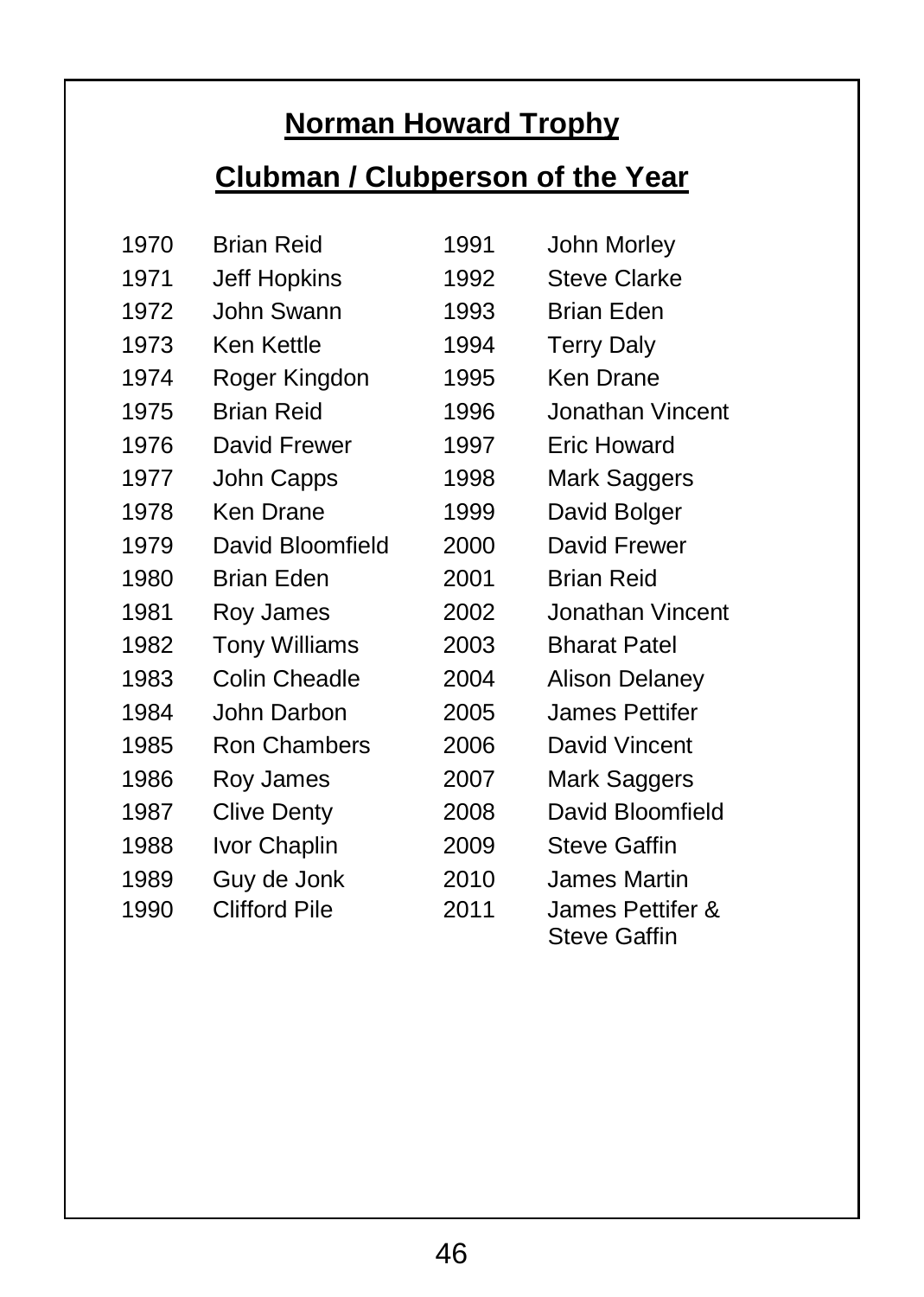# **Norman Howard Trophy**

# **Clubman / Clubperson of the Year**

| 1970 | <b>Brian Reid</b>    | 1991 | John Morley                      |
|------|----------------------|------|----------------------------------|
| 1971 | Jeff Hopkins         | 1992 | <b>Steve Clarke</b>              |
| 1972 | John Swann           | 1993 | <b>Brian Eden</b>                |
| 1973 | Ken Kettle           | 1994 | <b>Terry Daly</b>                |
| 1974 | Roger Kingdon        | 1995 | Ken Drane                        |
| 1975 | <b>Brian Reid</b>    | 1996 | Jonathan Vincent                 |
| 1976 | David Frewer         | 1997 | Eric Howard                      |
| 1977 | John Capps           | 1998 | Mark Saggers                     |
| 1978 | Ken Drane            | 1999 | David Bolger                     |
| 1979 | David Bloomfield     | 2000 | David Frewer                     |
| 1980 | Brian Eden           | 2001 | Brian Reid                       |
| 1981 | Roy James            | 2002 | Jonathan Vincent                 |
| 1982 | <b>Tony Williams</b> | 2003 | <b>Bharat Patel</b>              |
| 1983 | Colin Cheadle        | 2004 | <b>Alison Delaney</b>            |
| 1984 | John Darbon          | 2005 | James Pettifer                   |
| 1985 | <b>Ron Chambers</b>  | 2006 | David Vincent                    |
| 1986 | Roy James            | 2007 | Mark Saggers                     |
| 1987 | Clive Denty          | 2008 | David Bloomfield                 |
| 1988 | Ivor Chaplin         | 2009 | Steve Gaffin                     |
| 1989 | Guy de Jonk          | 2010 | James Martin                     |
| 1990 | <b>Clifford Pile</b> | 2011 | James Pettifer &<br>Steve Gaffin |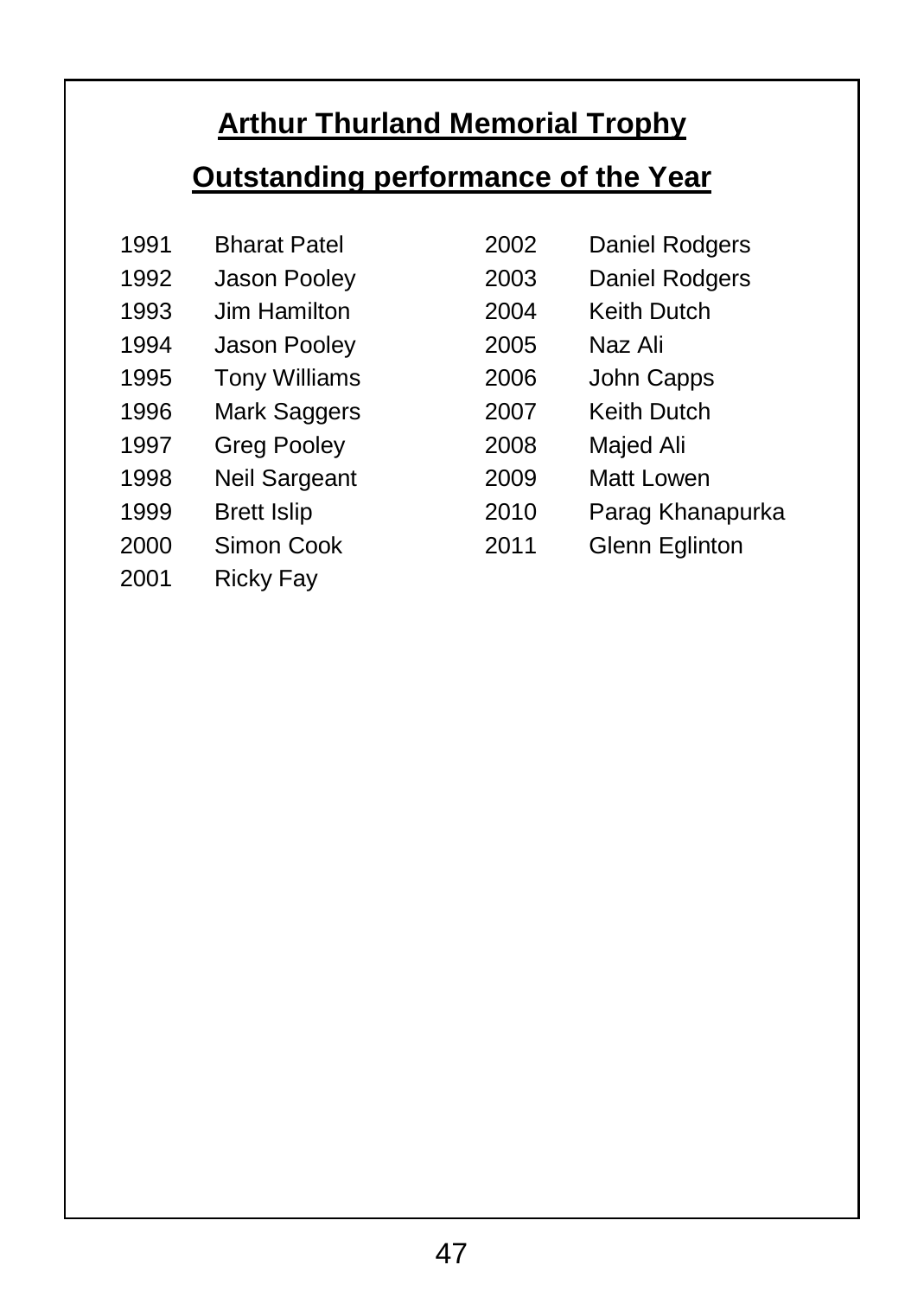# **Arthur Thurland Memorial Trophy**

# **Outstanding performance of the Year**

| 1991 | <b>Bharat Patel</b>  | 2002 | Daniel Rodgers   |
|------|----------------------|------|------------------|
| 1992 | Jason Pooley         | 2003 | Daniel Rodgers   |
| 1993 | Jim Hamilton         | 2004 | Keith Dutch      |
| 1994 | Jason Pooley         | 2005 | Naz Ali          |
| 1995 | <b>Tony Williams</b> | 2006 | John Capps       |
| 1996 | Mark Saggers         | 2007 | Keith Dutch      |
| 1997 | <b>Greg Pooley</b>   | 2008 | Majed Ali        |
| 1998 | Neil Sargeant        | 2009 | Matt Lowen       |
| 1999 | <b>Brett Islip</b>   | 2010 | Parag Khanapurka |
| 2000 | Simon Cook           | 2011 | Glenn Eglinton   |
| 2001 | Ricky Fay            |      |                  |

47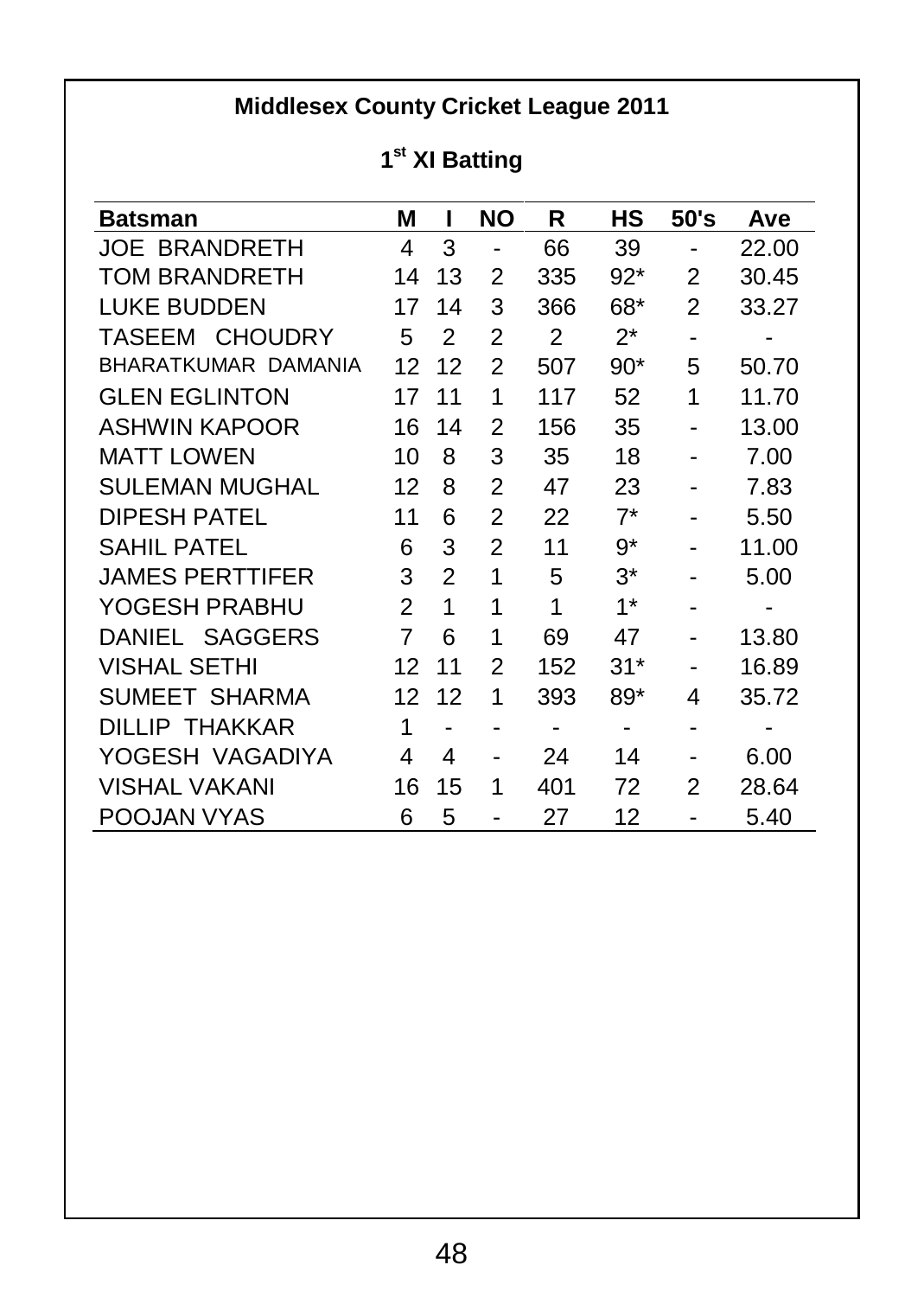#### **Middlesex County Cricket League 2011**

#### **1 st XI Batting**

| <b>Batsman</b>         | м  | ı              | <b>NO</b> | R   | нs    | 50's           | Ave   |
|------------------------|----|----------------|-----------|-----|-------|----------------|-------|
| <b>JOE BRANDRETH</b>   | 4  | 3              |           | 66  | 39    | $\blacksquare$ | 22.00 |
| TOM BRANDRETH          | 14 | 13             | 2         | 335 | $92*$ | 2              | 30.45 |
| LUKE BUDDEN            | 17 | 14             | 3         | 366 | 68*   | 2              | 33.27 |
| TASEEM CHOUDRY         | 5  | 2              | 2         | 2   | 2*    | -              |       |
| BHARATKUMAR DAMANIA    | 12 | 12             | 2         | 507 | $90*$ | 5              | 50.70 |
| <b>GLEN EGLINTON</b>   | 17 | 11             | 1         | 117 | 52    | 1              | 11.70 |
| <b>ASHWIN KAPOOR</b>   | 16 | 14             | 2         | 156 | 35    |                | 13.00 |
| <b>MATT LOWEN</b>      | 10 | 8              | 3         | 35  | 18    |                | 7.00  |
| SULEMAN MUGHAL         | 12 | 8              | 2         | 47  | 23    |                | 7.83  |
| DIPESH PATEL           | 11 | 6              | 2         | 22  | $7^*$ |                | 5.50  |
| SAHIL PATEL            | 6  | 3              | 2         | 11  | 9*    |                | 11.00 |
| <b>JAMES PERTTIFER</b> | 3  | $\overline{2}$ | 1         | 5   | $3^*$ |                | 5.00  |
| YOGESH PRABHU          | 2  | 1              | 1         | 1   | $1*$  | ۰              |       |
| DANIEL SAGGERS         | 7  | 6              | 1         | 69  | 47    |                | 13.80 |
| <b>VISHAL SETHI</b>    | 12 | 11             | 2         | 152 | 31*   |                | 16.89 |
| SUMEET SHARMA          | 12 | 12             | 1         | 393 | 89*   | 4              | 35.72 |
| DILLIP THAKKAR         | 1  |                |           | -   | ۰     | ۰              |       |
| YOGESH VAGADIYA        | 4  | 4              |           | 24  | 14    |                | 6.00  |
| VISHAL VAKANI          | 16 | 15             | 1         | 401 | 72    | 2              | 28.64 |
| POOJAN VYAS            | 6  | 5              |           | 27  | 12    |                | 5.40  |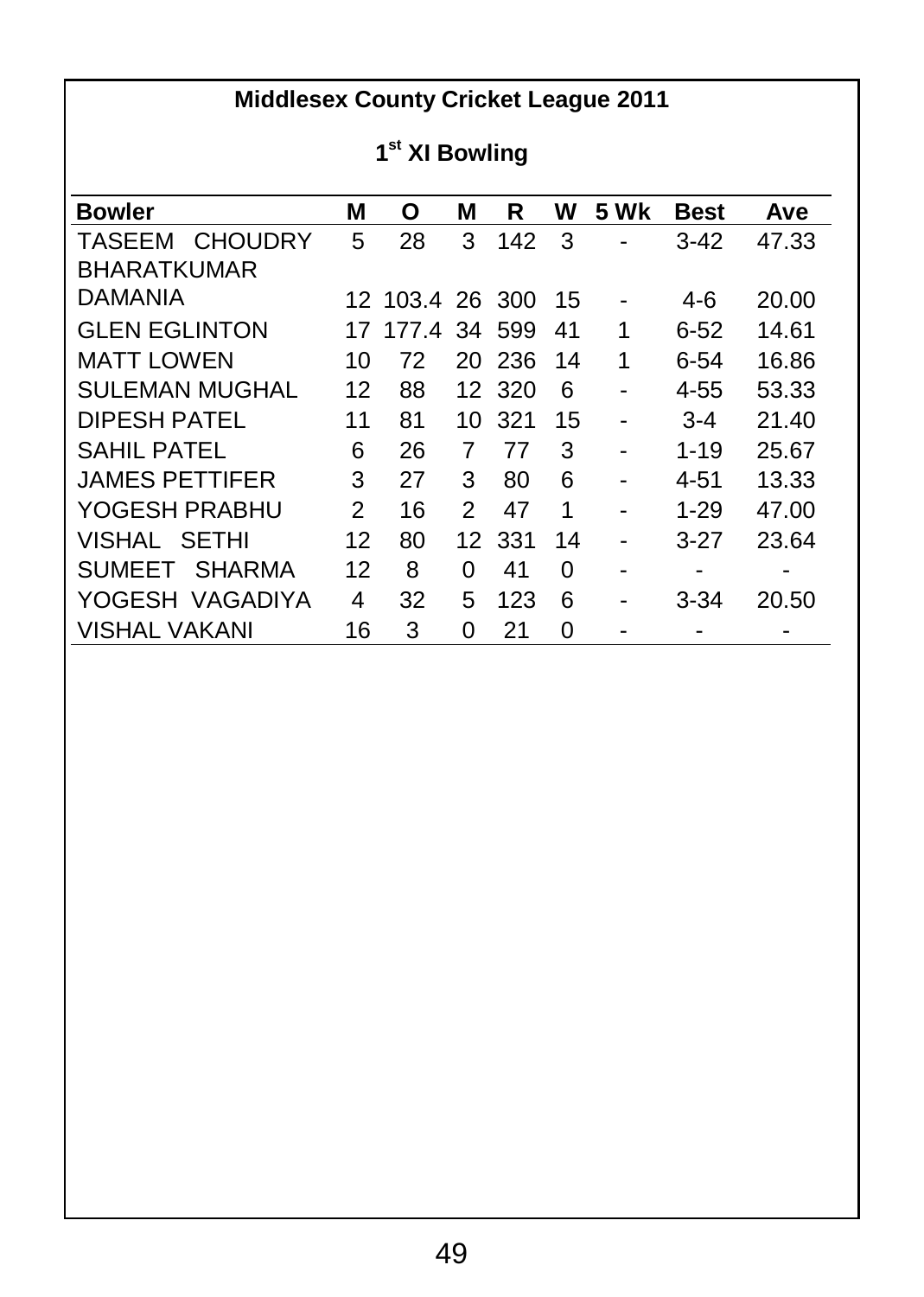## **Middlesex County Cricket League 2011**

#### **1 st XI Bowling**

| <b>Bowler</b>            | М  | O               | М  | R      | W  | <b>5 Wk</b> | <b>Best</b> | Ave   |
|--------------------------|----|-----------------|----|--------|----|-------------|-------------|-------|
| TASEEM<br><b>CHOUDRY</b> | 5  | 28              | 3  | 142    | 3  |             | $3-42$      | 47.33 |
| <b>BHARATKUMAR</b>       |    |                 |    |        |    |             |             |       |
| <b>DAMANIA</b>           |    | 12 103.4 26 300 |    |        | 15 |             | 4-6         | 20.00 |
| <b>GLEN EGLINTON</b>     | 17 | 177.4 34 599    |    |        | 41 | 1           | $6-52$      | 14.61 |
| <b>MATT LOWEN</b>        | 10 | 72              |    | 20 236 | 14 | 1           | 6-54        | 16.86 |
| <b>SULEMAN MUGHAL</b>    | 12 | 88              |    | 12 320 | 6  |             | 4-55        | 53.33 |
| DIPESH PATEL             | 11 | 81              | 10 | 321    | 15 | ۰           | $3 - 4$     | 21.40 |
| SAHII PATFI              | 6  | 26              | 7  | 77     | 3  |             | $1 - 19$    | 25.67 |
| <b>JAMES PETTIFER</b>    | 3  | 27              | 3  | 80     | 6  | -           | 4-51        | 13.33 |
| YOGESH PRABHU            | 2  | 16              | 2  | 47     | 1  |             | $1 - 29$    | 47.00 |
| VISHAL SETHI             | 12 | 80              | 12 | 331    | 14 |             | $3-27$      | 23.64 |
| SUMEET SHARMA            | 12 | 8               | 0  | 41     | 0  | -           |             |       |
| YOGESH VAGADIYA          | 4  | 32              | 5  | 123    | 6  |             | $3 - 34$    | 20.50 |
| <b>VISHAL VAKANI</b>     | 16 | 3               | 0  | 21     | 0  |             |             |       |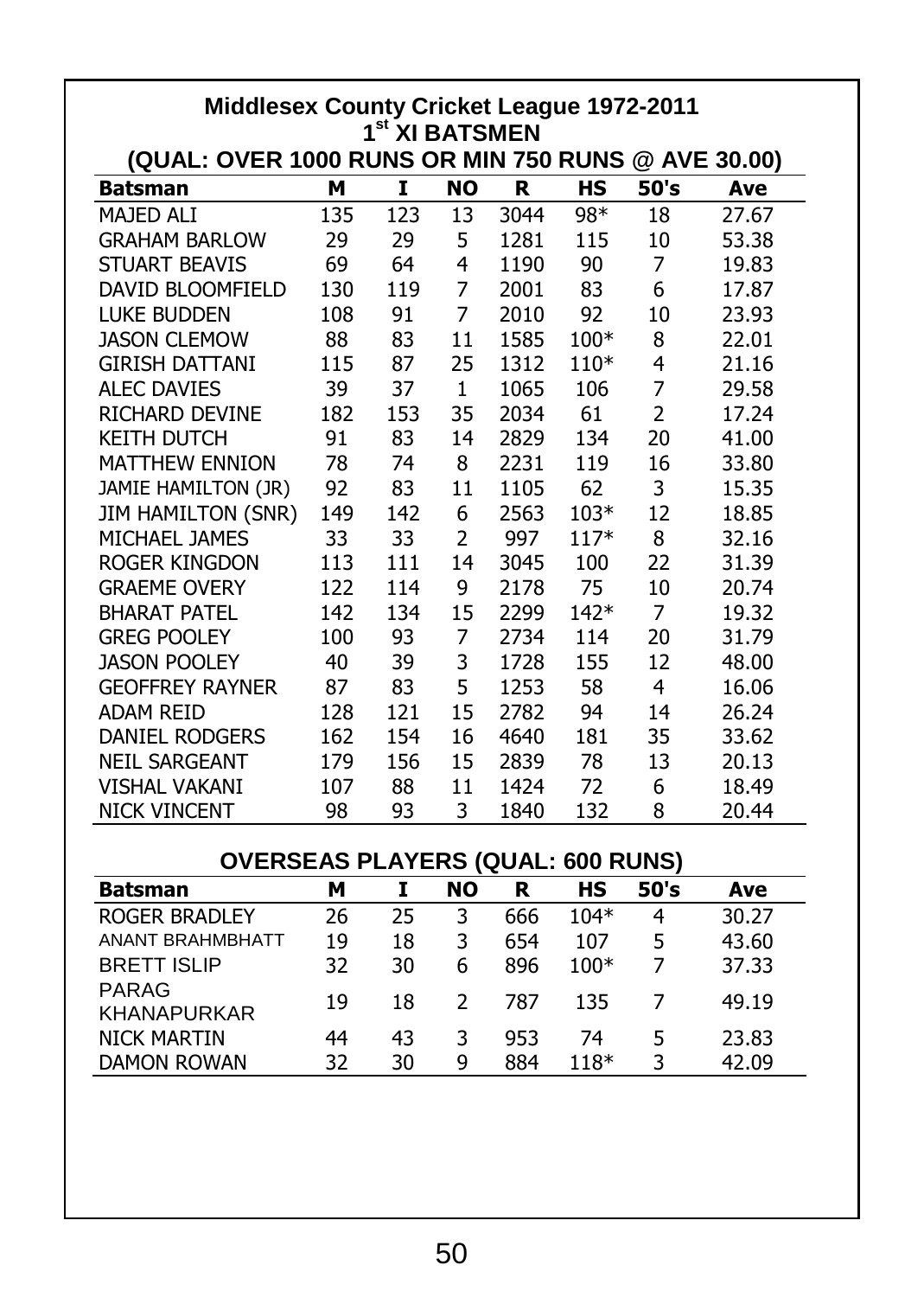| Middlesex County Cricket League 1972-2011                                        |     |     |                |      |        |                |       |
|----------------------------------------------------------------------------------|-----|-----|----------------|------|--------|----------------|-------|
| 1 <sup>st</sup> XI BATSMEN<br>(QUAL: OVER 1000 RUNS OR MIN 750 RUNS @ AVE 30.00) |     |     |                |      |        |                |       |
| <b>Batsman</b>                                                                   | м   | I   | NO             | R    | HS     | 50's           | Ave   |
| MAJED ALI                                                                        | 135 | 123 | 13             | 3044 | 98*    | 18             | 27.67 |
| <b>GRAHAM BARLOW</b>                                                             | 29  | 29  | 5              | 1281 | 115    | 10             | 53.38 |
| <b>STUART BEAVIS</b>                                                             | 69  | 64  | 4              | 1190 | 90     | 7              | 19.83 |
| DAVID BLOOMFIELD                                                                 | 130 | 119 | 7              | 2001 | 83     | 6              | 17.87 |
| <b>LUKE BUDDEN</b>                                                               | 108 | 91  | $\overline{7}$ | 2010 | 92     | 10             | 23.93 |
| <b>JASON CLEMOW</b>                                                              | 88  | 83  | 11             | 1585 | 100*   | 8              | 22.01 |
| <b>GIRISH DATTANI</b>                                                            | 115 | 87  | 25             | 1312 | $110*$ | 4              | 21.16 |
| <b>ALEC DAVIES</b>                                                               | 39  | 37  | $\mathbf{1}$   | 1065 | 106    | 7              | 29.58 |
| RICHARD DEVINE                                                                   | 182 | 153 | 35             | 2034 | 61     | $\overline{2}$ | 17.24 |
| <b>KEITH DUTCH</b>                                                               | 91  | 83  | 14             | 2829 | 134    | 20             | 41.00 |
| <b>MATTHEW ENNION</b>                                                            | 78  | 74  | 8              | 2231 | 119    | 16             | 33.80 |
| JAMIE HAMILTON (JR)                                                              | 92  | 83  | 11             | 1105 | 62     | 3              | 15.35 |
| <b>JIM HAMILTON (SNR)</b>                                                        | 149 | 142 | 6              | 2563 | $103*$ | 12             | 18.85 |
| MICHAEL JAMES                                                                    | 33  | 33  | 2              | 997  | $117*$ | 8              | 32.16 |
| <b>ROGER KINGDON</b>                                                             | 113 | 111 | 14             | 3045 | 100    | 22             | 31.39 |
| <b>GRAEME OVERY</b>                                                              | 122 | 114 | 9              | 2178 | 75     | 10             | 20.74 |
| <b>BHARAT PATEL</b>                                                              | 142 | 134 | 15             | 2299 | $142*$ | 7              | 19.32 |
| <b>GREG POOLEY</b>                                                               | 100 | 93  | 7              | 2734 | 114    | 20             | 31.79 |
| <b>JASON POOLEY</b>                                                              | 40  | 39  | 3              | 1728 | 155    | 12             | 48.00 |
| <b>GEOFFREY RAYNER</b>                                                           | 87  | 83  | 5              | 1253 | 58     | 4              | 16.06 |
| <b>ADAM REID</b>                                                                 | 128 | 121 | 15             | 2782 | 94     | 14             | 26.24 |
| <b>DANIEL RODGERS</b>                                                            | 162 | 154 | 16             | 4640 | 181    | 35             | 33.62 |
| <b>NEIL SARGEANT</b>                                                             | 179 | 156 | 15             | 2839 | 78     | 13             | 20.13 |
| <b>VISHAL VAKANI</b>                                                             | 107 | 88  | 11             | 1424 | 72     | 6              | 18.49 |
| <b>NICK VINCENT</b>                                                              | 98  | 93  | 3              | 1840 | 132    | 8              | 20.44 |

#### **OVERSEAS PLAYERS (QUAL: 600 RUNS)**

| <b>Batsman</b>              | м  |    | <b>NO</b> | R   | нs     | 50's | Ave   |
|-----------------------------|----|----|-----------|-----|--------|------|-------|
| <b>ROGER BRADLEY</b>        | 26 | 25 | 3         | 666 | $104*$ | 4    | 30.27 |
| ANANT BRAHMBHATT            | 19 | 18 | 3         | 654 | 107    | 5    | 43.60 |
| <b>BRETT ISLIP</b>          | 32 | 30 | 6         | 896 | $100*$ |      | 37.33 |
| PARAG<br><b>KHANAPURKAR</b> | 19 | 18 | 2         | 787 | 135    |      | 49.19 |
| <b>NICK MARTIN</b>          | 44 | 43 | 3         | 953 | 74     | 5    | 23.83 |
| <b>DAMON ROWAN</b>          | 32 | 30 | q         | 884 | 118*   | 3    | 42.09 |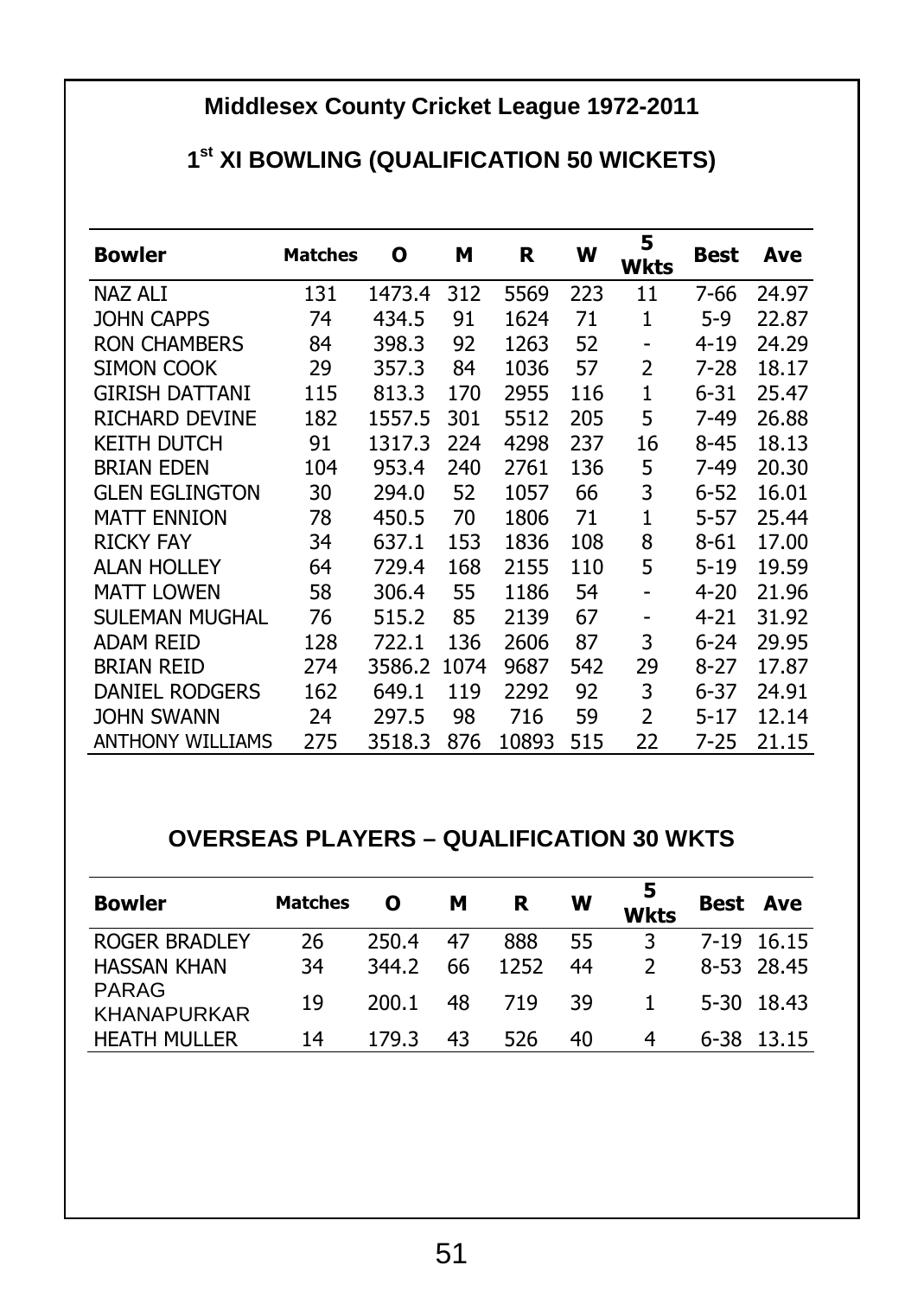### **Middlesex County Cricket League 1972-2011**

#### **1 st XI BOWLING (QUALIFICATION 50 WICKETS)**

| <b>Bowler</b>           | <b>Matches</b> | о      | м    | R     | w   | 5<br><b>Wkts</b> | Best     | Ave   |
|-------------------------|----------------|--------|------|-------|-----|------------------|----------|-------|
| NAZ ALI                 | 131            | 1473.4 | 312  | 5569  | 223 | 11               | 7-66     | 24.97 |
| JOHN CAPPS              | 74             | 434.5  | 91   | 1624  | 71  | $\mathbf{1}$     | $5-9$    | 22.87 |
| <b>RON CHAMBERS</b>     | 84             | 398.3  | 92   | 1263  | 52  | ۰                | $4 - 19$ | 24.29 |
| SIMON COOK              | 29             | 357.3  | 84   | 1036  | 57  | 2                | 7-28     | 18.17 |
| <b>GIRISH DATTANI</b>   | 115            | 813.3  | 170  | 2955  | 116 | 1                | $6 - 31$ | 25.47 |
| RICHARD DEVINE          | 182            | 1557.5 | 301  | 5512  | 205 | 5                | 7-49     | 26.88 |
| KEITH DUTCH             | 91             | 1317.3 | 224  | 4298  | 237 | 16               | $8 - 45$ | 18.13 |
| <b>BRIAN EDEN</b>       | 104            | 953.4  | 240  | 2761  | 136 | 5                | 7-49     | 20.30 |
| <b>GLEN EGLINGTON</b>   | 30             | 294.0  | 52   | 1057  | 66  | 3                | $6 - 52$ | 16.01 |
| <b>MATT ENNION</b>      | 78             | 450.5  | 70   | 1806  | 71  | 1                | $5 - 57$ | 25.44 |
| <b>RICKY FAY</b>        | 34             | 637.1  | 153  | 1836  | 108 | 8                | $8 - 61$ | 17.00 |
| ALAN HOLLEY             | 64             | 729.4  | 168  | 2155  | 110 | 5                | $5 - 19$ | 19.59 |
| <b>MATT LOWEN</b>       | 58             | 306.4  | 55   | 1186  | 54  | ٠                | $4 - 20$ | 21.96 |
| SULEMAN MUGHAL          | 76             | 515.2  | 85   | 2139  | 67  | -                | $4 - 21$ | 31.92 |
| <b>ADAM REID</b>        | 128            | 722.1  | 136  | 2606  | 87  | 3                | $6 - 24$ | 29.95 |
| <b>BRIAN REID</b>       | 274            | 3586.2 | 1074 | 9687  | 542 | 29               | $8 - 27$ | 17.87 |
| DANIEL RODGERS          | 162            | 649.1  | 119  | 2292  | 92  | 3                | $6 - 37$ | 24.91 |
| <b>JOHN SWANN</b>       | 24             | 297.5  | 98   | 716   | 59  | 2                | $5-17$   | 12.14 |
| <b>ANTHONY WILLIAMS</b> | 275            | 3518.3 | 876  | 10893 | 515 | 22               | 7-25     | 21.15 |

#### **OVERSEAS PLAYERS – QUALIFICATION 30 WKTS**

| <b>Bowler</b>               | Matches | o     | м  | R    | w  | <b>Wkts</b> |      | Best Ave   |
|-----------------------------|---------|-------|----|------|----|-------------|------|------------|
| <b>ROGER BRADLEY</b>        | 26      | 250.4 | 47 | 888  | 55 | 3           |      | 7-19 16.15 |
| <b>HASSAN KHAN</b>          | 34      | 344.2 | 66 | 1252 | 44 |             |      | 8-53 28.45 |
| PARAG<br><b>KHANAPURKAR</b> | 19      | 200.1 | 48 | 719  | 39 |             |      | 5-30 18.43 |
| <b>HEATH MULLER</b>         | 14      | 179.3 | 43 | 526  | 40 | 4           | 6-38 | 13.15      |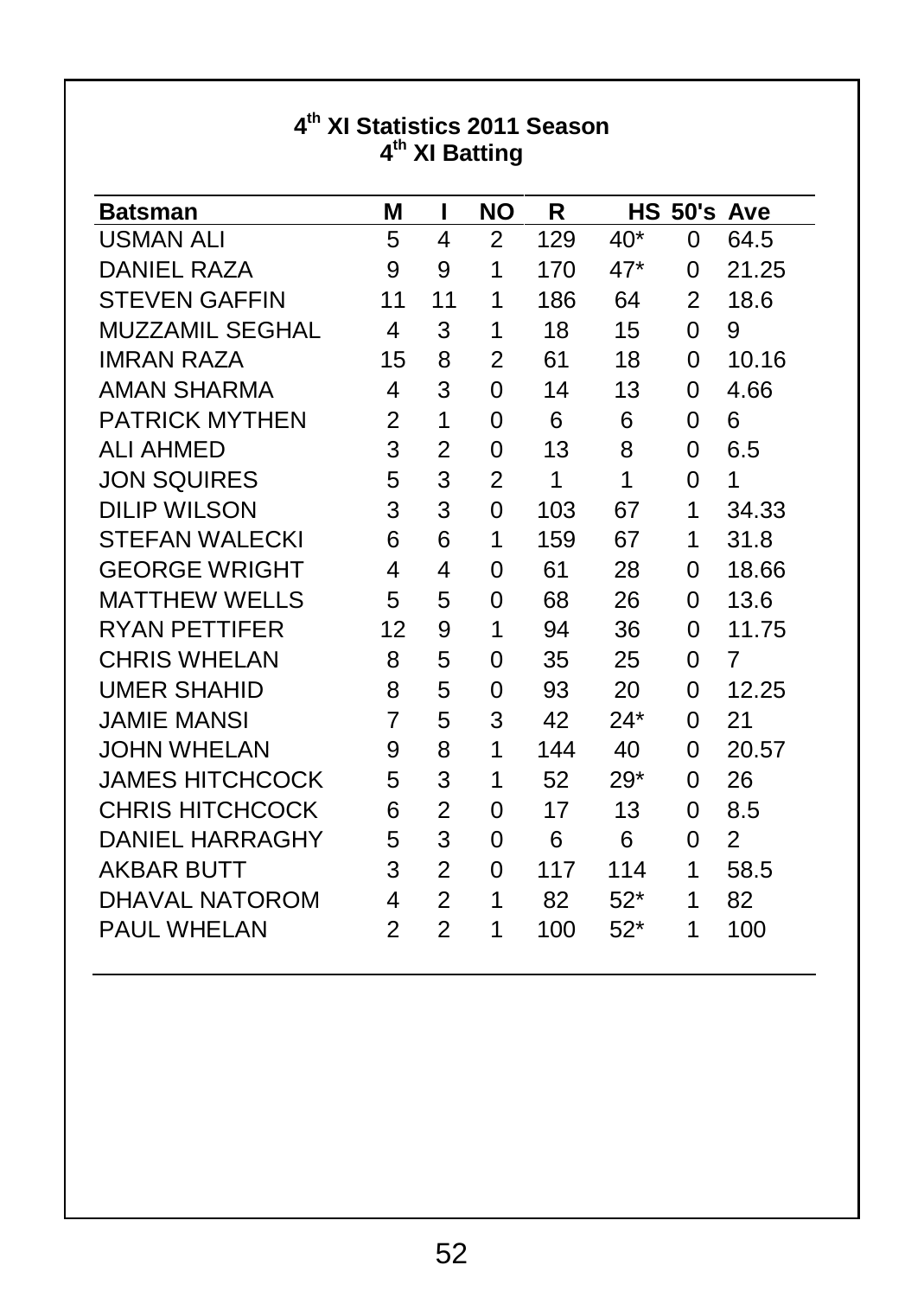| <b>Batsman</b>        | М  | ı  | <b>NO</b>      | R   | HS.   |          | 50's Ave |
|-----------------------|----|----|----------------|-----|-------|----------|----------|
| USMAN ALI             | 5  | 4  | $\overline{2}$ | 129 | 40*   | 0        | 64.5     |
| DANIEL RAZA           | 9  | 9  | 1              | 170 | 47*   | $\Omega$ | 21.25    |
| <b>STEVEN GAFFIN</b>  | 11 | 11 | 1              | 186 | 64    | 2        | 18.6     |
| MUZZAMIL SEGHAL       | 4  | 3  | 1              | 18  | 15    | $\Omega$ | 9        |
| <b>IMRAN RAZA</b>     | 15 | 8  | 2              | 61  | 18    | 0        | 10.16    |
| AMAN SHARMA           | 4  | 3  | $\Omega$       | 14  | 13    | 0        | 4.66     |
| <b>PATRICK MYTHEN</b> | 2  | 1  | $\Omega$       | 6   | 6     | $\Omega$ | 6        |
| <b>ALI AHMED</b>      | 3  | 2  | $\Omega$       | 13  | 8     | 0        | 6.5      |
| <b>JON SQUIRES</b>    | 5  | 3  | 2              | 1   | 1     | 0        | 1        |
| <b>DILIP WILSON</b>   | 3  | 3  | 0              | 103 | 67    | 1        | 34.33    |
| <b>STEFAN WALECKI</b> | 6  | 6  | 1              | 159 | 67    | 1        | 31.8     |
| GEORGE WRIGHT         | 4  | 4  | $\Omega$       | 61  | 28    | $\Omega$ | 18.66    |
| MATTHEW WELLS         | 5  | 5  | $\Omega$       | 68  | 26    | $\Omega$ | 13.6     |
| RYAN PETTIFER         | 12 | 9  | 1              | 94  | 36    | 0        | 11.75    |
| <b>CHRIS WHELAN</b>   | 8  | 5  | 0              | 35  | 25    | $\Omega$ | 7        |
| UMER SHAHID           | 8  | 5  | 0              | 93  | 20    | 0        | 12.25    |
| <b>JAMIE MANSI</b>    | 7  | 5  | 3              | 42  | 24*   | 0        | 21       |
| JOHN WHELAN           | 9  | 8  | 1              | 144 | 40    | $\Omega$ | 20.57    |
| JAMES HITCHCOCK       | 5  | 3  | 1              | 52  | 29*   | $\Omega$ | 26       |
| CHRIS HITCHCOCK       | 6  | 2  | $\Omega$       | 17  | 13    | 0        | 8.5      |
| DANIEL HARRAGHY       | 5  | 3  | $\Omega$       | 6   | 6     | 0        | 2        |
| <b>AKBAR BUTT</b>     | 3  | 2  | 0              | 117 | 114   | 1        | 58.5     |
| DHAVAL NATOROM        | 4  | 2  | 1              | 82  | $52*$ | 1        | 82       |
| PAUL WHELAN           | 2  | 2  | 1              | 100 | $52*$ | 1        | 100      |

#### **4 th XI Statistics 2011 Season 4 th XI Batting**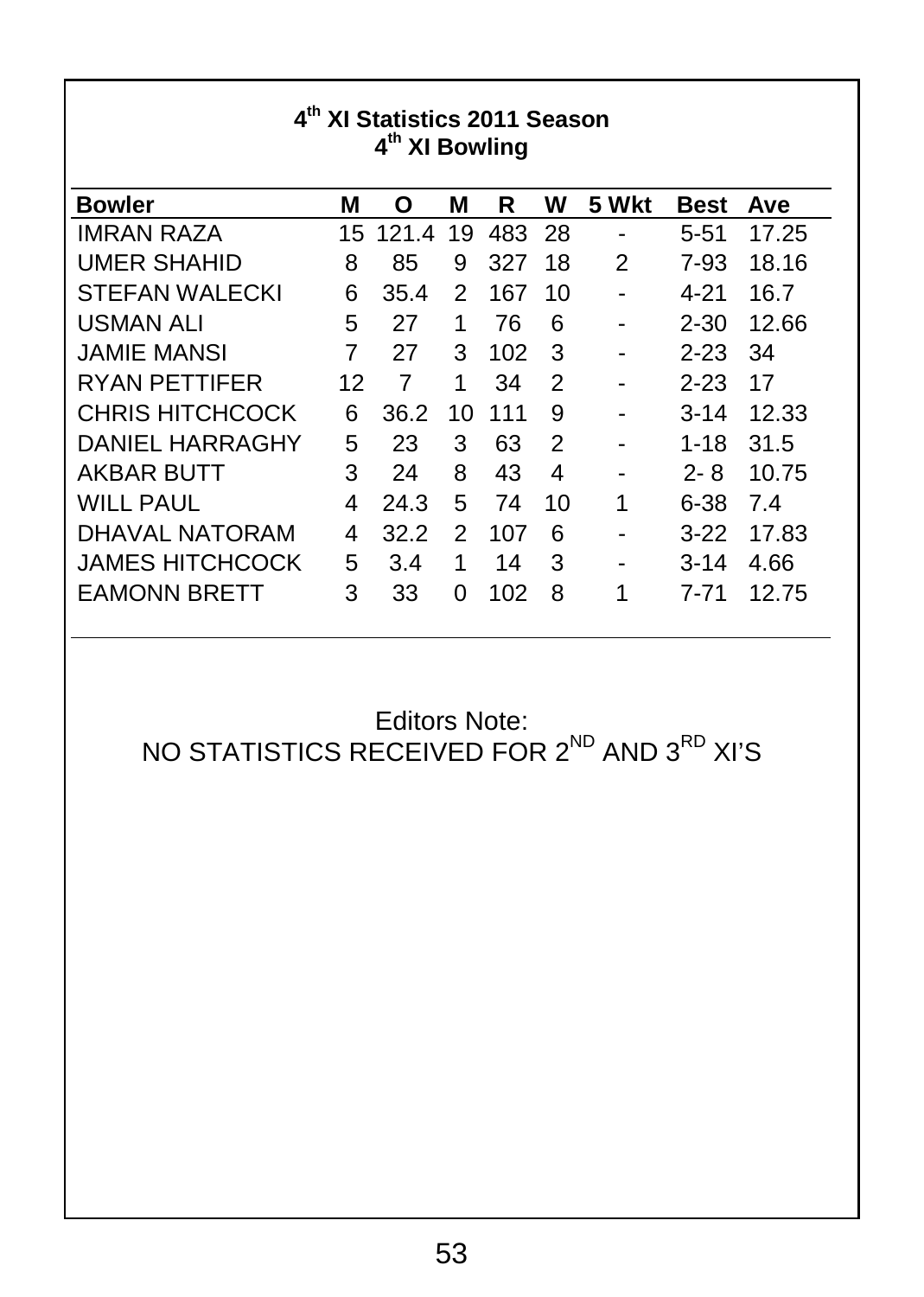| $4^{\text{th}}$<br>XI Statistics 2011 Season<br>4 <sup>th</sup> XI Bowling |    |       |    |     |    |       |             |       |
|----------------------------------------------------------------------------|----|-------|----|-----|----|-------|-------------|-------|
| <b>Bowler</b>                                                              | м  | Ο     | М  | R   | w  | 5 Wkt | <b>Best</b> | Ave   |
| <b>IMRAN RAZA</b>                                                          | 15 | 121.4 | 19 | 483 | 28 |       | $5 - 51$    | 17.25 |
| <b>UMER SHAHID</b>                                                         | 8  | 85    | 9  | 327 | 18 | 2     | 7-93        | 18.16 |
| <b>STEFAN WALECKI</b>                                                      | 6  | 35.4  | 2  | 167 | 10 |       | 4-21        | 16.7  |
| <b>USMAN ALI</b>                                                           | 5  | 27    | 1  | 76  | 6  |       | 2-30        | 12.66 |
| JAMIF MANSI                                                                | 7  | 27    | 3  | 102 | 3  |       | $2 - 23$    | 34    |
| RYAN PETTIFER                                                              | 12 | 7     | 1  | 34  | 2  |       | $2 - 23$    | 17    |
| CHRIS HITCHCOCK                                                            | 6  | 36.2  | 10 | 111 | 9  |       | $3 - 14$    | 12.33 |
| DANIEL HARRAGHY                                                            | 5  | 23    | 3  | 63  | 2  |       | $1 - 18$    | 31.5  |
| AKBAR BUTT                                                                 | 3  | 24    | 8  | 43  | 4  | -     | 2- 8        | 10.75 |
| WILL PAUL                                                                  | 4  | 24.3  | 5  | 74  | 10 | 1     | 6-38        | 7.4   |
| DHAVAL NATORAM                                                             | 4  | 32.2  | 2  | 107 | 6  |       | $3-22$      | 17.83 |
| JAMES HITCHCOCK                                                            | 5  | 3.4   | 1  | 14  | 3  |       | $3 - 14$    | 4.66  |
| <b>EAMONN BRETT</b>                                                        | 3  | 33    | 0  | 102 | 8  | 1     | 7-71        | 12.75 |

Editors Note:

NO STATISTICS RECEIVED FOR 2<sup>ND</sup> AND 3<sup>RD</sup> XI'S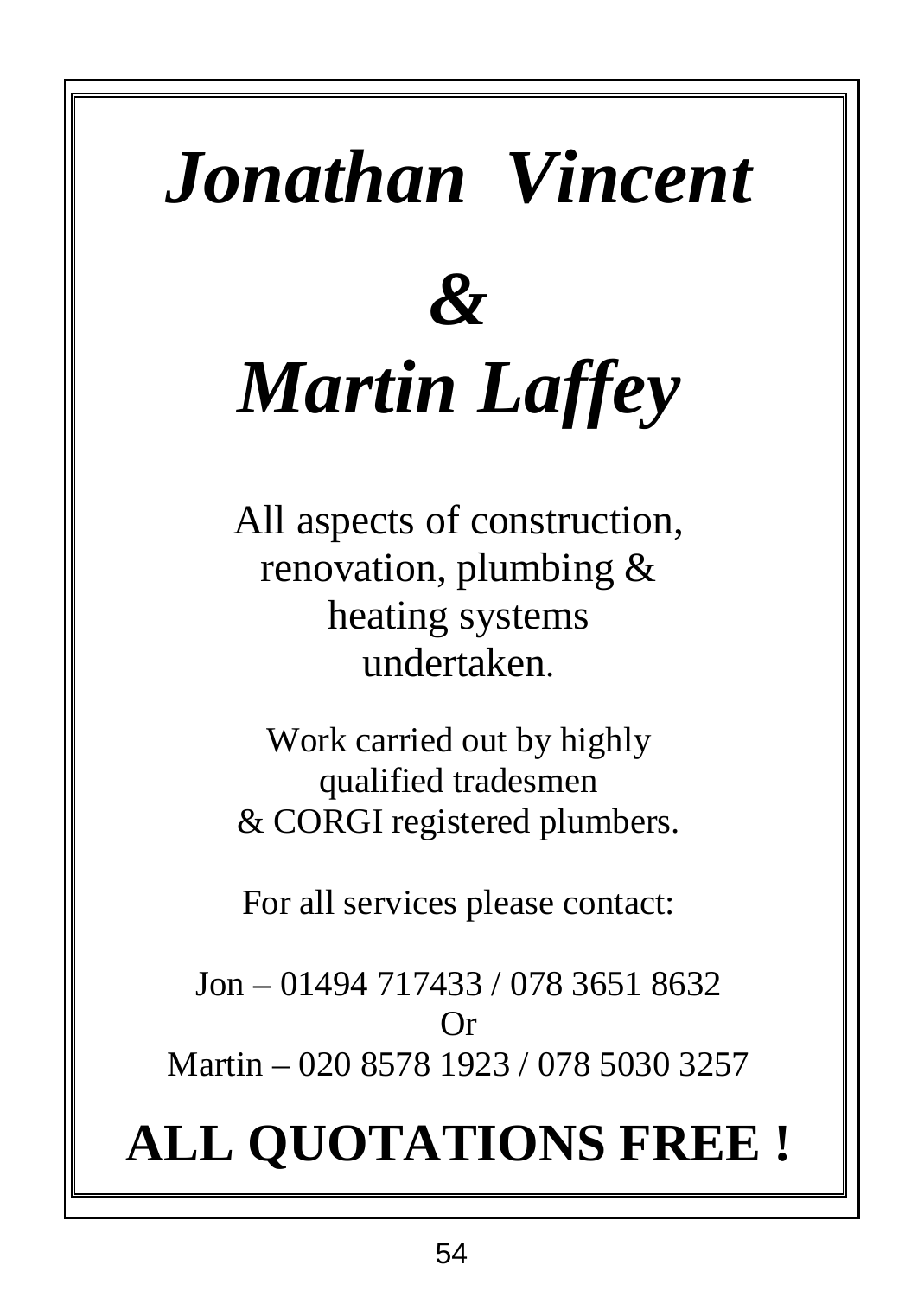# *Jonathan Vincent &*

# *Martin Laffey*

All aspects of construction, renovation, plumbing & heating systems undertaken.

Work carried out by highly qualified tradesmen & CORGI registered plumbers.

For all services please contact:

Jon – 01494 717433 / 078 3651 8632 Or Martin – 020 8578 1923 / 078 5030 3257

# **ALL QUOTATIONS FREE !**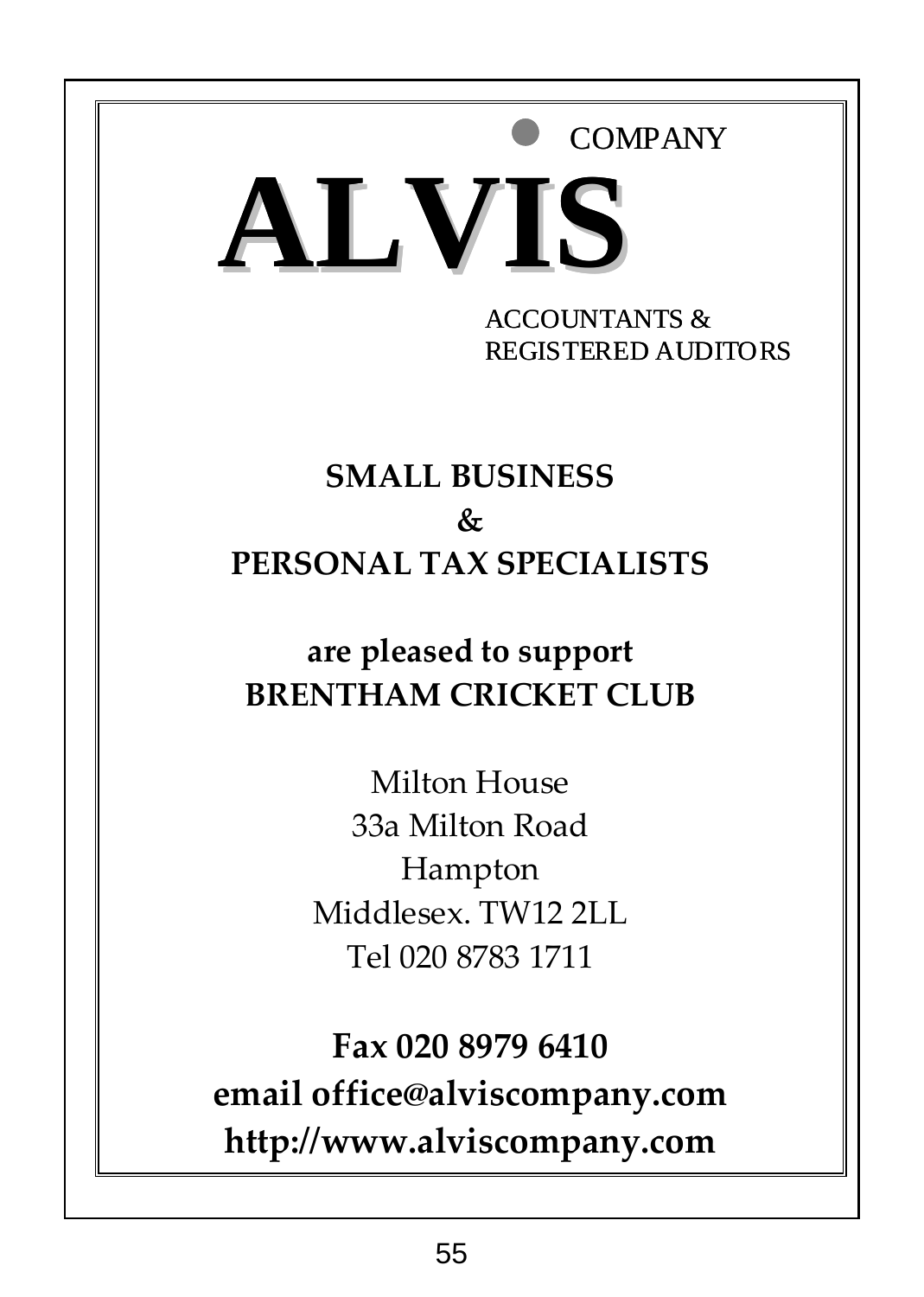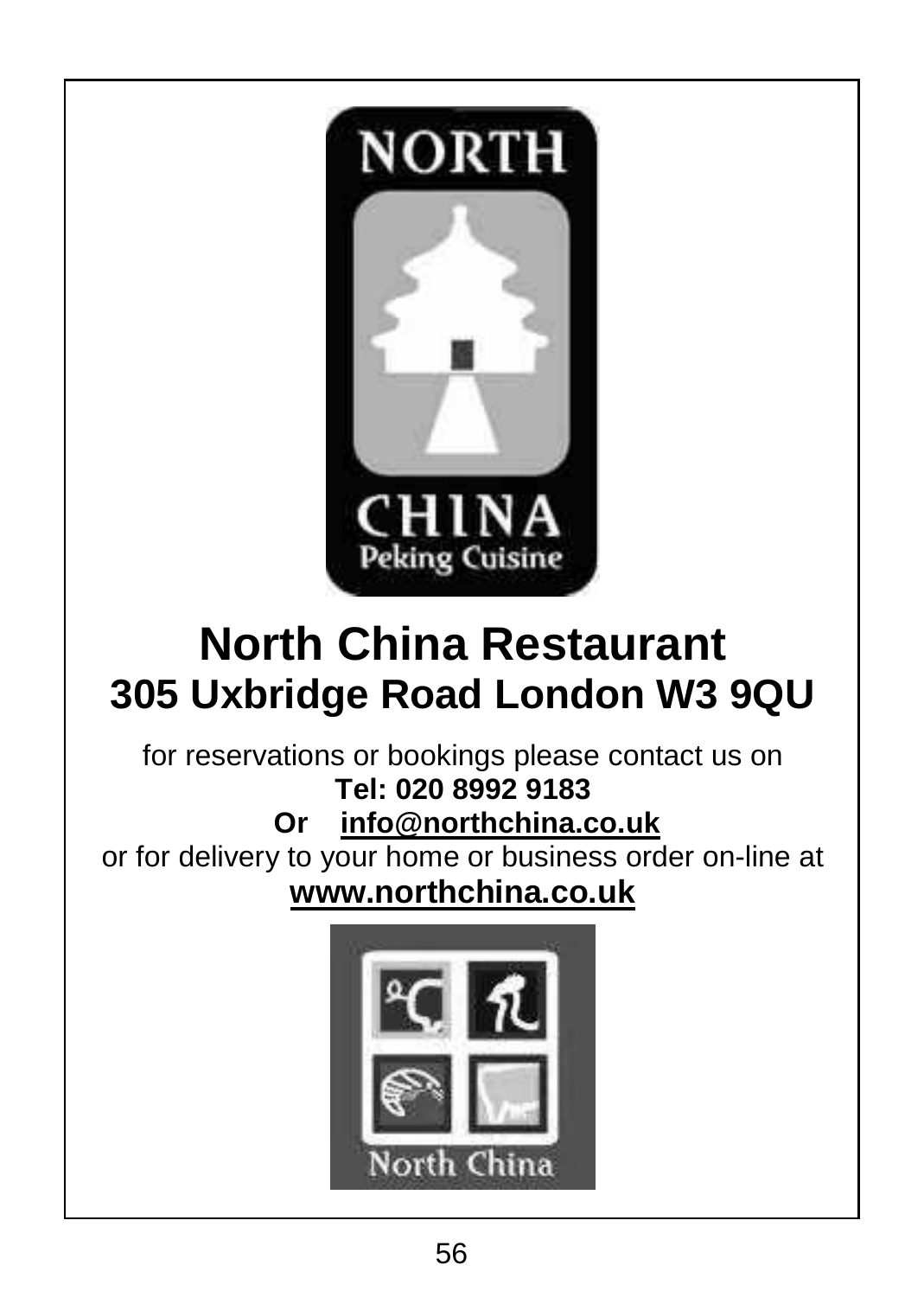

# **North China Restaurant 305 Uxbridge Road London W3 9QU**

for reservations or bookings please contact us on **Tel: 020 8992 9183**

**Or info@northchina.co.uk**

or for delivery to your home or business order on-line at **www.northchina.co.uk**

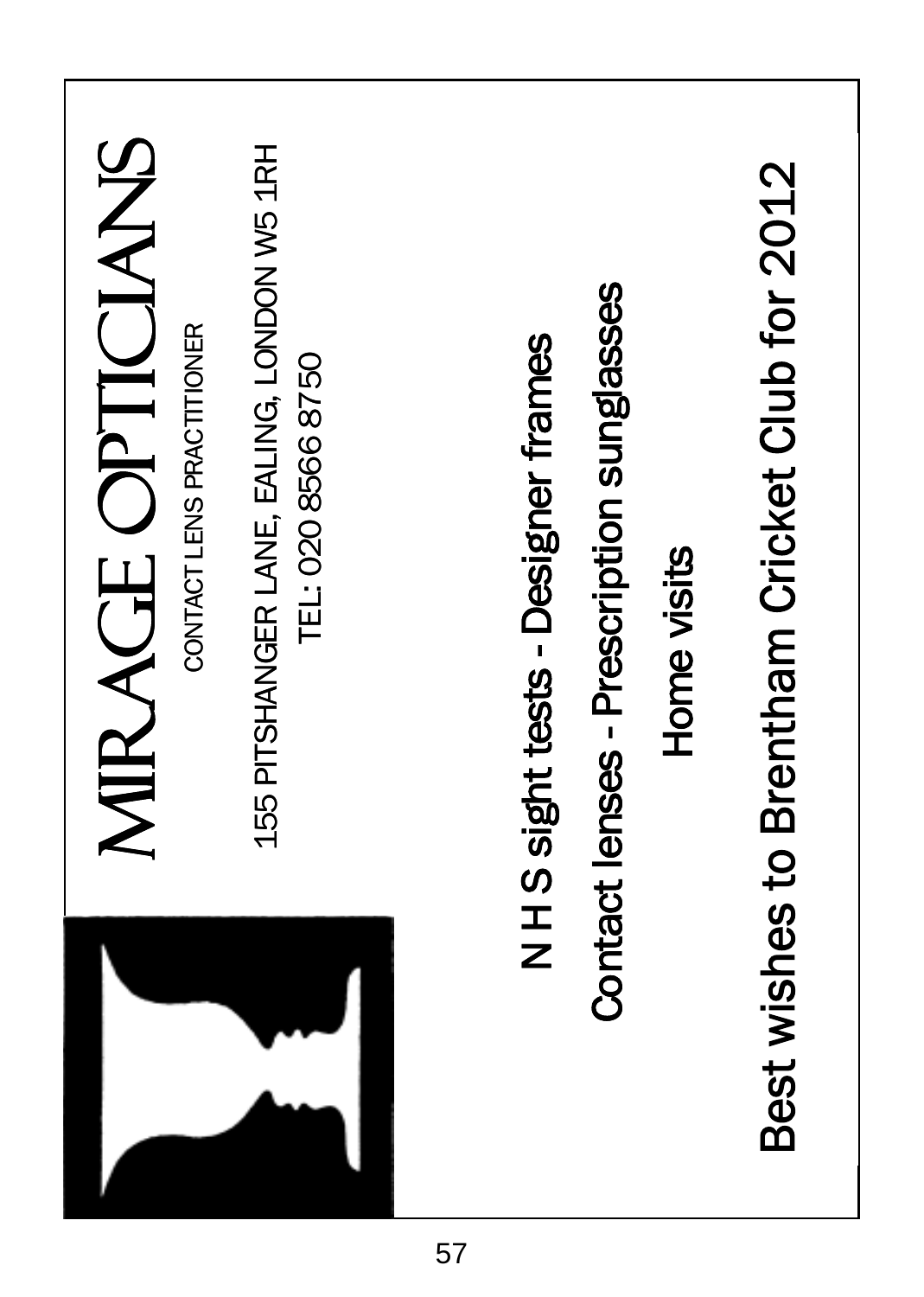| MIRAGE OPTICIANS                           | Best wishes to Brentham Cricket Club for 2012 |
|--------------------------------------------|-----------------------------------------------|
| 155 PITSHANGER LANE, EALING, LONDON W5 1RH | Contact lenses - Prescription sunglasses      |
| CONTACT LENS PRACTITIONER                  | N H S sight tests - Designer frames           |
| TEL: 020 8566 8750                         | Home visits                                   |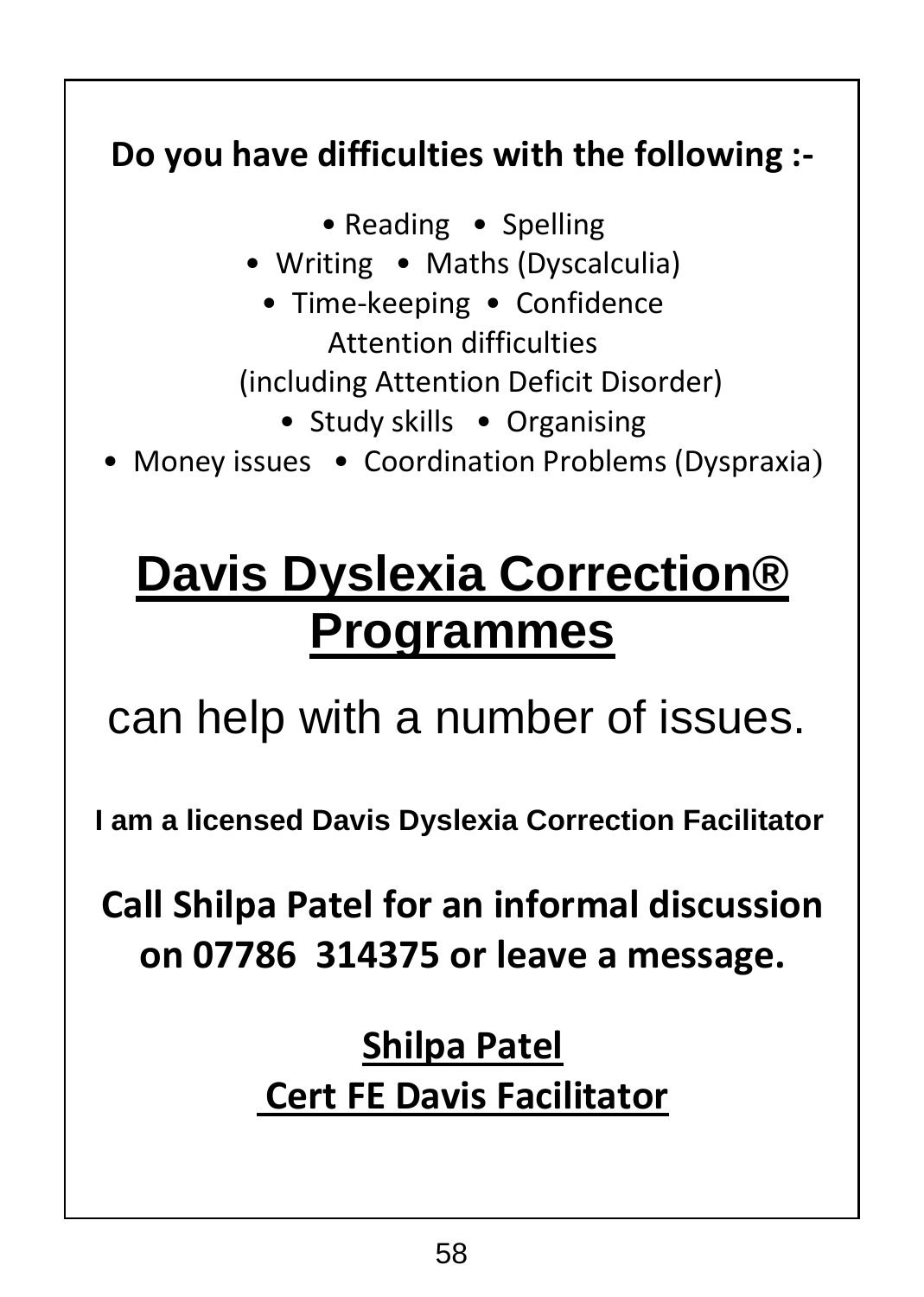# **Do you have difficulties with the following :-**

• Reading • Spelling

- Writing Maths (Dyscalculia)
	- Time-keeping Confidence Attention difficulties

(including Attention Deficit Disorder)

- Study skills Organising
- Money issues Coordination Problems (Dyspraxia)

# **Davis Dyslexia Correction® Programmes**

can help with a number of issues.

**I am a licensed Davis Dyslexia Correction Facilitator**

**Call Shilpa Patel for an informal discussion on 07786 314375 or leave a message.**

# **Shilpa Patel Cert FE Davis Facilitator**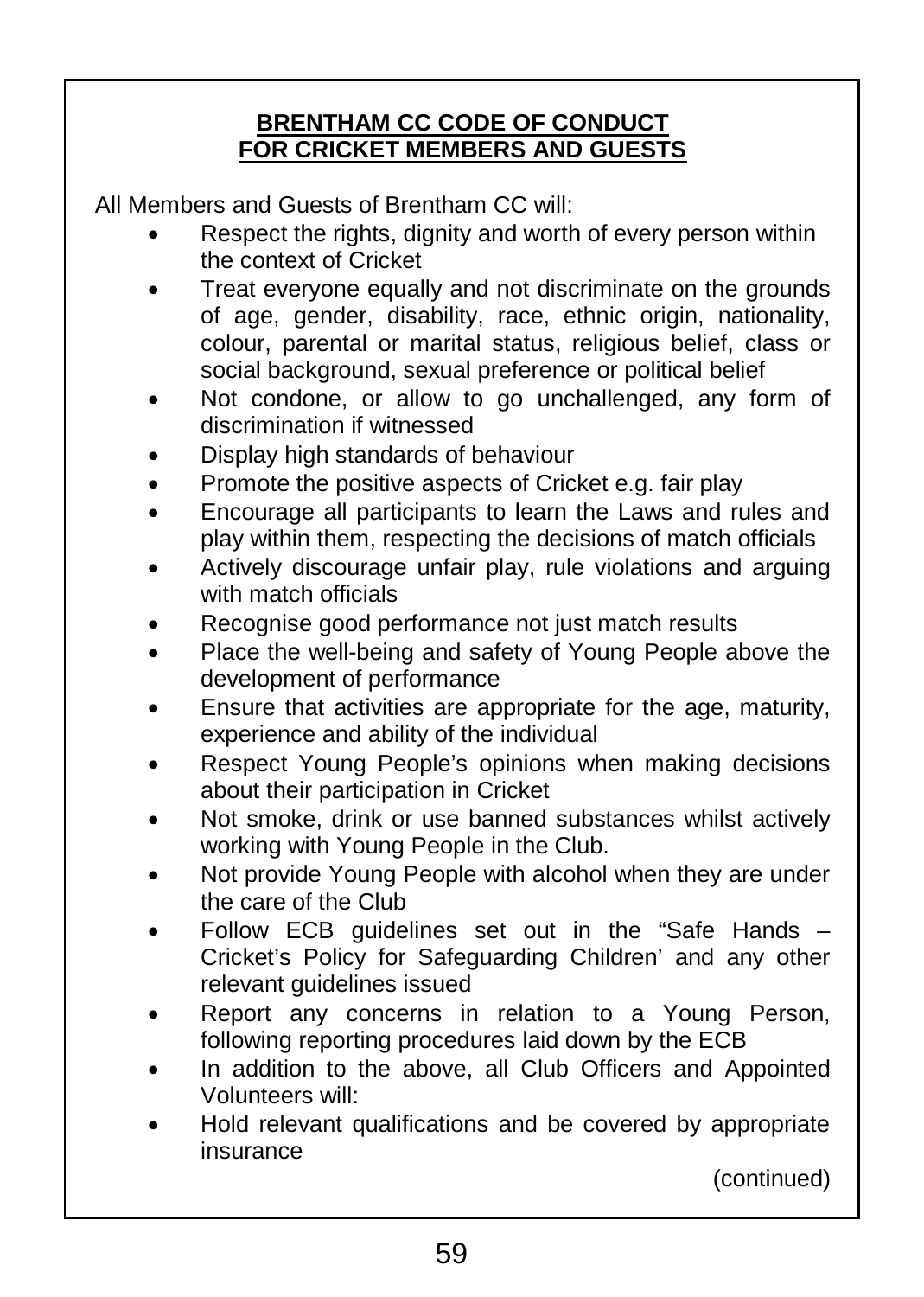#### **BRENTHAM CC CODE OF CONDUCT FOR CRICKET MEMBERS AND GUESTS**

All Members and Guests of Brentham CC will:

- Respect the rights, dignity and worth of every person within the context of Cricket
- Treat everyone equally and not discriminate on the grounds of age, gender, disability, race, ethnic origin, nationality, colour, parental or marital status, religious belief, class or social background, sexual preference or political belief
- Not condone, or allow to go unchallenged, any form of discrimination if witnessed
- Display high standards of behaviour
- Promote the positive aspects of Cricket e.g. fair play
- Encourage all participants to learn the Laws and rules and play within them, respecting the decisions of match officials
- Actively discourage unfair play, rule violations and arguing with match officials
- Recognise good performance not just match results
- Place the well-being and safety of Young People above the development of performance
- Ensure that activities are appropriate for the age, maturity, experience and ability of the individual
- Respect Young People's opinions when making decisions about their participation in Cricket
- Not smoke, drink or use banned substances whilst actively working with Young People in the Club.
- Not provide Young People with alcohol when they are under the care of the Club
- Follow ECB guidelines set out in the "Safe Hands Cricket's Policy for Safeguarding Children' and any other relevant guidelines issued
- Report any concerns in relation to a Young Person, following reporting procedures laid down by the ECB
- In addition to the above, all Club Officers and Appointed Volunteers will:
- Hold relevant qualifications and be covered by appropriate insurance

(continued)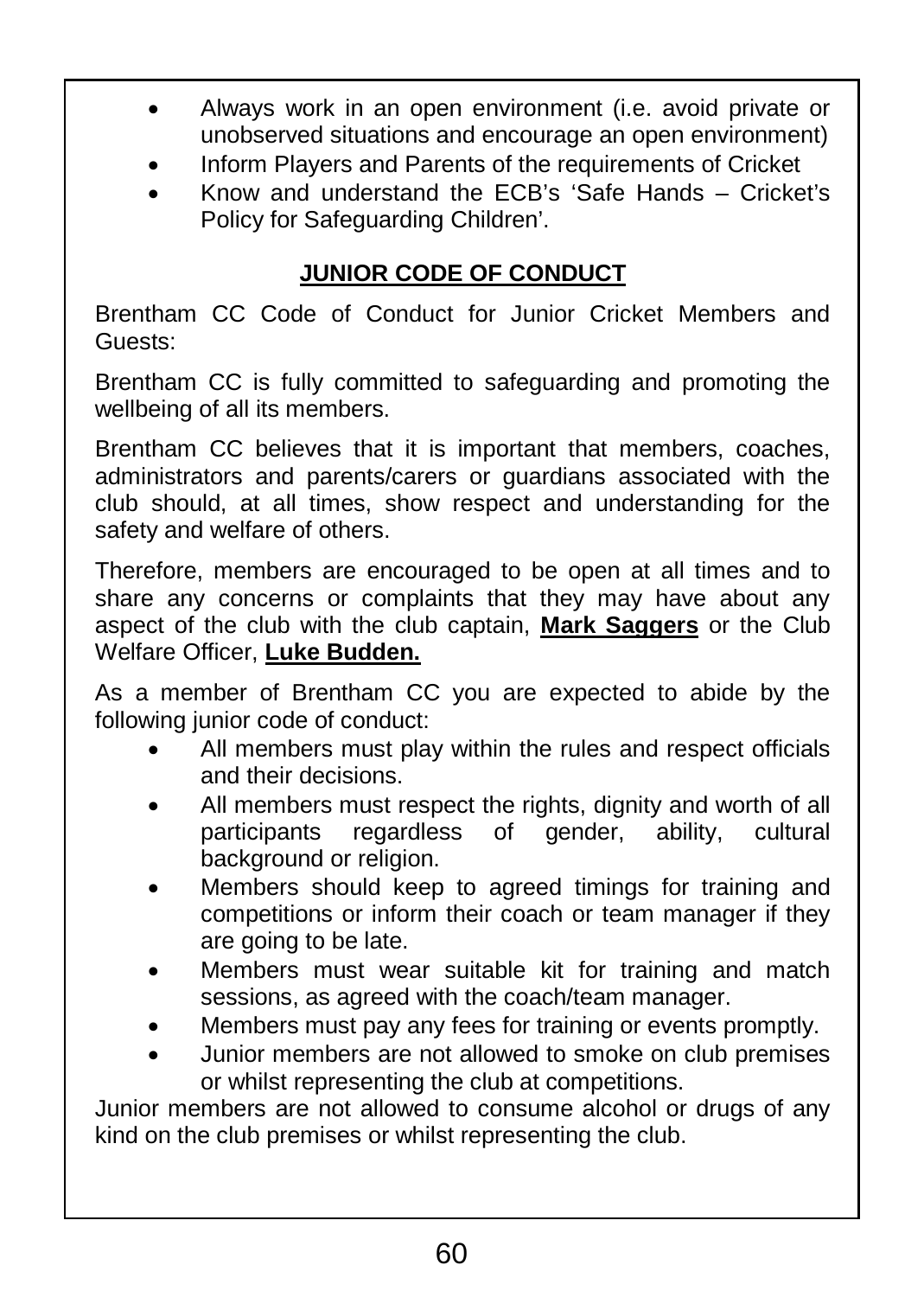- Always work in an open environment (i.e. avoid private or unobserved situations and encourage an open environment)
- Inform Players and Parents of the requirements of Cricket
- Know and understand the ECB's 'Safe Hands Cricket's Policy for Safeguarding Children'.

#### **JUNIOR CODE OF CONDUCT**

Brentham CC Code of Conduct for Junior Cricket Members and Guests:

Brentham CC is fully committed to safeguarding and promoting the wellbeing of all its members.

Brentham CC believes that it is important that members, coaches, administrators and parents/carers or guardians associated with the club should, at all times, show respect and understanding for the safety and welfare of others.

Therefore, members are encouraged to be open at all times and to share any concerns or complaints that they may have about any aspect of the club with the club captain, **Mark Saggers** or the Club Welfare Officer, **Luke Budden.**

As a member of Brentham CC you are expected to abide by the following junior code of conduct:

- All members must play within the rules and respect officials and their decisions.
- All members must respect the rights, dignity and worth of all participants regardless of gender, ability, cultural background or religion.
- Members should keep to agreed timings for training and competitions or inform their coach or team manager if they are going to be late.
- Members must wear suitable kit for training and match sessions, as agreed with the coach/team manager.
- Members must pay any fees for training or events promptly.
- Junior members are not allowed to smoke on club premises or whilst representing the club at competitions.

Junior members are not allowed to consume alcohol or drugs of any kind on the club premises or whilst representing the club.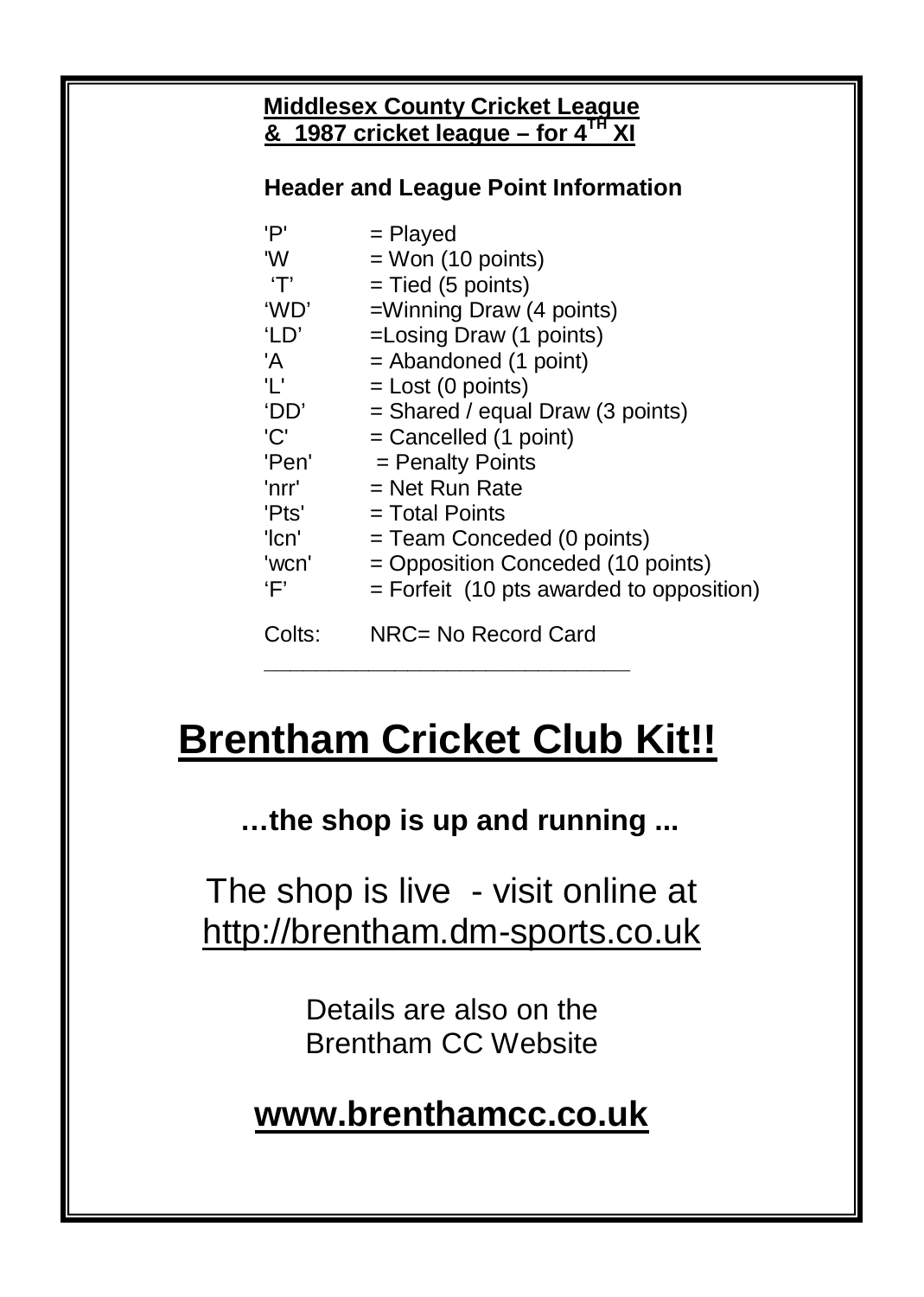# **Middlesex County Cricket League & 1987 cricket league – for 4TH XI**

#### **Header and League Point Information**

| 'P'    | = Played                                   |
|--------|--------------------------------------------|
| 'W     | $=$ Won (10 points)                        |
| T'     | $=$ Tied (5 points)                        |
| 'WD'   | $=$ Winning Draw (4 points)                |
| 'LD'   | =Losing Draw (1 points)                    |
| 'A     | $=$ Abandoned (1 point)                    |
| Τ.     | $=$ Lost (0 points)                        |
| 'DD'   | $=$ Shared / equal Draw (3 points)         |
| 'C'    | $=$ Cancelled (1 point)                    |
| 'Pen'  | = Penalty Points                           |
| 'nrr'  | $=$ Net Run Rate                           |
| 'Pts'  | $=$ Total Points                           |
| 'lcn'  | = Team Conceded (0 points)                 |
| 'wcn'  | = Opposition Conceded (10 points)          |
| 'F'    | $=$ Forfeit (10 pts awarded to opposition) |
| Colts: | NRC= No Record Card                        |

# **Brentham Cricket Club Kit!!**

**\_\_\_\_\_\_\_\_\_\_\_\_\_\_\_\_\_\_\_\_\_\_\_\_\_\_\_\_**

**…the shop is up and running ...**

The shop is live - visit online at http://brentham.dm-sports.co.uk

> Details are also on the Brentham CC Website

# **www.brenthamcc.co.uk**